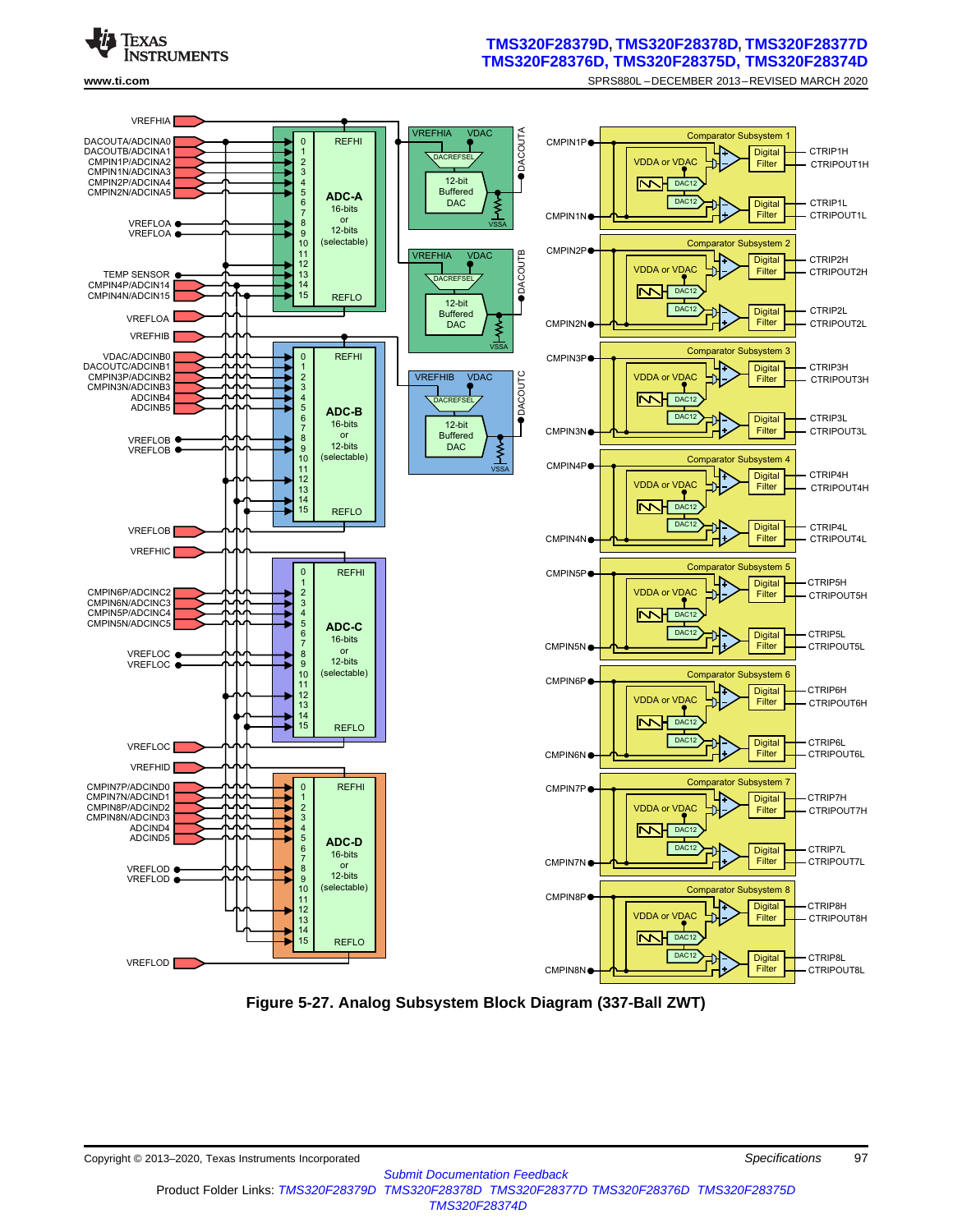

#### **[TMS320F28379D](http://www.ti.com/product/tms320f28379d?qgpn=tms320f28379d), [TMS320F28378D,](http://www.ti.com/product/tms320f28378d?qgpn=tms320f28378d) [TMS320F28377D](http://www.ti.com/product/tms320f28377d?qgpn=tms320f28377d) [TMS320F28376D](http://www.ti.com/product/tms320f28376d?qgpn=tms320f28376d), [TMS320F28375D](http://www.ti.com/product/tms320f28375d?qgpn=tms320f28375d), [TMS320F28374D](http://www.ti.com/product/tms320f28374d?qgpn=tms320f28374d)**

**[www.ti.com](http://www.ti.com)** SPRS880L –DECEMBER 2013–REVISED MARCH 2020



**Figure 5-27. Analog Subsystem Block Diagram (337-Ball ZWT)**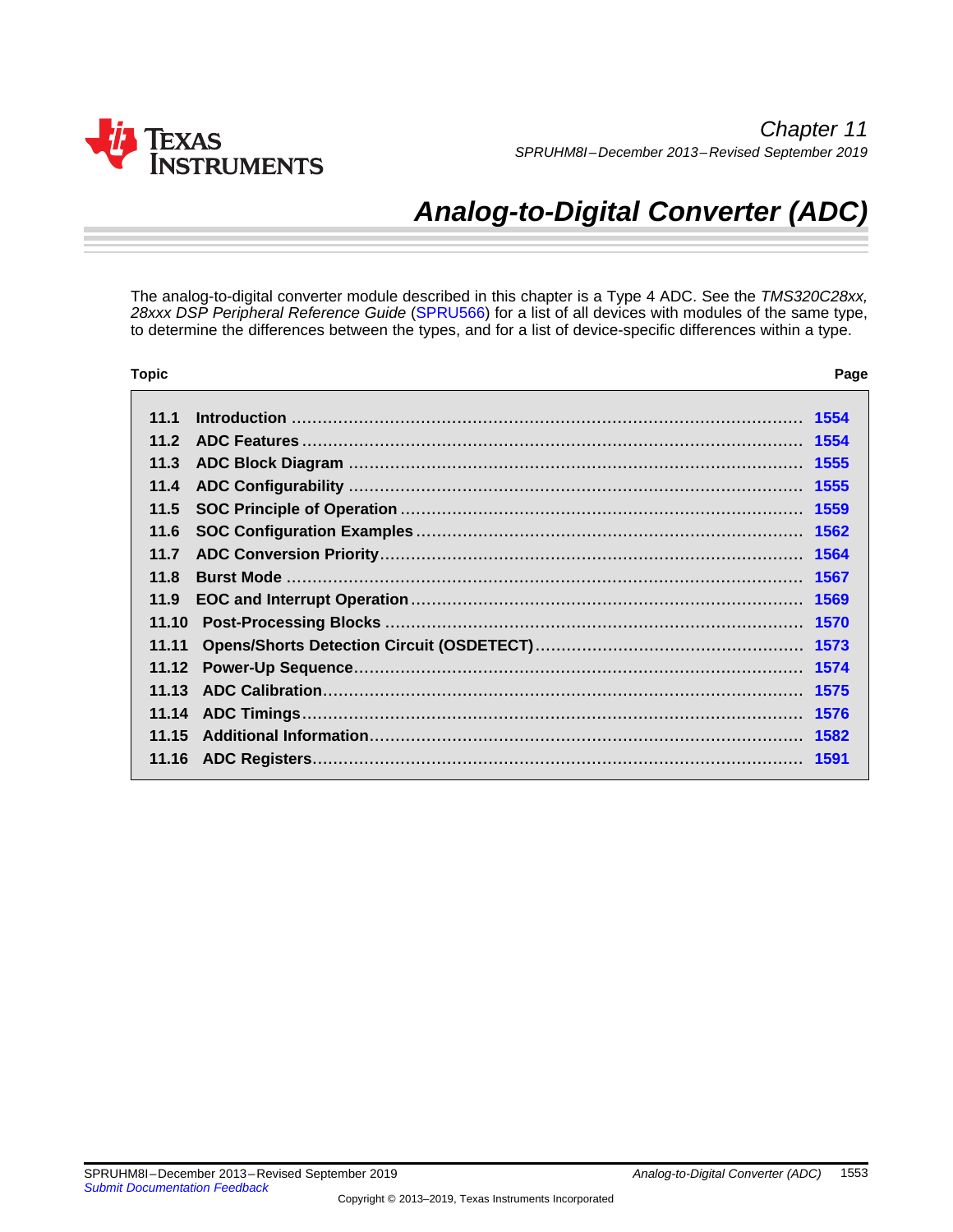

# *Analog-to-Digital Converter (ADC)*

The analog-to-digital converter module described in this chapter is a Type 4 ADC. See the *TMS320C28xx, 28xxx DSP Peripheral Reference Guide* [\(SPRU566\)](http://www.ti.com/lit/pdf/SPRU566) for a list of all devices with modules of the same type, to determine the differences between the types, and for a list of device-specific differences within a type.

| <b>Topic</b>    | Page |
|-----------------|------|
| 111             | 1554 |
|                 |      |
| 11.2            |      |
| 11.3            |      |
| 11.4            |      |
| 11.5            |      |
| 11.6            |      |
| 11.7            |      |
| 11 <sub>8</sub> |      |
| 11.9            |      |
| 11.10           |      |
| 11.11           |      |
| 11.12           |      |
|                 |      |
|                 |      |
| 11.15           |      |
|                 | 1591 |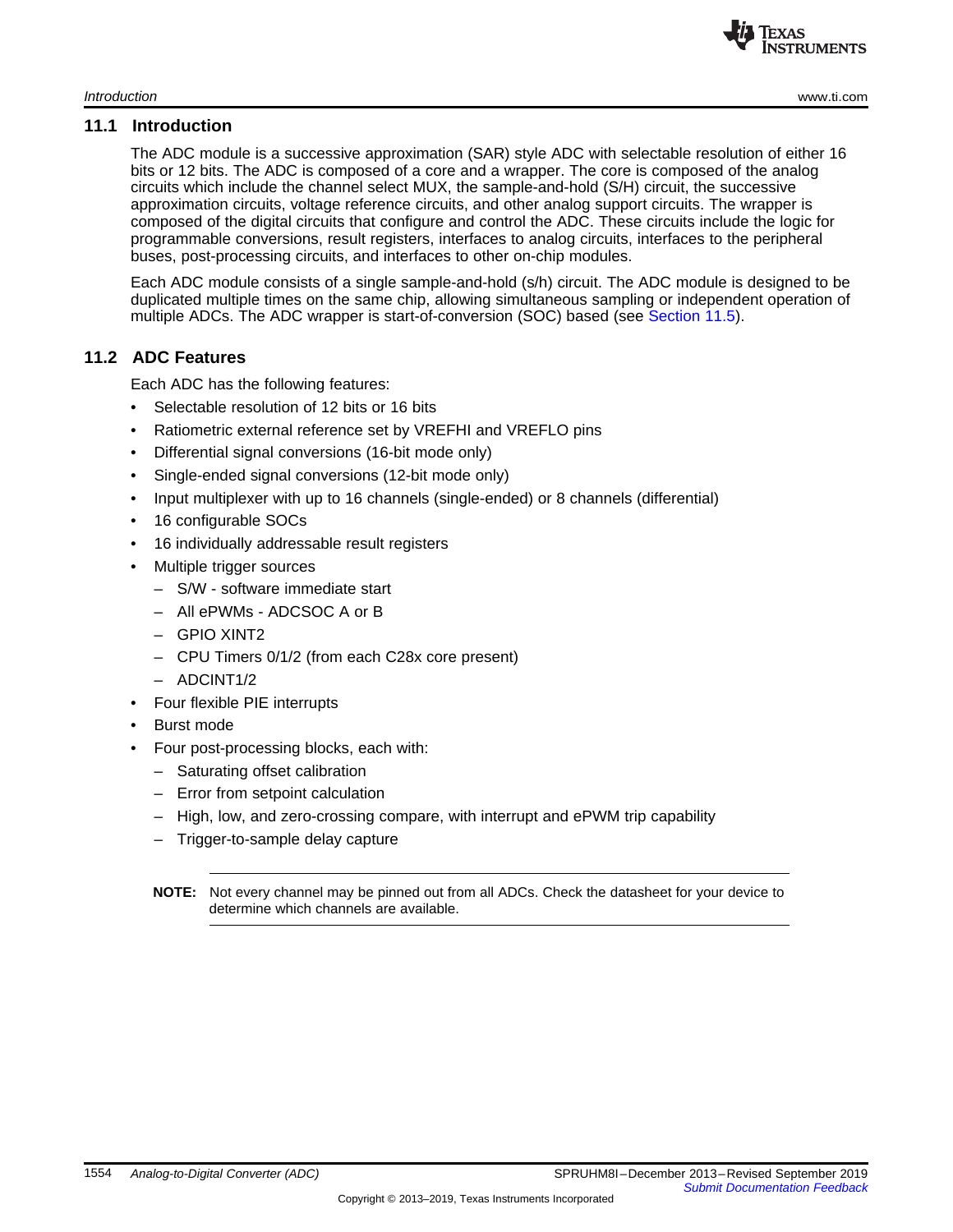

#### <span id="page-2-0"></span>**11.1 Introduction**

The ADC module is a successive approximation (SAR) style ADC with selectable resolution of either 16 bits or 12 bits. The ADC is composed of a core and a wrapper. The core is composed of the analog circuits which include the channel select MUX, the sample-and-hold (S/H) circuit, the successive approximation circuits, voltage reference circuits, and other analog support circuits. The wrapper is composed of the digital circuits that configure and control the ADC. These circuits include the logic for programmable conversions, result registers, interfaces to analog circuits, interfaces to the peripheral buses, post-processing circuits, and interfaces to other on-chip modules.

Each ADC module consists of a single sample-and-hold (s/h) circuit. The ADC module is designed to be duplicated multiple times on the same chip, allowing simultaneous sampling or independent operation of multiple ADCs. The ADC wrapper is start-of-conversion (SOC) based (see [Section](#page-7-0) 11.5).

#### <span id="page-2-1"></span>**11.2 ADC Features**

Each ADC has the following features:

- Selectable resolution of 12 bits or 16 bits
- Ratiometric external reference set by VREFHI and VREFLO pins
- Differential signal conversions (16-bit mode only)
- Single-ended signal conversions (12-bit mode only)
- Input multiplexer with up to 16 channels (single-ended) or 8 channels (differential)
- 16 configurable SOCs
- 16 individually addressable result registers
- Multiple trigger sources
	- S/W software immediate start
	- All ePWMs ADCSOC A or B
	- GPIO XINT2
	- CPU Timers 0/1/2 (from each C28x core present)
	- ADCINT1/2
- Four flexible PIE interrupts
- Burst mode
- Four post-processing blocks, each with:
	- Saturating offset calibration
	- Error from setpoint calculation
	- High, low, and zero-crossing compare, with interrupt and ePWM trip capability
	- Trigger-to-sample delay capture
	- **NOTE:** Not every channel may be pinned out from all ADCs. Check the datasheet for your device to determine which channels are available.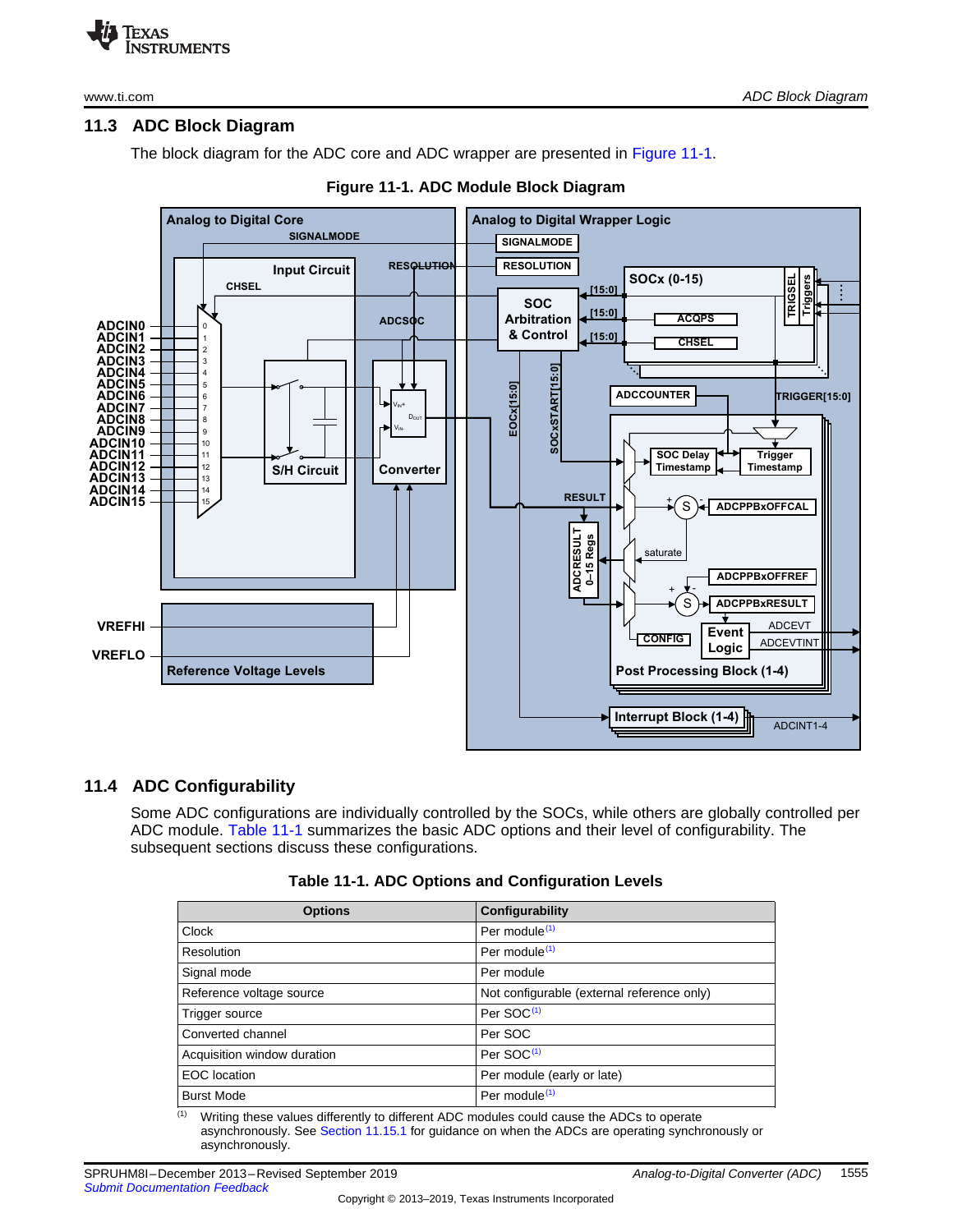

[www.ti.com](http://www.ti.com) *ADC Block Diagram*

# <span id="page-3-0"></span>**11.3 ADC Block Diagram**

The block diagram for the ADC core and ADC wrapper are presented in [Figure](#page-3-2) 11-1.

<span id="page-3-2"></span>

#### **Figure 11-1. ADC Module Block Diagram**

# <span id="page-3-3"></span><span id="page-3-1"></span>**11.4 ADC Configurability**

Some ADC configurations are individually controlled by the SOCs, while others are globally controlled per ADC module. [Table](#page-3-3) 11-1 summarizes the basic ADC options and their level of configurability. The subsequent sections discuss these configurations.

| <b>Options</b>              | Configurability                            |
|-----------------------------|--------------------------------------------|
| Clock                       | Per module <sup>(1)</sup>                  |
| Resolution                  | Per module <sup>(1)</sup>                  |
| Signal mode                 | Per module                                 |
| Reference voltage source    | Not configurable (external reference only) |
| Trigger source              | Per SOC <sup>(1)</sup>                     |
| Converted channel           | Per SOC                                    |
| Acquisition window duration | Per SOC <sup>(1)</sup>                     |
| <b>EOC</b> location         | Per module (early or late)                 |
| <b>Burst Mode</b>           | Per module <sup>(1)</sup>                  |
|                             |                                            |

 $<sup>(1)</sup>$  Writing these values differently to different ADC modules could cause the ADCs to operate</sup> asynchronously. See Section [11.15.1](#page--1-7) for guidance on when the ADCs are operating synchronously or asynchronously.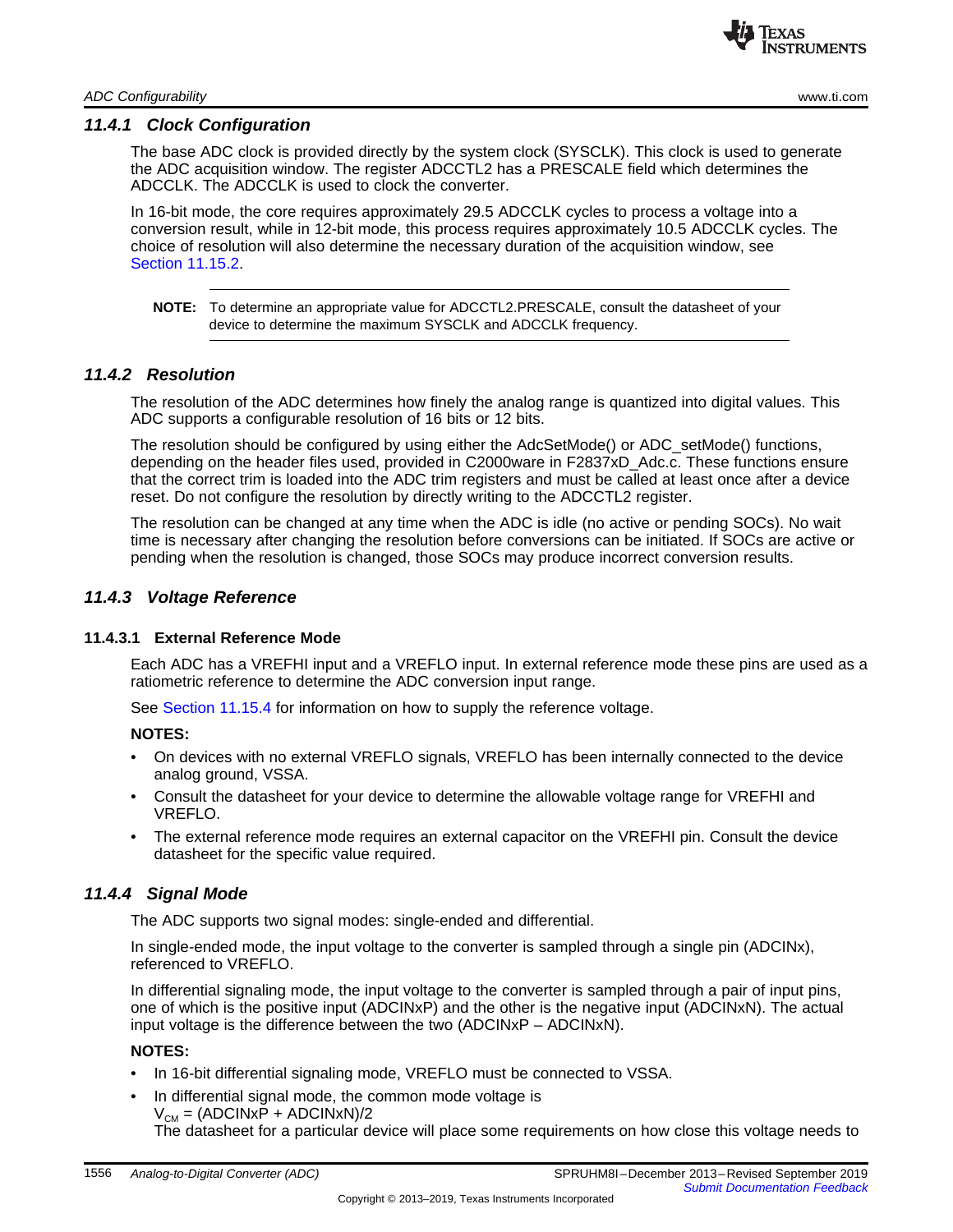

#### *11.4.1 Clock Configuration*

The base ADC clock is provided directly by the system clock (SYSCLK). This clock is used to generate the ADC acquisition window. The register ADCCTL2 has a PRESCALE field which determines the ADCCLK. The ADCCLK is used to clock the converter.

In 16-bit mode, the core requires approximately 29.5 ADCCLK cycles to process a voltage into a conversion result, while in 12-bit mode, this process requires approximately 10.5 ADCCLK cycles. The choice of resolution will also determine the necessary duration of the acquisition window, see Section [11.15.2.](#page--1-8)

**NOTE:** To determine an appropriate value for ADCCTL2.PRESCALE, consult the datasheet of your device to determine the maximum SYSCLK and ADCCLK frequency.

#### *11.4.2 Resolution*

The resolution of the ADC determines how finely the analog range is quantized into digital values. This ADC supports a configurable resolution of 16 bits or 12 bits.

The resolution should be configured by using either the AdcSetMode() or ADC\_setMode() functions, depending on the header files used, provided in C2000ware in F2837xD\_Adc.c. These functions ensure that the correct trim is loaded into the ADC trim registers and must be called at least once after a device reset. Do not configure the resolution by directly writing to the ADCCTL2 register.

The resolution can be changed at any time when the ADC is idle (no active or pending SOCs). No wait time is necessary after changing the resolution before conversions can be initiated. If SOCs are active or pending when the resolution is changed, those SOCs may produce incorrect conversion results.

#### *11.4.3 Voltage Reference*

#### **11.4.3.1 External Reference Mode**

Each ADC has a VREFHI input and a VREFLO input. In external reference mode these pins are used as a ratiometric reference to determine the ADC conversion input range.

See [Section](#page--1-9) 11.15.4 for information on how to supply the reference voltage.

#### **NOTES:**

- On devices with no external VREFLO signals, VREFLO has been internally connected to the device analog ground, VSSA.
- Consult the datasheet for your device to determine the allowable voltage range for VREFHI and VREFLO.
- The external reference mode requires an external capacitor on the VREFHI pin. Consult the device datasheet for the specific value required.

#### *11.4.4 Signal Mode*

The ADC supports two signal modes: single-ended and differential.

In single-ended mode, the input voltage to the converter is sampled through a single pin (ADCINx), referenced to VREFLO.

In differential signaling mode, the input voltage to the converter is sampled through a pair of input pins, one of which is the positive input (ADCINxP) and the other is the negative input (ADCINxN). The actual input voltage is the difference between the two (ADCINxP – ADCINxN).

#### **NOTES:**

- In 16-bit differential signaling mode, VREFLO must be connected to VSSA.
- In differential signal mode, the common mode voltage is  $V_{CM} = (ADCINx\overline{P} + ADCINxN)/2$

The datasheet for a particular device will place some requirements on how close this voltage needs to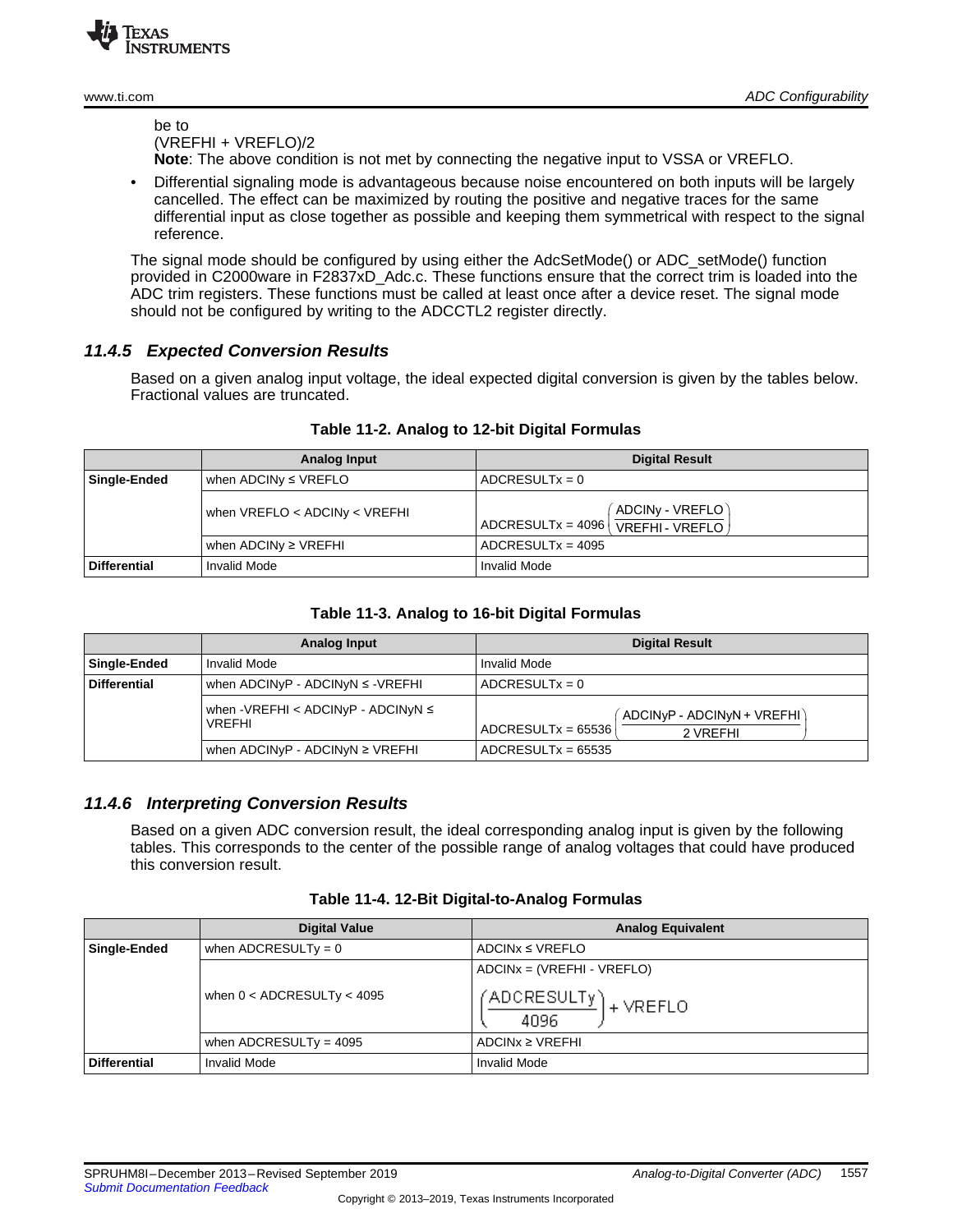be to (VREFHI + VREFLO)/2

**Note**: The above condition is not met by connecting the negative input to VSSA or VREFLO.

• Differential signaling mode is advantageous because noise encountered on both inputs will be largely cancelled. The effect can be maximized by routing the positive and negative traces for the same differential input as close together as possible and keeping them symmetrical with respect to the signal reference.

The signal mode should be configured by using either the AdcSetMode() or ADC\_setMode() function provided in C2000ware in F2837xD\_Adc.c. These functions ensure that the correct trim is loaded into the ADC trim registers. These functions must be called at least once after a device reset. The signal mode should not be configured by writing to the ADCCTL2 register directly.

# *11.4.5 Expected Conversion Results*

Based on a given analog input voltage, the ideal expected digital conversion is given by the tables below. Fractional values are truncated.

|                     | Analog Input                    | <b>Digital Result</b>                                                      |
|---------------------|---------------------------------|----------------------------------------------------------------------------|
| Single-Ended        | when ADCINy $\leq$ VREFLO       | $ADCRESULTx = 0$                                                           |
|                     | when $VREFLO < ADCINV < VREFHI$ | ADCINy - VREFLO)<br>$ADCRESULT = 4096$<br>, VREFHI - VREFLO $\overline{)}$ |
|                     | when ADCIN $y \geq$ VREFHI      | $ADCRESULTx = 4095$                                                        |
| <b>Differential</b> | <b>Invalid Mode</b>             | <b>Invalid Mode</b>                                                        |

#### **Table 11-2. Analog to 12-bit Digital Formulas**

#### **Table 11-3. Analog to 16-bit Digital Formulas**

|                     | Analog Input                                             | <b>Digital Result</b>                                          |  |
|---------------------|----------------------------------------------------------|----------------------------------------------------------------|--|
| Single-Ended        | Invalid Mode                                             | Invalid Mode                                                   |  |
| <b>Differential</b> | when $ADCINyP - ADCINyN \le -VREFHI$                     | $ADCRESULTx = 0$                                               |  |
|                     | when -VREFHI < ADCINyP - ADCINyN $\leq$<br><b>VREFHI</b> | ADCINyP - ADCINyN + VREFHI<br>$ADCRESULTx = 65536$<br>2 VRFFHI |  |
|                     | when $ADCINyP - ADCINyN \ge VREFHI$                      | $ADCRESULTx = 65535$                                           |  |

# *11.4.6 Interpreting Conversion Results*

Based on a given ADC conversion result, the ideal corresponding analog input is given by the following tables. This corresponds to the center of the possible range of analog voltages that could have produced this conversion result.

|                     | <b>Digital Value</b>           | <b>Analog Equivalent</b>      |
|---------------------|--------------------------------|-------------------------------|
| <b>Single-Ended</b> | when ADCRESULTy = $0$          | $ADCINX \le VREFLO$           |
|                     |                                | $ADCINx = (VREFHI - VREFLO)$  |
|                     | when $0 <$ ADCRESULTy $<$ 4095 | (ADCRESULTy) + VREFLO<br>4096 |
|                     | when ADCRESULTy = $4095$       | $ADCINX \ge VREFHI$           |
| <b>Differential</b> | <b>Invalid Mode</b>            | Invalid Mode                  |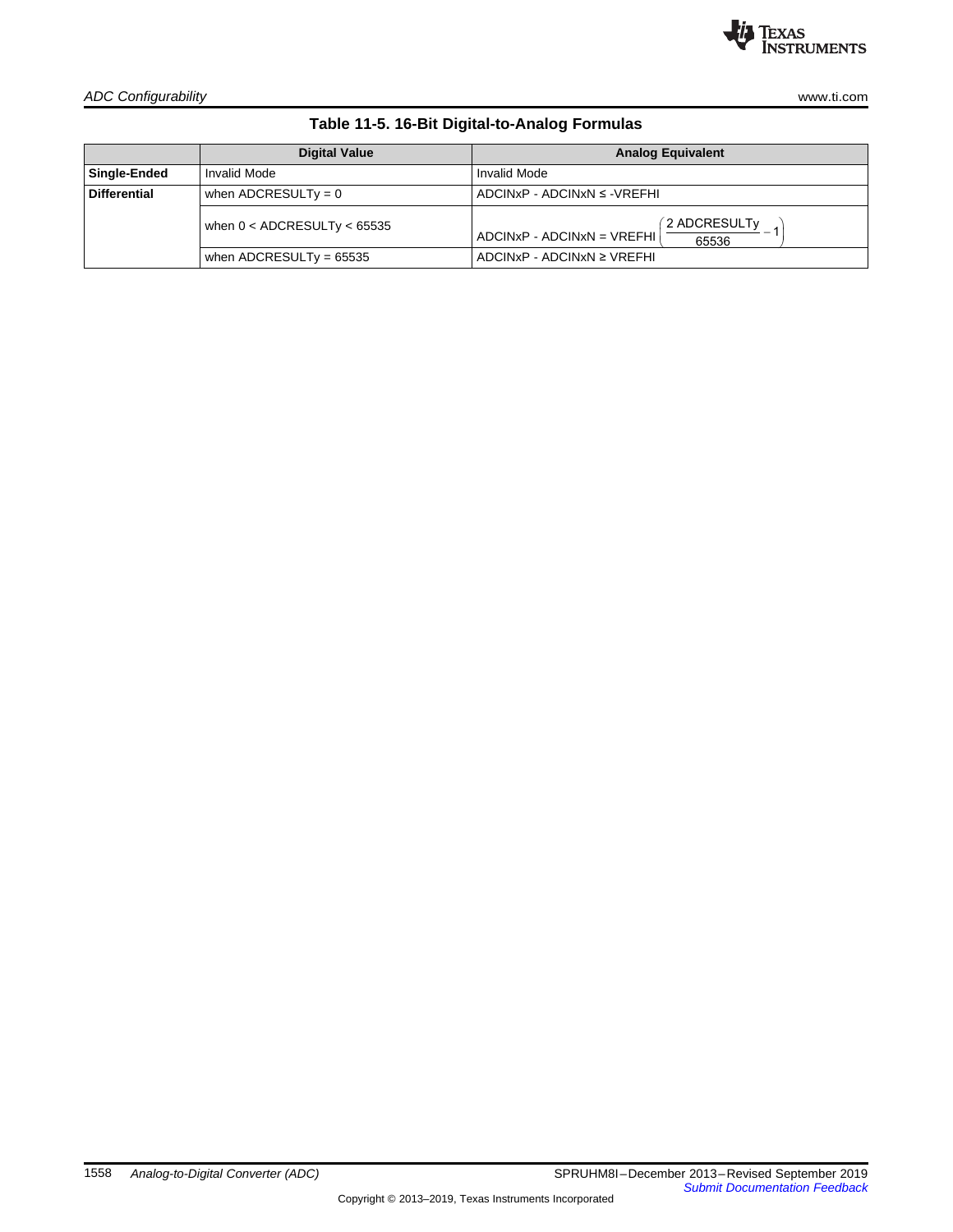

*ADC Configurability* [www.ti.com](http://www.ti.com)

**Table 11-5. 16-Bit Digital-to-Analog Formulas**

|                     | <b>Digital Value</b>            | <b>Analog Equivalent</b>                              |  |
|---------------------|---------------------------------|-------------------------------------------------------|--|
| Single-Ended        | Invalid Mode                    | Invalid Mode                                          |  |
| <b>Differential</b> | when ADCRESULTy = $0$           | $ADCINXP - ADCINxN \leq -VREFHI$                      |  |
|                     | when $0 <$ ADCRESULTy $<$ 65535 | 2 ADCRESULTy<br>$ADCINXP - ADCINxN = VREFHI$<br>65536 |  |
|                     | when ADCRESULTy = $65535$       | $ADCINXP - ADCINxN \ge VREFHI$                        |  |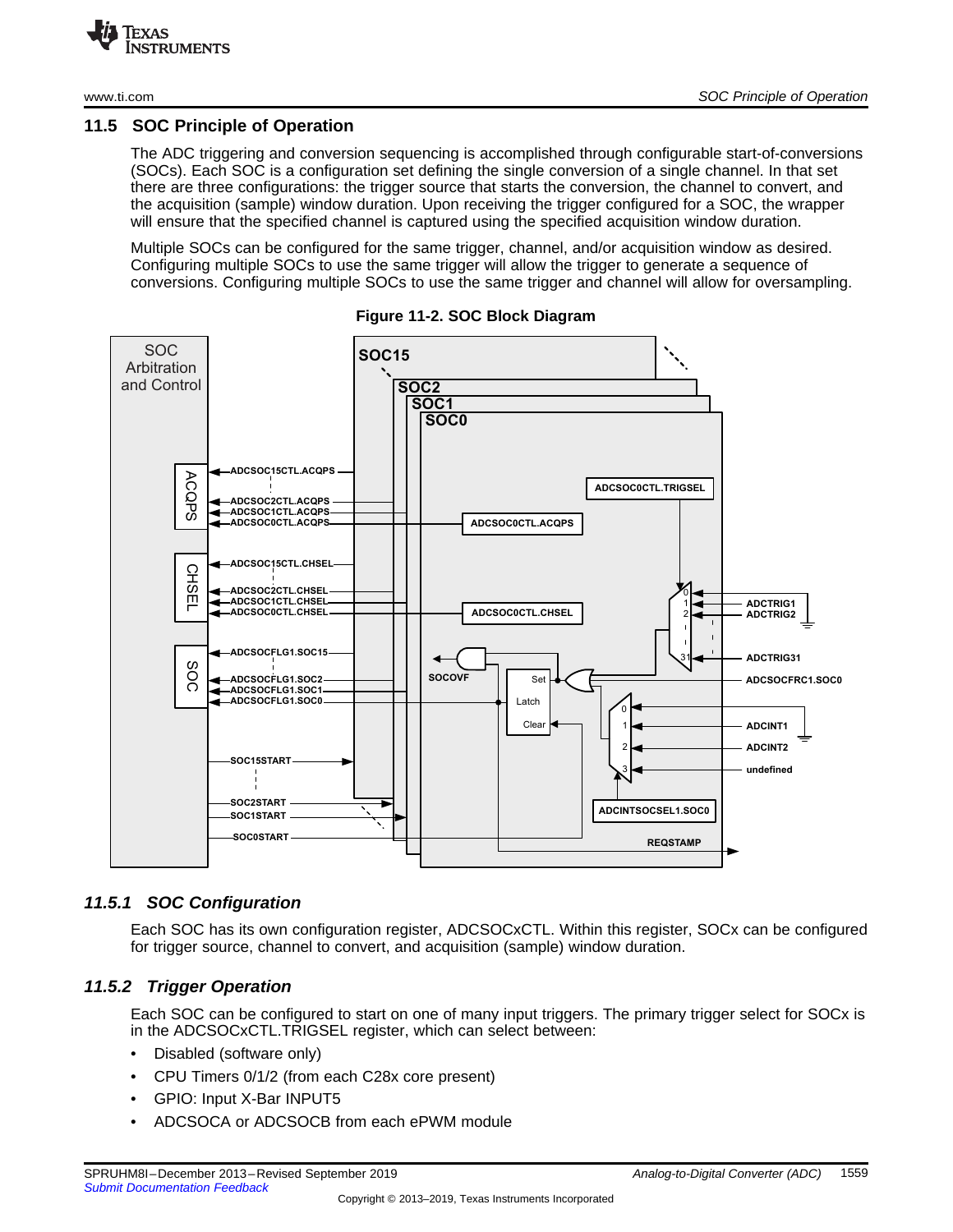### <span id="page-7-0"></span>**11.5 SOC Principle of Operation**

The ADC triggering and conversion sequencing is accomplished through configurable start-of-conversions (SOCs). Each SOC is a configuration set defining the single conversion of a single channel. In that set there are three configurations: the trigger source that starts the conversion, the channel to convert, and the acquisition (sample) window duration. Upon receiving the trigger configured for a SOC, the wrapper will ensure that the specified channel is captured using the specified acquisition window duration.

Multiple SOCs can be configured for the same trigger, channel, and/or acquisition window as desired. Configuring multiple SOCs to use the same trigger will allow the trigger to generate a sequence of conversions. Configuring multiple SOCs to use the same trigger and channel will allow for oversampling.



**Figure 11-2. SOC Block Diagram**

# *11.5.1 SOC Configuration*

Each SOC has its own configuration register, ADCSOCxCTL. Within this register, SOCx can be configured for trigger source, channel to convert, and acquisition (sample) window duration.

# *11.5.2 Trigger Operation*

Each SOC can be configured to start on one of many input triggers. The primary trigger select for SOCx is in the ADCSOCxCTL.TRIGSEL register, which can select between:

- Disabled (software only)
- CPU Timers 0/1/2 (from each C28x core present)
- GPIO: Input X-Bar INPUT5
- ADCSOCA or ADCSOCB from each ePWM module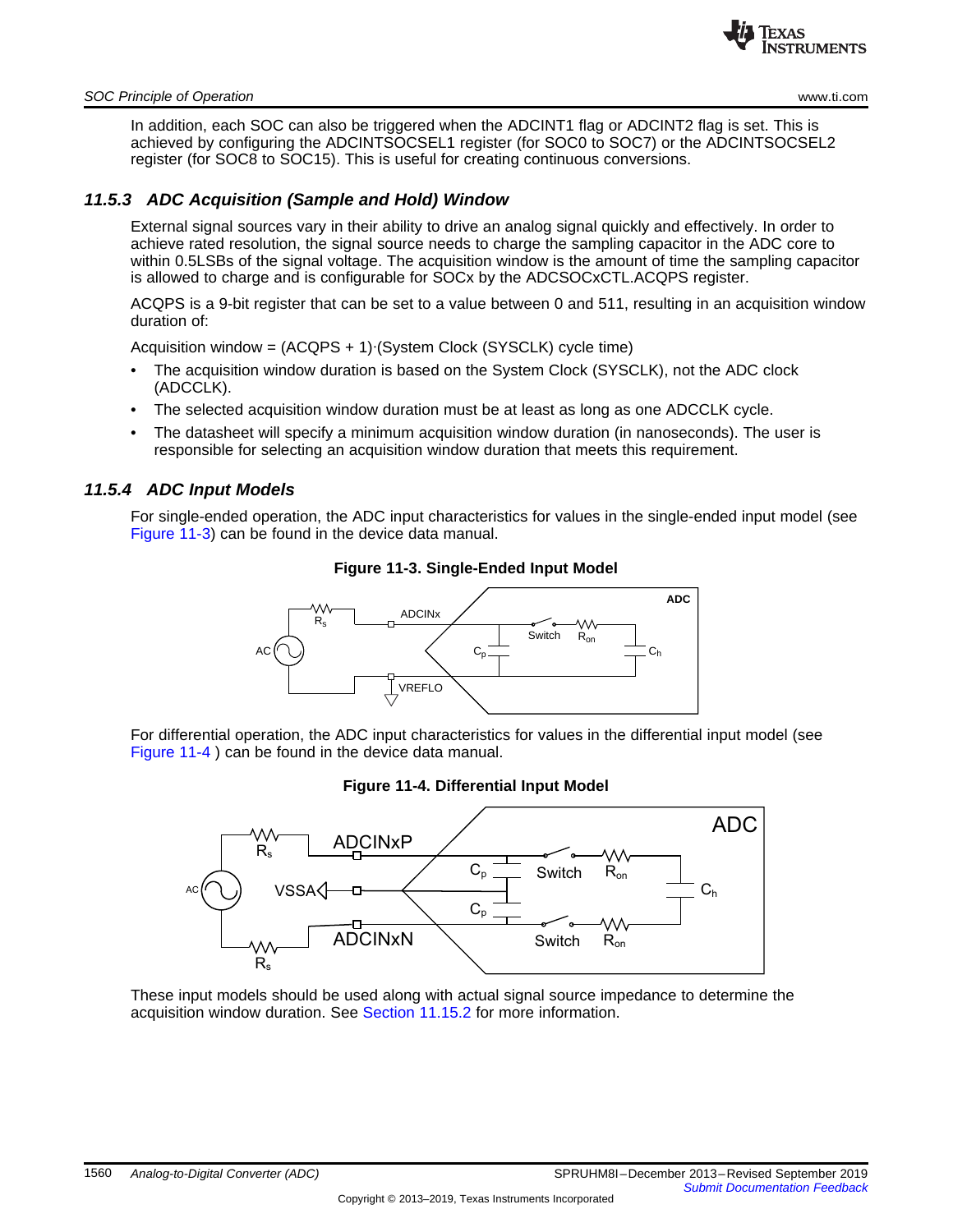

#### *SOC Principle of Operation* [www.ti.com](http://www.ti.com)

In addition, each SOC can also be triggered when the ADCINT1 flag or ADCINT2 flag is set. This is achieved by configuring the ADCINTSOCSEL1 register (for SOC0 to SOC7) or the ADCINTSOCSEL2 register (for SOC8 to SOC15). This is useful for creating continuous conversions.

# *11.5.3 ADC Acquisition (Sample and Hold) Window*

External signal sources vary in their ability to drive an analog signal quickly and effectively. In order to achieve rated resolution, the signal source needs to charge the sampling capacitor in the ADC core to within 0.5LSBs of the signal voltage. The acquisition window is the amount of time the sampling capacitor is allowed to charge and is configurable for SOCx by the ADCSOCxCTL.ACQPS register.

ACQPS is a 9-bit register that can be set to a value between 0 and 511, resulting in an acquisition window duration of:

Acquisition window = (ACQPS + 1)∙(System Clock (SYSCLK) cycle time)

- The acquisition window duration is based on the System Clock (SYSCLK), not the ADC clock (ADCCLK).
- The selected acquisition window duration must be at least as long as one ADCCLK cycle.
- The datasheet will specify a minimum acquisition window duration (in nanoseconds). The user is responsible for selecting an acquisition window duration that meets this requirement.

#### <span id="page-8-0"></span>*11.5.4 ADC Input Models*

For single-ended operation, the ADC input characteristics for values in the single-ended input model (see [Figure](#page-8-0) 11-3) can be found in the device data manual.

#### **Figure 11-3. Single-Ended Input Model**



<span id="page-8-1"></span>For differential operation, the ADC input characteristics for values in the differential input model (see [Figure](#page-8-1) 11-4 ) can be found in the device data manual.

#### **Figure 11-4. Differential Input Model**



These input models should be used along with actual signal source impedance to determine the acquisition window duration. See Section [11.15.2](#page--1-8) for more information.

Copyright © 2013–2019, Texas Instruments Incorporated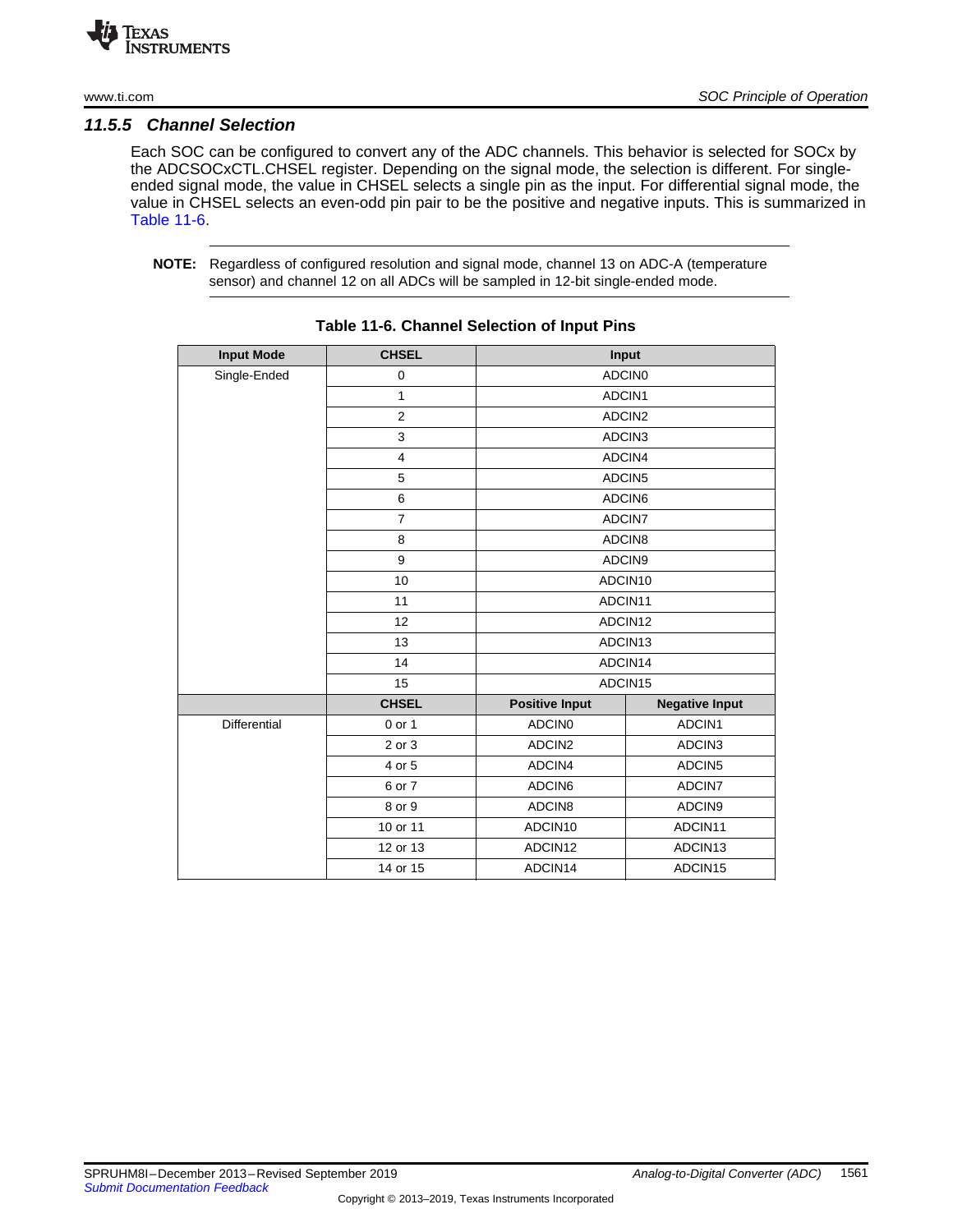

# *11.5.5 Channel Selection*

Each SOC can be configured to convert any of the ADC channels. This behavior is selected for SOCx by the ADCSOCxCTL.CHSEL register. Depending on the signal mode, the selection is different. For singleended signal mode, the value in CHSEL selects a single pin as the input. For differential signal mode, the value in CHSEL selects an even-odd pin pair to be the positive and negative inputs. This is summarized in [Table](#page-9-0) 11-6.

<span id="page-9-0"></span>**NOTE:** Regardless of configured resolution and signal mode, channel 13 on ADC-A (temperature sensor) and channel 12 on all ADCs will be sampled in 12-bit single-ended mode.

| <b>Input Mode</b> | <b>CHSEL</b>   |                       | Input                 |  |
|-------------------|----------------|-----------------------|-----------------------|--|
| Single-Ended      | $\pmb{0}$      | ADCIN0                |                       |  |
|                   | $\mathbf{1}$   | ADCIN1                |                       |  |
|                   | $\overline{2}$ | ADCIN2                |                       |  |
|                   | 3              |                       | ADCIN3                |  |
|                   | $\overline{4}$ |                       | ADCIN4                |  |
|                   | 5              |                       | ADCIN5                |  |
|                   | 6              | ADCIN6                |                       |  |
|                   | $\overline{7}$ |                       | ADCIN7                |  |
|                   | 8              |                       | ADCIN8                |  |
|                   | 9              | ADCIN9                |                       |  |
|                   | 10             | ADCIN10               |                       |  |
|                   | 11             |                       | ADCIN11               |  |
|                   | 12             | ADCIN12               |                       |  |
|                   | 13             | ADCIN13               |                       |  |
|                   | 14             | ADCIN14               |                       |  |
|                   | 15             | ADCIN15               |                       |  |
|                   | <b>CHSEL</b>   | <b>Positive Input</b> | <b>Negative Input</b> |  |
| Differential      | 0 or 1         | ADCIN <sub>0</sub>    | ADCIN1                |  |
|                   | 2 or 3         | ADCIN2                | ADCIN3                |  |
|                   | 4 or 5         | ADCIN4                | ADCIN5                |  |
|                   | 6 or 7         | ADCIN6                | ADCIN7                |  |
|                   | 8 or 9         | ADCIN8                | ADCIN9                |  |
|                   | 10 or 11       | ADCIN10               | ADCIN11               |  |
|                   | 12 or 13       | ADCIN12               | ADCIN13               |  |
|                   | 14 or 15       | ADCIN14               | ADCIN15               |  |

**Table 11-6. Channel Selection of Input Pins**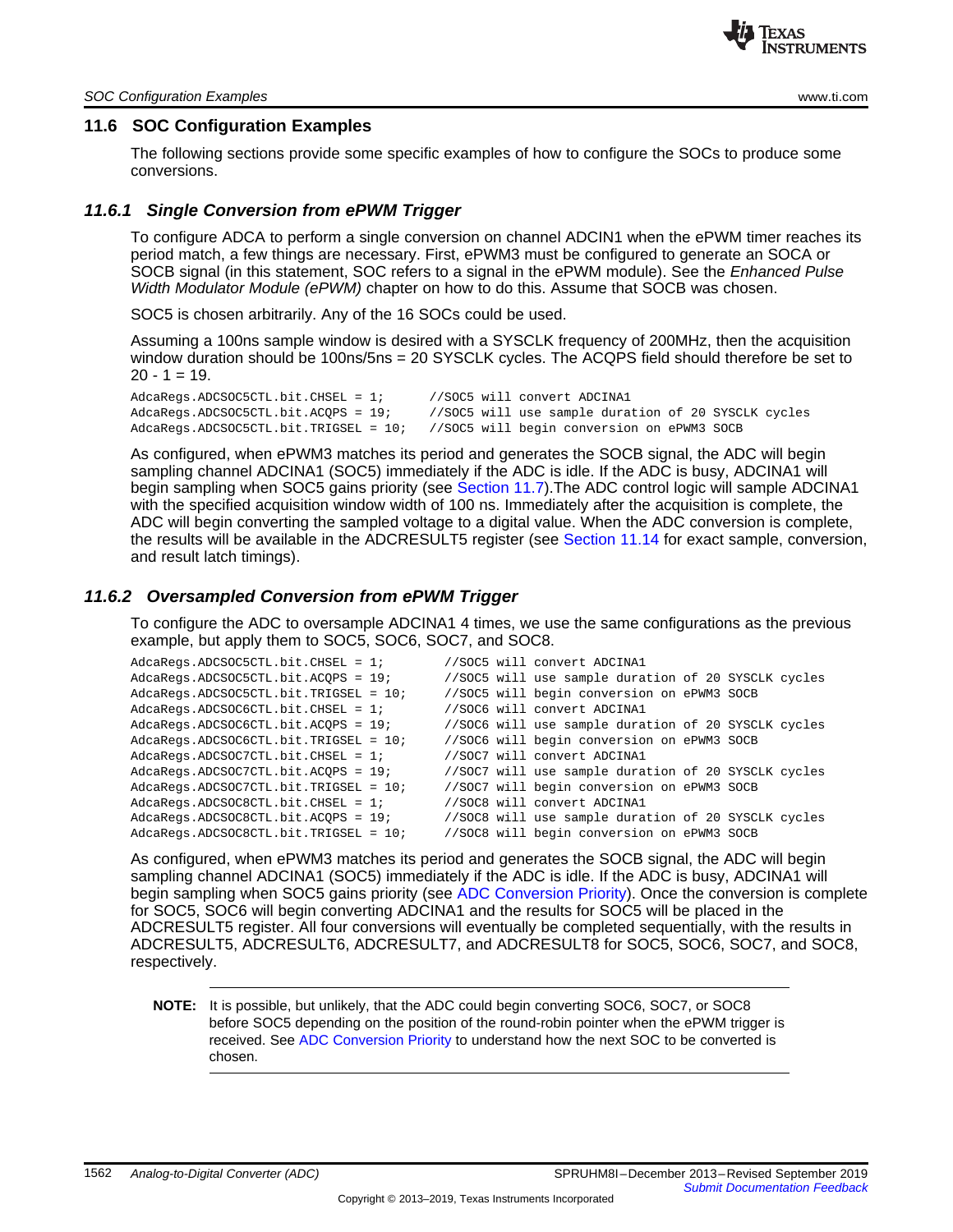

#### <span id="page-10-0"></span>**11.6 SOC Configuration Examples**

The following sections provide some specific examples of how to configure the SOCs to produce some conversions.

#### *11.6.1 Single Conversion from ePWM Trigger*

To configure ADCA to perform a single conversion on channel ADCIN1 when the ePWM timer reaches its period match, a few things are necessary. First, ePWM3 must be configured to generate an SOCA or SOCB signal (in this statement, SOC refers to a signal in the ePWM module). See the *Enhanced Pulse Width Modulator Module (ePWM)* chapter on how to do this. Assume that SOCB was chosen.

SOC5 is chosen arbitrarily. Any of the 16 SOCs could be used.

Assuming a 100ns sample window is desired with a SYSCLK frequency of 200MHz, then the acquisition window duration should be 100ns/5ns = 20 SYSCLK cycles. The ACQPS field should therefore be set to  $20 - 1 = 19$ .

AdcaRegs.ADCSOC5CTL.bit.CHSEL = 1; //SOC5 will convert ADCINA1 AdcaRegs.ADCSOC5CTL.bit.ACQPS = 19; //SOC5 will use sample duration of 20 SYSCLK cycles AdcaRegs.ADCSOC5CTL.bit.TRIGSEL = 10; //SOC5 will begin conversion on ePWM3 SOCB

As configured, when ePWM3 matches its period and generates the SOCB signal, the ADC will begin sampling channel ADCINA1 (SOC5) immediately if the ADC is idle. If the ADC is busy, ADCINA1 will begin sampling when SOC5 gains priority (see [Section](#page-12-0) 11.7).The ADC control logic will sample ADCINA1 with the specified acquisition window width of 100 ns. Immediately after the acquisition is complete, the ADC will begin converting the sampled voltage to a digital value. When the ADC conversion is complete, the results will be available in the ADCRESULT5 register (see [Section](#page--1-5) 11.14 for exact sample, conversion, and result latch timings).

#### *11.6.2 Oversampled Conversion from ePWM Trigger*

To configure the ADC to oversample ADCINA1 4 times, we use the same configurations as the previous example, but apply them to SOC5, SOC6, SOC7, and SOC8.

| $AdcaReqs. ADCSOC5CTL.bit. CHSEL = 17$  | //SOC5 will convert ADCINA1                         |
|-----------------------------------------|-----------------------------------------------------|
| $AdcaReqs. ADCSOC5CTL.bit. ACOPS = 19;$ | //SOC5 will use sample duration of 20 SYSCLK cycles |
| AdcaRegs.ADCSOC5CTL.bit.TRIGSEL = 10;   | //SOC5 will begin conversion on ePWM3 SOCB          |
| $AdcaReqs. ADCSOC6CTL.bit. CHSEL = 17$  | //SOC6 will convert ADCINA1                         |
| $AdcaReqs. ADCSOC6CTL.bit. ACOPS = 19;$ | //SOC6 will use sample duration of 20 SYSCLK cycles |
| AdcaRegs.ADCSOC6CTL.bit.TRIGSEL = 10;   | //SOC6 will begin conversion on ePWM3 SOCB          |
| $AdcaReqs. ADCSOC7CTL.bit. CHSEL = 17$  | //SOC7 will convert ADCINA1                         |
| $AdcaReqs. ADCSOC7CTL.bit. ACOPS = 197$ | //SOC7 will use sample duration of 20 SYSCLK cycles |
| AdcaRegs.ADCSOC7CTL.bit.TRIGSEL = 10;   | //SOC7 will begin conversion on ePWM3 SOCB          |
| $AdcaReqs. ADCSOC8CTL.bit. CHSEL = 17$  | //SOC8 will convert ADCINA1                         |
| $AdcaReqs. ADCSOC8CTL.bit. ACOPS = 19;$ | //SOC8 will use sample duration of 20 SYSCLK cycles |
| AdcaRegs.ADCSOC8CTL.bit.TRIGSEL = 10;   | //SOC8 will begin conversion on ePWM3 SOCB          |
|                                         |                                                     |

As configured, when ePWM3 matches its period and generates the SOCB signal, the ADC will begin sampling channel ADCINA1 (SOC5) immediately if the ADC is idle. If the ADC is busy, ADCINA1 will begin sampling when SOC5 gains priority (see ADC [Conversion](#page-12-0) Priority). Once the conversion is complete for SOC5, SOC6 will begin converting ADCINA1 and the results for SOC5 will be placed in the ADCRESULT5 register. All four conversions will eventually be completed sequentially, with the results in ADCRESULT5, ADCRESULT6, ADCRESULT7, and ADCRESULT8 for SOC5, SOC6, SOC7, and SOC8, respectively.

**NOTE:** It is possible, but unlikely, that the ADC could begin converting SOC6, SOC7, or SOC8 before SOC5 depending on the position of the round-robin pointer when the ePWM trigger is received. See ADC [Conversion](#page-12-0) Priority to understand how the next SOC to be converted is chosen.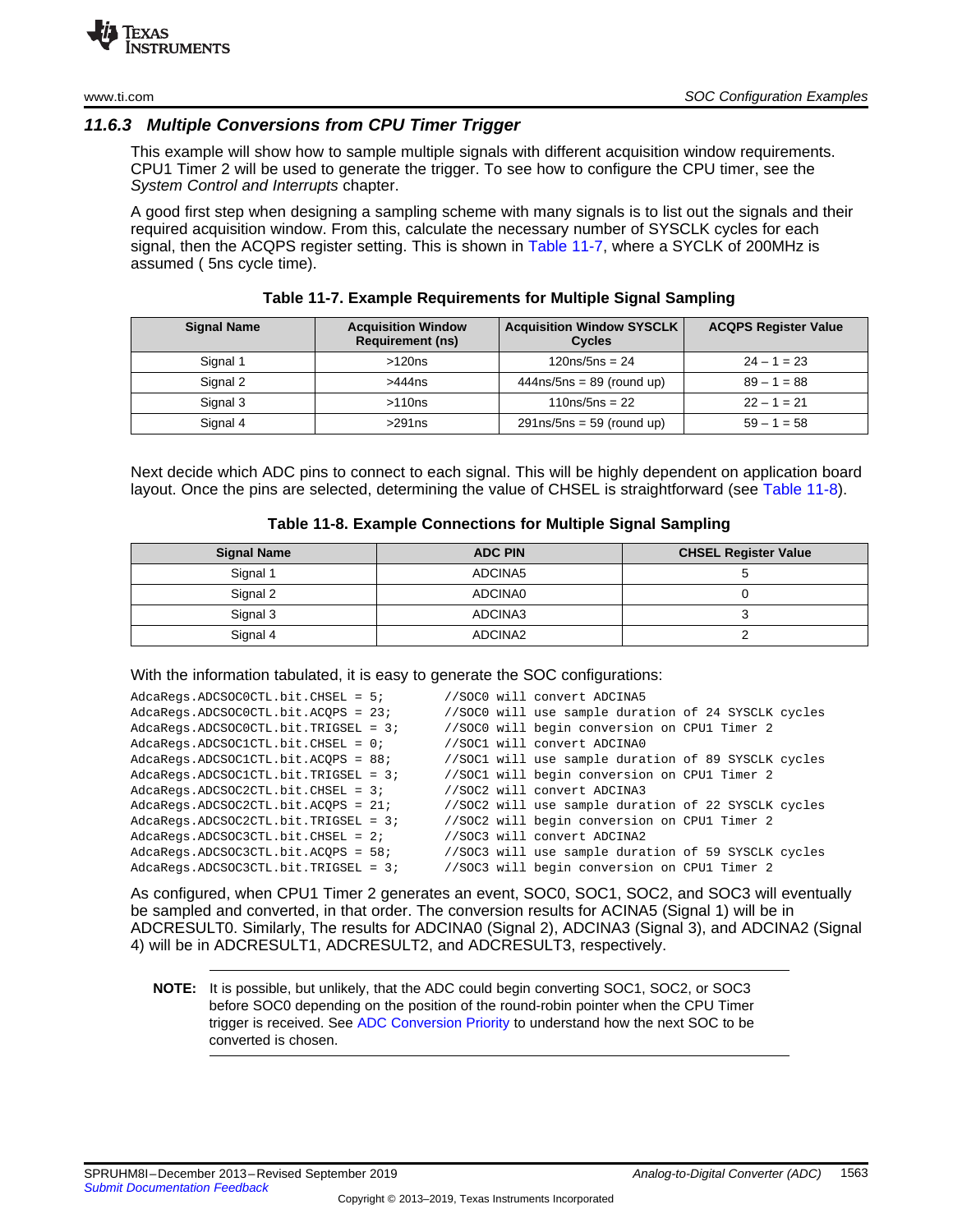# *11.6.3 Multiple Conversions from CPU Timer Trigger*

This example will show how to sample multiple signals with different acquisition window requirements. CPU1 Timer 2 will be used to generate the trigger. To see how to configure the CPU timer, see the *System Control and Interrupts* chapter.

A good first step when designing a sampling scheme with many signals is to list out the signals and their required acquisition window. From this, calculate the necessary number of SYSCLK cycles for each signal, then the ACQPS register setting. This is shown in [Table](#page-11-0) 11-7, where a SYCLK of 200MHz is assumed ( 5ns cycle time).

<span id="page-11-0"></span>

| <b>Signal Name</b> | <b>Acquisition Window</b><br><b>Requirement (ns)</b> | <b>Acquisition Window SYSCLK</b><br><b>Cycles</b> | <b>ACQPS Register Value</b> |
|--------------------|------------------------------------------------------|---------------------------------------------------|-----------------------------|
| Signal 1           | >120ns                                               | $120ns/5ns = 24$                                  | $24 - 1 = 23$               |
| Signal 2           | >444ns                                               | $444$ ns/5ns = 89 (round up)                      | $89 - 1 = 88$               |
| Signal 3           | >110ns                                               | $110ns/5ns = 22$                                  | $22 - 1 = 21$               |
| Signal 4           | >291ns                                               | $291$ ns/5ns = 59 (round up)                      | $59 - 1 = 58$               |

**Table 11-7. Example Requirements for Multiple Signal Sampling**

Next decide which ADC pins to connect to each signal. This will be highly dependent on application board layout. Once the pins are selected, determining the value of CHSEL is straightforward (see [Table](#page-11-1) 11-8).

#### **Table 11-8. Example Connections for Multiple Signal Sampling**

<span id="page-11-1"></span>

| <b>Signal Name</b> | <b>ADC PIN</b> | <b>CHSEL Register Value</b> |
|--------------------|----------------|-----------------------------|
| Signal 1           | ADCINA5        |                             |
| Signal 2           | ADCINA0        |                             |
| Signal 3           | ADCINA3        |                             |
| Signal 4           | ADCINA2        |                             |

#### With the information tabulated, it is easy to generate the SOC configurations:

| $AdcaReqs. ADCSOC0CTL.bit. CHSEL = 5;$   |  | //SOC0 will convert ADCINA5                         |  |
|------------------------------------------|--|-----------------------------------------------------|--|
| AdcaRegs.ADCSOCOCTL.bit.ACOPS = 23;      |  | //SOCO will use sample duration of 24 SYSCLK cycles |  |
| $AdcaReqs. ADCSOC0CTL.bit. TRIGSEL = 3;$ |  | //SOCO will begin conversion on CPU1 Timer 2        |  |
| $AdcaReqs. ADCSOC1CTL.bit. CHSEL = 0;$   |  | //SOC1 will convert ADCINA0                         |  |
| AdcaRegs.ADCSOC1CTL.bit.ACOPS = 88;      |  | //SOC1 will use sample duration of 89 SYSCLK cycles |  |
| $AdcaReqs. ADCSOC1CTL.bit. TRIGSEL = 3;$ |  | //SOC1 will begin conversion on CPU1 Timer 2        |  |
| $AdcaReqs. ADCSOC2CTL.bit. CHSEL = 3;$   |  | //SOC2 will convert ADCINA3                         |  |
| $AdcaReqs. ADCSOC2CTL.bit. ACOPS = 217$  |  | //SOC2 will use sample duration of 22 SYSCLK cycles |  |
| $AdcaReqs. ADCSOC2CTL.bit. TRIGSEL = 37$ |  | //SOC2 will begin conversion on CPU1 Timer 2        |  |
| $AdcaReqs. ADCSOC3CTL.bit. CHSEL = 27$   |  | //SOC3 will convert ADCINA2                         |  |
| $AdcaReqs. ADCSOC3CTL.bit. ACOPS = 58;$  |  | //SOC3 will use sample duration of 59 SYSCLK cycles |  |
| $AdcaReqs. ADCSOC3CTL.bit. TRIGSEL = 3;$ |  | //SOC3 will begin conversion on CPU1 Timer 2        |  |

As configured, when CPU1 Timer 2 generates an event, SOC0, SOC1, SOC2, and SOC3 will eventually be sampled and converted, in that order. The conversion results for ACINA5 (Signal 1) will be in ADCRESULT0. Similarly, The results for ADCINA0 (Signal 2), ADCINA3 (Signal 3), and ADCINA2 (Signal 4) will be in ADCRESULT1, ADCRESULT2, and ADCRESULT3, respectively.

**NOTE:** It is possible, but unlikely, that the ADC could begin converting SOC1, SOC2, or SOC3 before SOC0 depending on the position of the round-robin pointer when the CPU Timer trigger is received. See ADC [Conversion](#page-12-0) Priority to understand how the next SOC to be converted is chosen.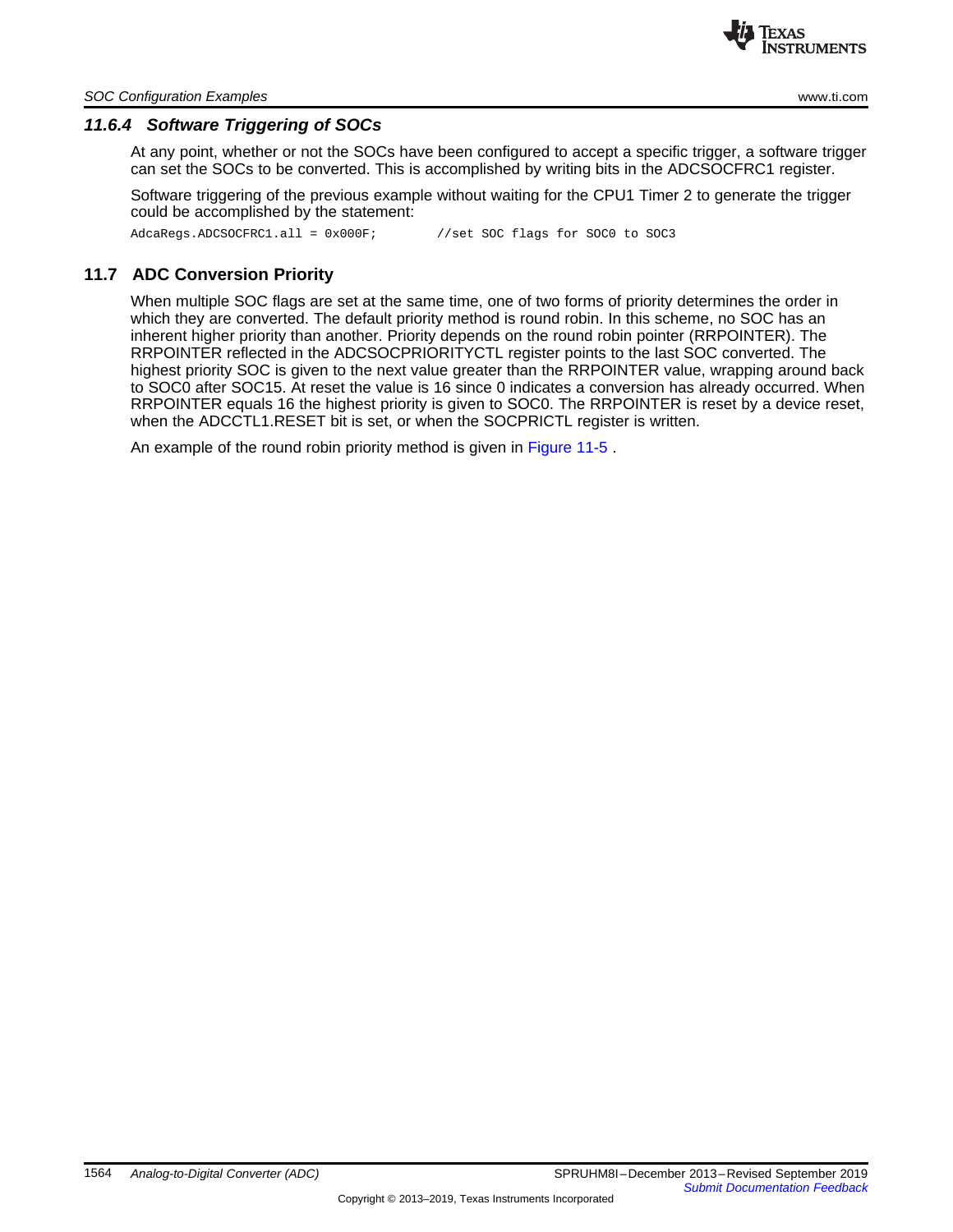

#### *SOC Configuration Examples* [www.ti.com](http://www.ti.com)

# *11.6.4 Software Triggering of SOCs*

At any point, whether or not the SOCs have been configured to accept a specific trigger, a software trigger can set the SOCs to be converted. This is accomplished by writing bits in the ADCSOCFRC1 register.

Software triggering of the previous example without waiting for the CPU1 Timer 2 to generate the trigger could be accomplished by the statement:

AdcaRegs.ADCSOCFRC1.all = 0x000F; //set SOC flags for SOC0 to SOC3

# <span id="page-12-0"></span>**11.7 ADC Conversion Priority**

When multiple SOC flags are set at the same time, one of two forms of priority determines the order in which they are converted. The default priority method is round robin. In this scheme, no SOC has an inherent higher priority than another. Priority depends on the round robin pointer (RRPOINTER). The RRPOINTER reflected in the ADCSOCPRIORITYCTL register points to the last SOC converted. The highest priority SOC is given to the next value greater than the RRPOINTER value, wrapping around back to SOC0 after SOC15. At reset the value is 16 since 0 indicates a conversion has already occurred. When RRPOINTER equals 16 the highest priority is given to SOC0. The RRPOINTER is reset by a device reset, when the ADCCTL1.RESET bit is set, or when the SOCPRICTL register is written.

An example of the round robin priority method is given in [Figure](#page-13-0) 11-5 .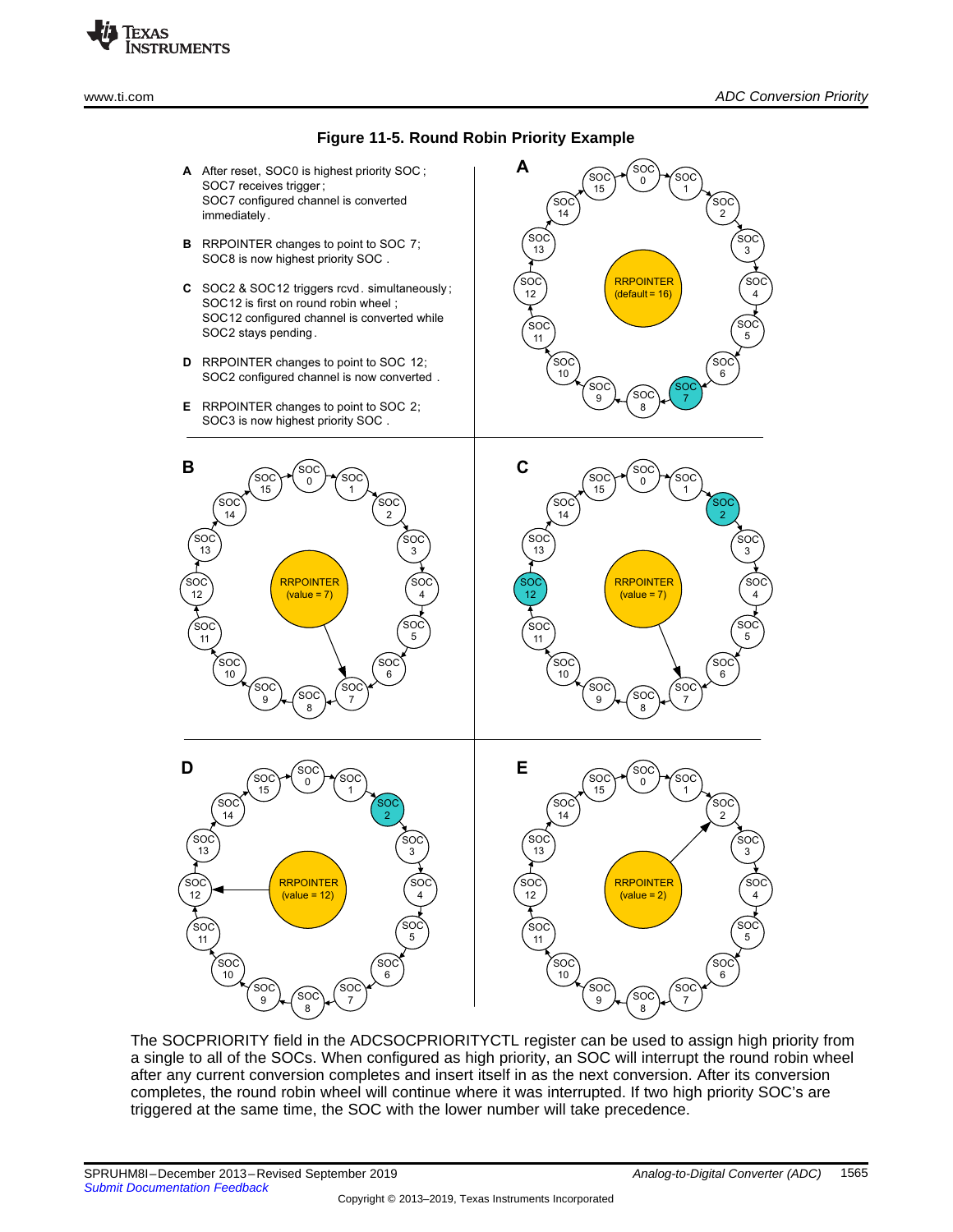

SOC 12 ์รo 0 SOC 4 .<br>SO 8 SOC 2 SOC 14 SOC 6 SOC 10 'SO 15 SOC 1 SOC 3 SOC 5 הה 7 SOC 9 SOC 11 SOC 13 RRPOINTER  $(value = 7)$ **C** SOC 12  $300$  $\overline{0}$ SOC 4 SOC 8 SOC 2 SOC 14 SOC 6 SOC 10 SOC 15 SOC 1 SOC 3 SOC 5 SOC 7 SOC 9 SOC 11 SOC 13 **RRPOINTER**  $(default = 16)$ **A** SOC 12 SOC 0 SOC 4 .<br>SO( 8 SOC 2 SOC 14 SOC  $\overline{6}$ SOC 10 SOC 15 SOC 1 SOC 3 SOC 5  $SO$ 7 SOC 9 SOC 11 SOC 13 RRPOINTER (value  $= 7$ ) **B**  $SO($ 12  $SO($  $\Omega$ SOC 4 SOC 8 SOC 2 SOC 14 SOC 6 SOC  $1<sub>0</sub>$ .<br>SO 15 SOC 1 SOC 3 SOC 5  $SO$  $\frac{1}{7}$ SOC 9 SOC 11 SOC 13 **RRPOINTER**  $(value = 12)$ **D** SOC 12 `s∩  $\Omega$ SOC 4 SOC 8 SOC 2 SOC 14 SOC 6 SOC 10 SOC 15 SOC 1 SOC 3 SOC 5 SOC 7 SOC 9 SOC 11 SOC 13 RRPOINTER  $(value = 2)$ **E A** After reset, SOC0 is highest priority SOC ; **B** RRPOINTER changes to point to SOC 7; **C** SOC2 & SOC12 triggers rcvd. simultaneously ; **D** RRPOINTER changes to point to SOC 12; **E** RRPOINTER changes to point to SOC 2; SOC7 receives trigger ; SOC7 configured channel is converted immediately. SOC8 is now highest priority SOC . SOC12 is first on round robin wheel ; SOC12 configured channel is converted while SOC2 stays pending. SOC2 configured channel is now converted . SOC3 is now highest priority SOC .

The SOCPRIORITY field in the ADCSOCPRIORITYCTL register can be used to assign high priority from a single to all of the SOCs. When configured as high priority, an SOC will interrupt the round robin wheel after any current conversion completes and insert itself in as the next conversion. After its conversion completes, the round robin wheel will continue where it was interrupted. If two high priority SOC's are triggered at the same time, the SOC with the lower number will take precedence.

<span id="page-13-0"></span>Texas

**STRUMENTS**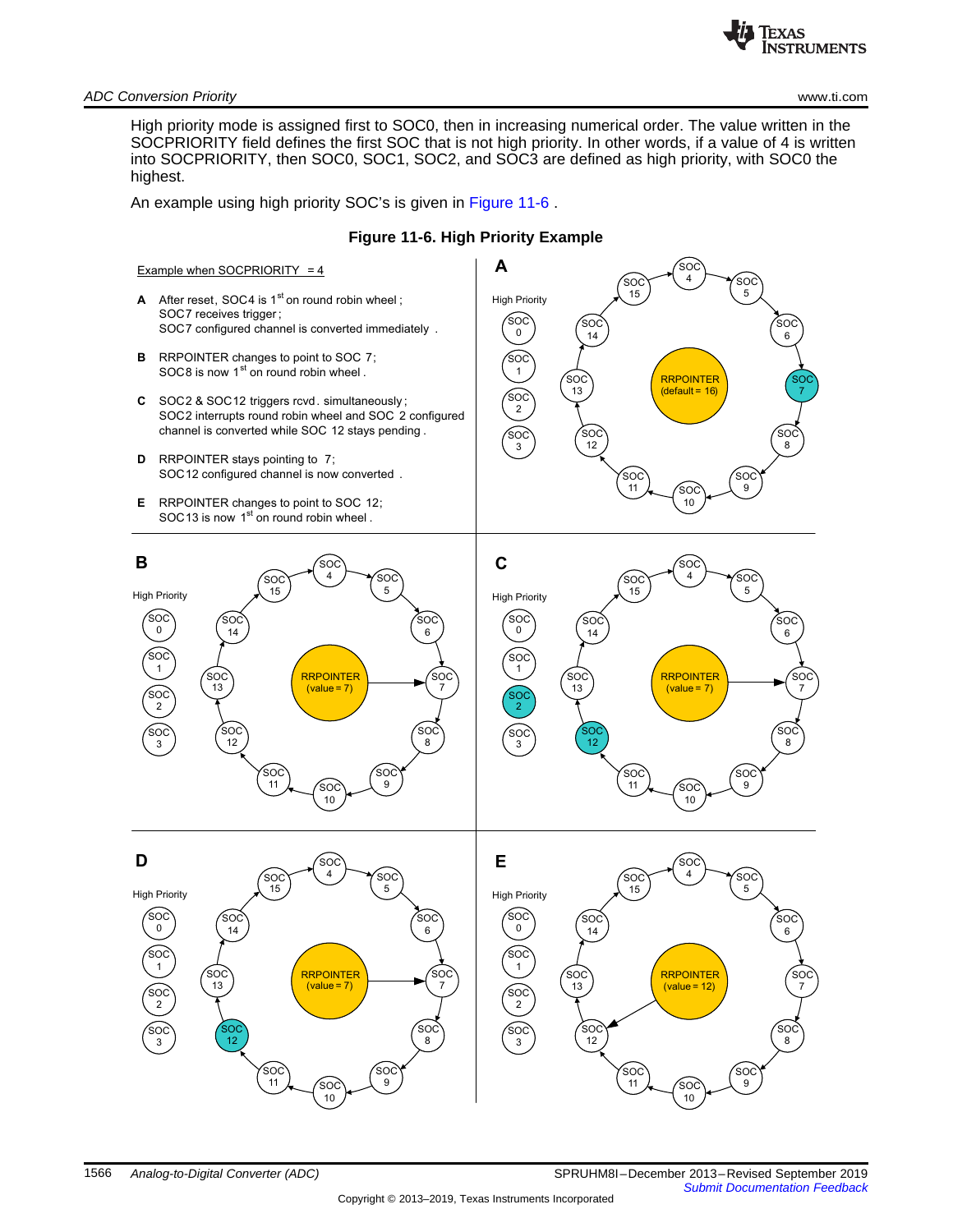

*ADC Conversion Priority* [www.ti.com](http://www.ti.com)

High priority mode is assigned first to SOC0, then in increasing numerical order. The value written in the SOCPRIORITY field defines the first SOC that is not high priority. In other words, if a value of 4 is written into SOCPRIORITY, then SOC0, SOC1, SOC2, and SOC3 are defined as high priority, with SOC0 the highest.

An example using high priority SOC's is given in [Figure](#page-14-0) 11-6 .

<span id="page-14-0"></span>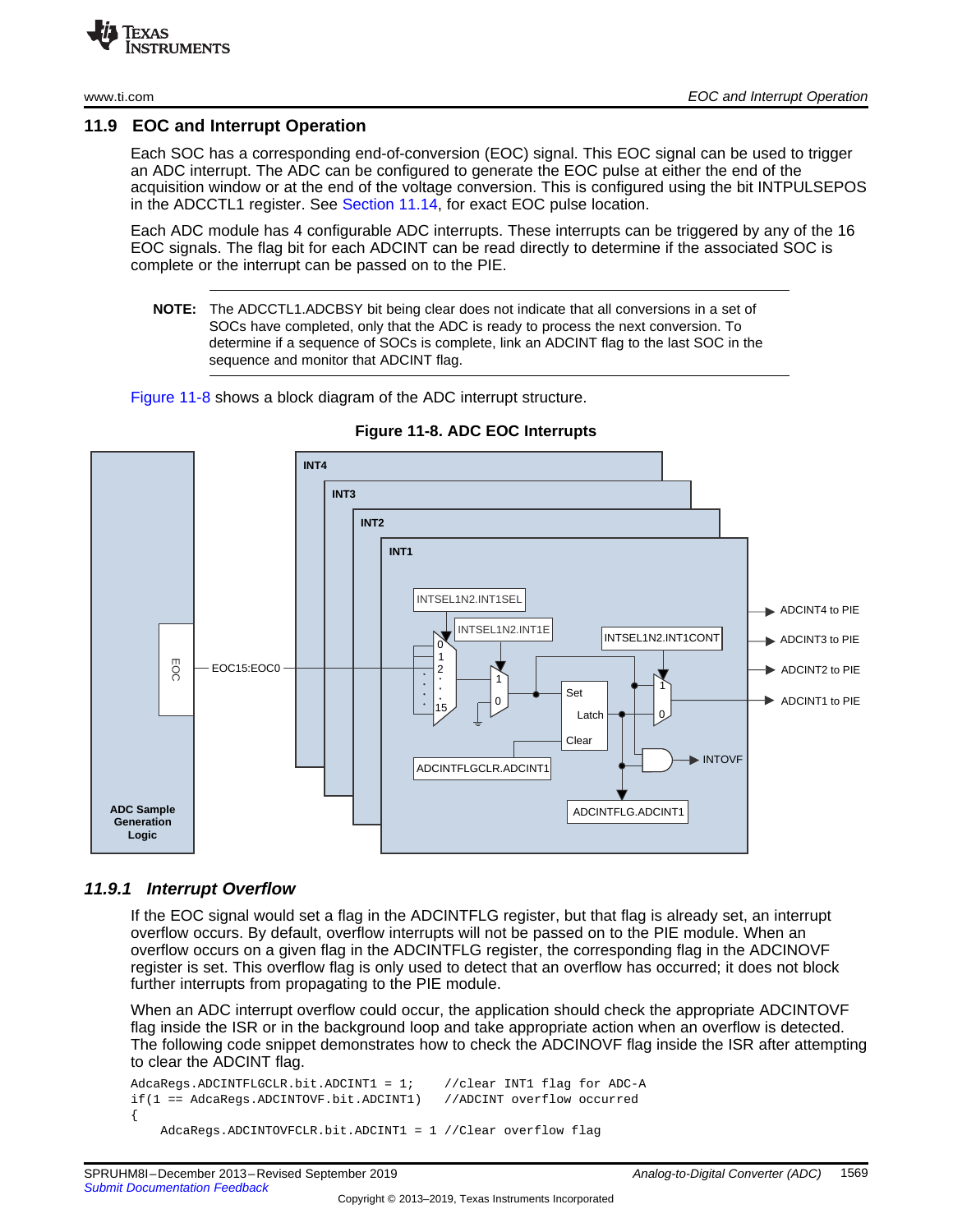#### <span id="page-15-0"></span>**11.9 EOC and Interrupt Operation**

Each SOC has a corresponding end-of-conversion (EOC) signal. This EOC signal can be used to trigger an ADC interrupt. The ADC can be configured to generate the EOC pulse at either the end of the acquisition window or at the end of the voltage conversion. This is configured using the bit INTPULSEPOS in the ADCCTL1 register. See [Section](#page--1-5) 11.14, for exact EOC pulse location.

Each ADC module has 4 configurable ADC interrupts. These interrupts can be triggered by any of the 16 EOC signals. The flag bit for each ADCINT can be read directly to determine if the associated SOC is complete or the interrupt can be passed on to the PIE.

**NOTE:** The ADCCTL1.ADCBSY bit being clear does not indicate that all conversions in a set of SOCs have completed, only that the ADC is ready to process the next conversion. To determine if a sequence of SOCs is complete, link an ADCINT flag to the last SOC in the sequence and monitor that ADCINT flag.

[Figure](#page-15-1) 11-8 shows a block diagram of the ADC interrupt structure.

<span id="page-15-1"></span>

**Figure 11-8. ADC EOC Interrupts**

# *11.9.1 Interrupt Overflow*

If the EOC signal would set a flag in the ADCINTFLG register, but that flag is already set, an interrupt overflow occurs. By default, overflow interrupts will not be passed on to the PIE module. When an overflow occurs on a given flag in the ADCINTFLG register, the corresponding flag in the ADCINOVF register is set. This overflow flag is only used to detect that an overflow has occurred; it does not block further interrupts from propagating to the PIE module.

When an ADC interrupt overflow could occur, the application should check the appropriate ADCINTOVF flag inside the ISR or in the background loop and take appropriate action when an overflow is detected. The following code snippet demonstrates how to check the ADCINOVF flag inside the ISR after attempting to clear the ADCINT flag.

```
AdcaRegs.ADCINTFLGCLR.bit.ADCINT1 = 1; //clear INT1 flag for ADC-A
if(1 == AdcaRegs.ADCINTOVF.bit.ADCINT1) //ADCINT overflow occurred
{
   AdcaRegs.ADCINTOVFCLR.bit.ADCINT1 = 1 //Clear overflow flag
```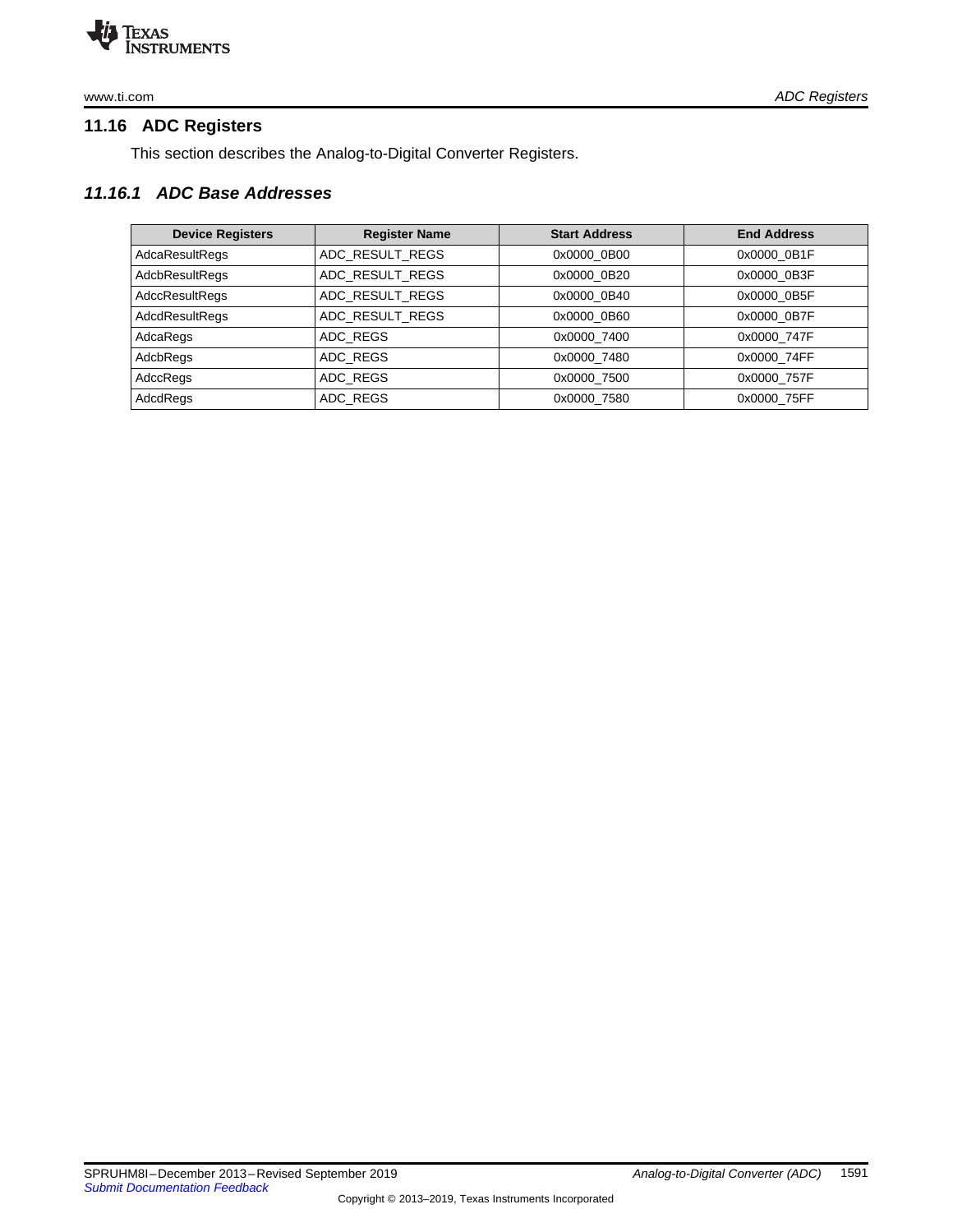

[www.ti.com](http://www.ti.com) *ADC Registers*

# <span id="page-16-0"></span>**11.16 ADC Registers**

This section describes the Analog-to-Digital Converter Registers.

# *11.16.1 ADC Base Addresses*

| <b>Device Registers</b> | <b>Register Name</b> | <b>Start Address</b> | <b>End Address</b> |
|-------------------------|----------------------|----------------------|--------------------|
| AdcaResultRegs          | ADC RESULT REGS      | 0x0000 0B00          | 0x0000 0B1F        |
| <b>AdcbResultRegs</b>   | ADC RESULT REGS      | 0x0000 0B20          | 0x0000 0B3F        |
| <b>AdccResultRegs</b>   | ADC RESULT REGS      | 0x0000 0B40          | 0x0000 0B5F        |
| AdcdResultRegs          | ADC RESULT REGS      | 0x0000 0B60          | 0x0000 0B7F        |
| AdcaRegs                | ADC REGS             | 0x0000 7400          | 0x0000 747F        |
| AdcbRegs                | ADC REGS             | 0x0000 7480          | 0x0000 74FF        |
| AdccRegs                | ADC REGS             | 0x0000 7500          | 0x0000 757F        |
| AdcdRegs                | ADC REGS             | 0x0000 7580          | 0x0000 75FF        |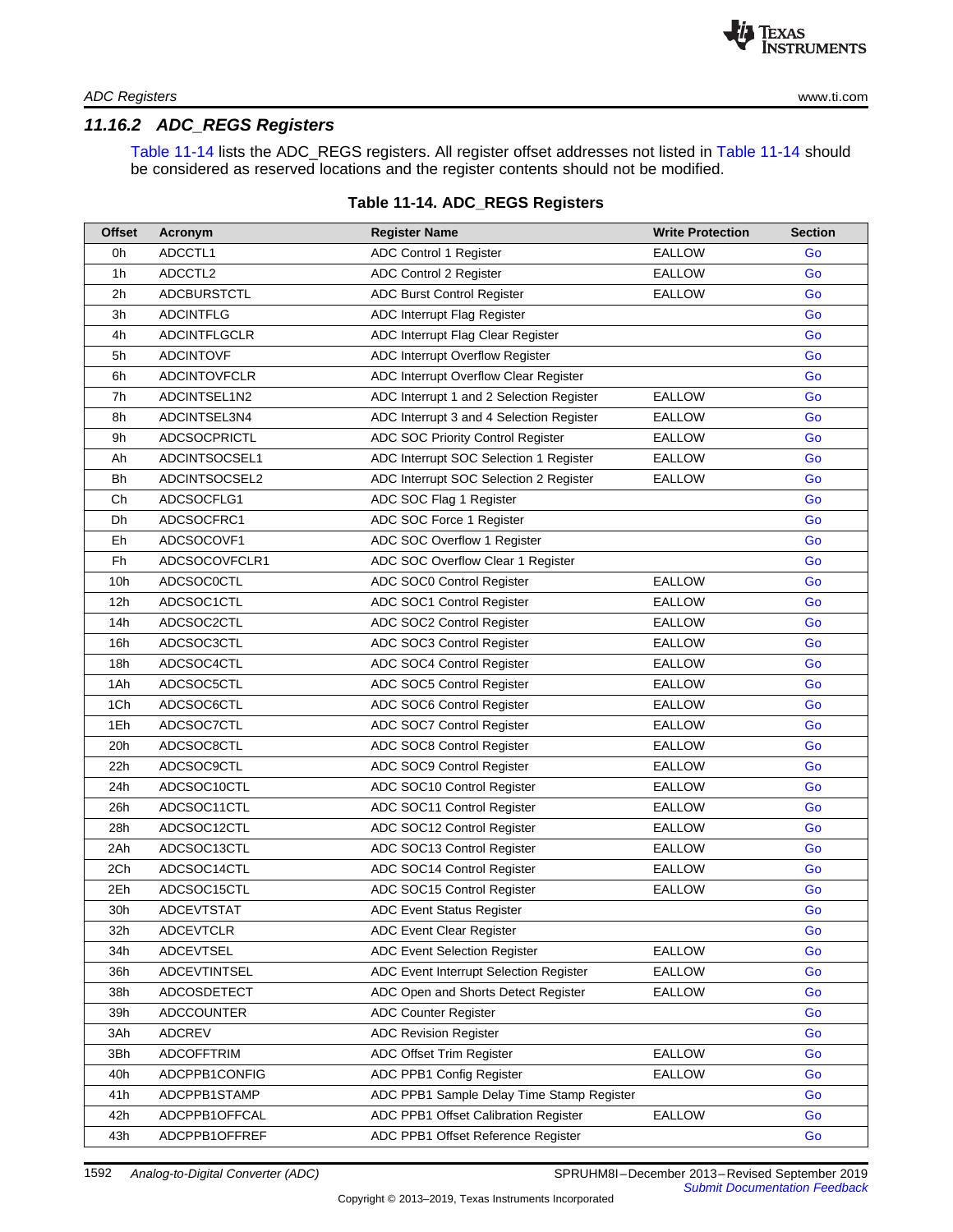

# *11.16.2 ADC\_REGS Registers*

Table [11-14](#page-17-0) lists the ADC\_REGS registers. All register offset addresses not listed in Table [11-14](#page-17-0) should be considered as reserved locations and the register contents should not be modified.

<span id="page-17-0"></span>

| <b>Offset</b> | Acronym             | <b>Register Name</b>                      | <b>Write Protection</b> | <b>Section</b> |
|---------------|---------------------|-------------------------------------------|-------------------------|----------------|
| 0h            | ADCCTL1             | ADC Control 1 Register                    | <b>EALLOW</b>           | Go             |
| 1h            | ADCCTL2             | ADC Control 2 Register                    | <b>EALLOW</b>           | Go             |
| 2h            | <b>ADCBURSTCTL</b>  | ADC Burst Control Register                | EALLOW                  | Go             |
| 3h            | <b>ADCINTFLG</b>    | ADC Interrupt Flag Register               |                         | Go             |
| 4h            | <b>ADCINTFLGCLR</b> | ADC Interrupt Flag Clear Register         |                         | Go             |
| 5h            | <b>ADCINTOVF</b>    | ADC Interrupt Overflow Register           |                         | Go             |
| 6h            | <b>ADCINTOVFCLR</b> | ADC Interrupt Overflow Clear Register     |                         | Go             |
| 7h            | ADCINTSEL1N2        | ADC Interrupt 1 and 2 Selection Register  | <b>EALLOW</b>           | Go             |
| 8h            | ADCINTSEL3N4        | ADC Interrupt 3 and 4 Selection Register  | <b>EALLOW</b>           | Go             |
| 9h            | <b>ADCSOCPRICTL</b> | ADC SOC Priority Control Register         | <b>EALLOW</b>           | Go             |
| Ah            | ADCINTSOCSEL1       | ADC Interrupt SOC Selection 1 Register    | <b>EALLOW</b>           | Go             |
| Bh            | ADCINTSOCSEL2       | ADC Interrupt SOC Selection 2 Register    | <b>EALLOW</b>           | Go             |
| Ch            | ADCSOCFLG1          | ADC SOC Flag 1 Register                   |                         | Go             |
| Dh            | ADCSOCFRC1          | ADC SOC Force 1 Register                  |                         | Go             |
| Eh            | ADCSOCOVF1          | ADC SOC Overflow 1 Register               |                         | Go             |
| Fh            | ADCSOCOVFCLR1       | ADC SOC Overflow Clear 1 Register         |                         | Go             |
| 10h           | <b>ADCSOC0CTL</b>   | ADC SOC0 Control Register                 | <b>EALLOW</b>           | Go             |
| 12h           | ADCSOC1CTL          | ADC SOC1 Control Register                 | EALLOW                  | Go             |
| 14h           | ADCSOC2CTL          | ADC SOC2 Control Register                 | <b>EALLOW</b>           | Go             |
| 16h           | ADCSOC3CTL          | ADC SOC3 Control Register                 | EALLOW                  | Go             |
| 18h           | ADCSOC4CTL          | ADC SOC4 Control Register                 | <b>EALLOW</b>           | Go             |
| 1Ah           | ADCSOC5CTL          | ADC SOC5 Control Register                 | <b>EALLOW</b>           | Go             |
| 1Ch           | ADCSOC6CTL          | ADC SOC6 Control Register                 | <b>EALLOW</b>           | Go             |
| 1Eh           | ADCSOC7CTL          | ADC SOC7 Control Register                 | <b>EALLOW</b>           | Go             |
| 20h           | ADCSOC8CTL          | ADC SOC8 Control Register                 | <b>EALLOW</b>           | Go             |
| 22h           | <b>ADCSOC9CTL</b>   | ADC SOC9 Control Register                 | <b>EALLOW</b>           | Go             |
| 24h           | ADCSOC10CTL         | ADC SOC10 Control Register                | EALLOW                  | Go             |
| 26h           | ADCSOC11CTL         | ADC SOC11 Control Register                | <b>EALLOW</b>           | Go             |
| 28h           | ADCSOC12CTL         | ADC SOC12 Control Register                | <b>EALLOW</b>           | Go             |
| 2Ah           | ADCSOC13CTL         | ADC SOC13 Control Register                | EALLOW                  | Go             |
| 2Ch           | ADCSOC14CTL         | ADC SOC14 Control Register                | <b>EALLOW</b>           | Go             |
| 2Eh           | ADCSOC15CTL         | ADC SOC15 Control Register                | <b>EALLOW</b>           | Go             |
| 30h           | <b>ADCEVTSTAT</b>   | <b>ADC Event Status Register</b>          |                         | Go             |
| 32h           | <b>ADCEVTCLR</b>    | ADC Event Clear Register                  |                         | Go             |
| 34h           | <b>ADCEVTSEL</b>    | ADC Event Selection Register              | <b>EALLOW</b>           | Go             |
| 36h           | <b>ADCEVTINTSEL</b> | ADC Event Interrupt Selection Register    | <b>EALLOW</b>           | Go             |
| 38h           | ADCOSDETECT         | ADC Open and Shorts Detect Register       | <b>EALLOW</b>           | Go             |
| 39h           | <b>ADCCOUNTER</b>   | <b>ADC Counter Register</b>               |                         | Go             |
| 3Ah           | <b>ADCREV</b>       | <b>ADC Revision Register</b>              |                         | Go             |
| 3Bh           | <b>ADCOFFTRIM</b>   | ADC Offset Trim Register                  | <b>EALLOW</b>           | Go             |
| 40h           | ADCPPB1CONFIG       | ADC PPB1 Config Register                  | <b>EALLOW</b>           | Go             |
| 41h           | ADCPPB1STAMP        | ADC PPB1 Sample Delay Time Stamp Register |                         | Go             |
| 42h           | ADCPPB1OFFCAL       | ADC PPB1 Offset Calibration Register      | <b>EALLOW</b>           | Go             |
| 43h           | ADCPPB1OFFREF       | ADC PPB1 Offset Reference Register        |                         | Go             |

#### **Table 11-14. ADC\_REGS Registers**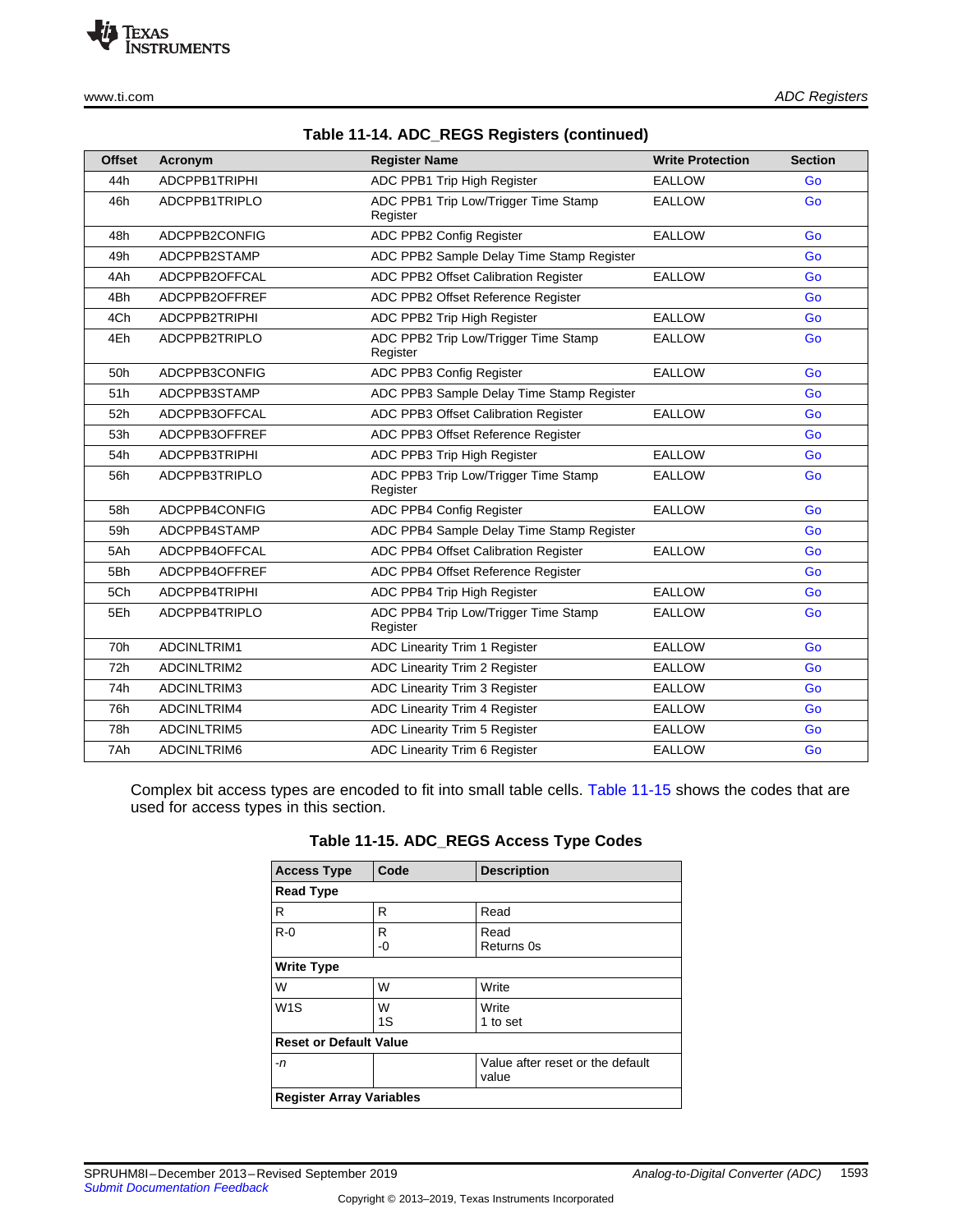TEXAS<br>INSTRUMENTS

|  |  |  |  | Table 11-14. ADC_REGS Registers (continued) |
|--|--|--|--|---------------------------------------------|
|--|--|--|--|---------------------------------------------|

| <b>Offset</b> | Acronym            | <b>Register Name</b>                             | <b>Write Protection</b> | <b>Section</b> |
|---------------|--------------------|--------------------------------------------------|-------------------------|----------------|
| 44h           | ADCPPB1TRIPHI      | ADC PPB1 Trip High Register                      | <b>EALLOW</b>           | Go             |
| 46h           | ADCPPB1TRIPLO      | ADC PPB1 Trip Low/Trigger Time Stamp<br>Register | <b>EALLOW</b>           | Go             |
| 48h           | ADCPPB2CONFIG      | ADC PPB2 Config Register                         | <b>EALLOW</b>           | Go             |
| 49h           | ADCPPB2STAMP       | ADC PPB2 Sample Delay Time Stamp Register        |                         | Go             |
| 4Ah           | ADCPPB2OFFCAL      | ADC PPB2 Offset Calibration Register             | <b>EALLOW</b>           | Go             |
| 4Bh           | ADCPPB2OFFREF      | ADC PPB2 Offset Reference Register               |                         | Go             |
| 4Ch           | ADCPPB2TRIPHI      | ADC PPB2 Trip High Register                      | <b>EALLOW</b>           | Go             |
| 4Eh           | ADCPPB2TRIPLO      | ADC PPB2 Trip Low/Trigger Time Stamp<br>Register | <b>EALLOW</b>           | Go             |
| 50h           | ADCPPB3CONFIG      | ADC PPB3 Config Register                         | <b>EALLOW</b>           | Go             |
| 51h           | ADCPPB3STAMP       | ADC PPB3 Sample Delay Time Stamp Register        |                         | Go             |
| 52h           | ADCPPB3OFFCAL      | ADC PPB3 Offset Calibration Register             | <b>EALLOW</b>           | Go             |
| 53h           | ADCPPB3OFFREF      | ADC PPB3 Offset Reference Register               |                         | Go             |
| 54h           | ADCPPB3TRIPHI      | ADC PPB3 Trip High Register                      | <b>EALLOW</b>           | Go             |
| 56h           | ADCPPB3TRIPLO      | ADC PPB3 Trip Low/Trigger Time Stamp<br>Register | <b>EALLOW</b>           | Go             |
| 58h           | ADCPPB4CONFIG      | ADC PPB4 Config Register                         | <b>EALLOW</b>           | Go             |
| 59h           | ADCPPB4STAMP       | ADC PPB4 Sample Delay Time Stamp Register        |                         | Go             |
| 5Ah           | ADCPPB4OFFCAL      | ADC PPB4 Offset Calibration Register             | <b>EALLOW</b>           | Go             |
| 5Bh           | ADCPPB4OFFREF      | ADC PPB4 Offset Reference Register               |                         | Go             |
| 5Ch           | ADCPPB4TRIPHI      | ADC PPB4 Trip High Register                      | <b>EALLOW</b>           | Go             |
| 5Eh           | ADCPPB4TRIPLO      | ADC PPB4 Trip Low/Trigger Time Stamp<br>Register | <b>EALLOW</b>           | Go             |
| 70h           | ADCINLTRIM1        | ADC Linearity Trim 1 Register                    | <b>EALLOW</b>           | Go             |
| 72h           | <b>ADCINLTRIM2</b> | ADC Linearity Trim 2 Register                    | <b>EALLOW</b>           | Go             |
| 74h           | ADCINLTRIM3        | ADC Linearity Trim 3 Register                    | <b>EALLOW</b>           | Go             |
| 76h           | ADCINLTRIM4        | ADC Linearity Trim 4 Register                    | <b>EALLOW</b>           | Go             |
| 78h           | ADCINLTRIM5        | ADC Linearity Trim 5 Register                    | <b>EALLOW</b>           | Go             |
| 7Ah           | ADCINLTRIM6        | ADC Linearity Trim 6 Register                    | <b>EALLOW</b>           | Go             |

<span id="page-18-0"></span>Complex bit access types are encoded to fit into small table cells. Table [11-15](#page-18-0) shows the codes that are used for access types in this section.

| <b>Access Type</b>              | Code    | <b>Description</b>                        |  |  |  |
|---------------------------------|---------|-------------------------------------------|--|--|--|
| <b>Read Type</b>                |         |                                           |  |  |  |
| R                               | R       | Read                                      |  |  |  |
| $R - 0$                         | R<br>-0 | Read<br>Returns 0s                        |  |  |  |
| <b>Write Type</b>               |         |                                           |  |  |  |
| W                               | W       | Write                                     |  |  |  |
| W <sub>1</sub> S                | W<br>1S | Write<br>1 to set                         |  |  |  |
| <b>Reset or Default Value</b>   |         |                                           |  |  |  |
| -n                              |         | Value after reset or the default<br>value |  |  |  |
| <b>Register Array Variables</b> |         |                                           |  |  |  |

**Table 11-15. ADC\_REGS Access Type Codes**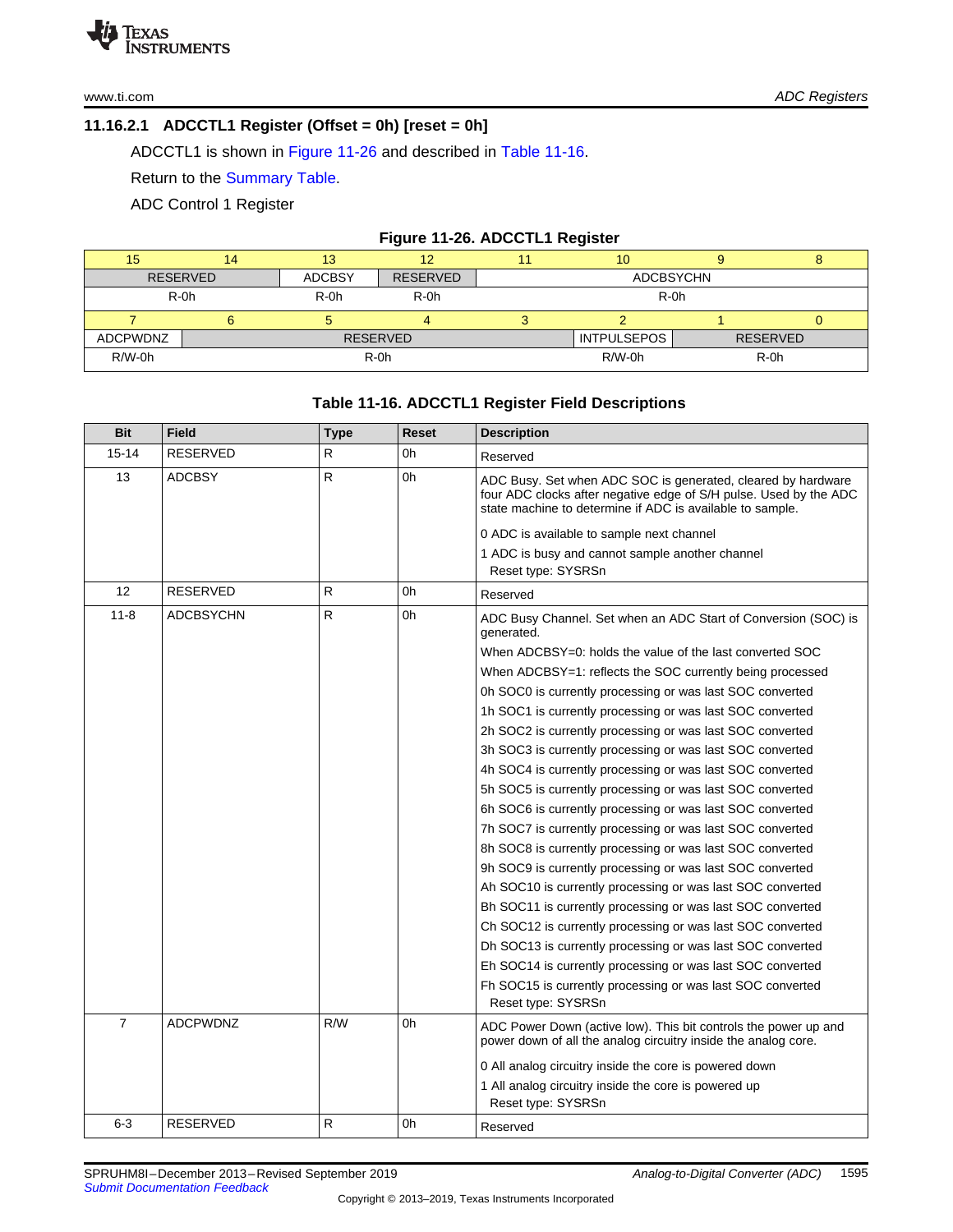# <span id="page-19-0"></span>**11.16.2.1 ADCCTL1 Register (Offset = 0h) [reset = 0h]**

ADCCTL1 is shown in [Figure](#page-19-1) 11-26 and described in Table [11-16.](#page-19-2)

Return to the [Summary](#page-17-0) Table.

ADC Control 1 Register

# **Figure 11-26. ADCCTL1 Register**

<span id="page-19-1"></span>

| 15              | 14                           | 13            |                 |  | 10 <sup>°</sup>    |  |                 |
|-----------------|------------------------------|---------------|-----------------|--|--------------------|--|-----------------|
| <b>RESERVED</b> |                              | <b>ADCBSY</b> | <b>RESERVED</b> |  | <b>ADCBSYCHN</b>   |  |                 |
| $R-0h$          |                              | $R-0h$        | $R-0h$          |  | $R-0h$             |  |                 |
|                 |                              |               |                 |  |                    |  | υ               |
| <b>ADCPWDNZ</b> |                              |               | <b>RESERVED</b> |  | <b>INTPULSEPOS</b> |  | <b>RESERVED</b> |
| $R/W-0h$        | $R/W-0h$<br>$R-0h$<br>$R-0h$ |               |                 |  |                    |  |                 |

# **Table 11-16. ADCCTL1 Register Field Descriptions**

<span id="page-19-2"></span>

| <b>Bit</b>     | <b>Field</b>     | <b>Type</b> | <b>Reset</b> | <b>Description</b>                                                                                                                                                                             |
|----------------|------------------|-------------|--------------|------------------------------------------------------------------------------------------------------------------------------------------------------------------------------------------------|
| $15 - 14$      | <b>RESERVED</b>  | R           | 0h           | Reserved                                                                                                                                                                                       |
| 13             | <b>ADCBSY</b>    | R           | 0h           | ADC Busy. Set when ADC SOC is generated, cleared by hardware<br>four ADC clocks after negative edge of S/H pulse. Used by the ADC<br>state machine to determine if ADC is available to sample. |
|                |                  |             |              | 0 ADC is available to sample next channel                                                                                                                                                      |
|                |                  |             |              | 1 ADC is busy and cannot sample another channel                                                                                                                                                |
|                |                  |             |              | Reset type: SYSRSn                                                                                                                                                                             |
| 12             | <b>RESERVED</b>  | R           | 0h           | Reserved                                                                                                                                                                                       |
| $11 - 8$       | <b>ADCBSYCHN</b> | R           | 0h           | ADC Busy Channel. Set when an ADC Start of Conversion (SOC) is<br>generated.                                                                                                                   |
|                |                  |             |              | When ADCBSY=0: holds the value of the last converted SOC                                                                                                                                       |
|                |                  |             |              | When ADCBSY=1: reflects the SOC currently being processed                                                                                                                                      |
|                |                  |             |              | 0h SOC0 is currently processing or was last SOC converted                                                                                                                                      |
|                |                  |             |              | 1h SOC1 is currently processing or was last SOC converted                                                                                                                                      |
|                |                  |             |              | 2h SOC2 is currently processing or was last SOC converted                                                                                                                                      |
|                |                  |             |              | 3h SOC3 is currently processing or was last SOC converted                                                                                                                                      |
|                |                  |             |              | 4h SOC4 is currently processing or was last SOC converted                                                                                                                                      |
|                |                  |             |              | 5h SOC5 is currently processing or was last SOC converted                                                                                                                                      |
|                |                  |             |              | 6h SOC6 is currently processing or was last SOC converted                                                                                                                                      |
|                |                  |             |              | 7h SOC7 is currently processing or was last SOC converted                                                                                                                                      |
|                |                  |             |              | 8h SOC8 is currently processing or was last SOC converted                                                                                                                                      |
|                |                  |             |              | 9h SOC9 is currently processing or was last SOC converted                                                                                                                                      |
|                |                  |             |              | Ah SOC10 is currently processing or was last SOC converted                                                                                                                                     |
|                |                  |             |              | Bh SOC11 is currently processing or was last SOC converted                                                                                                                                     |
|                |                  |             |              | Ch SOC12 is currently processing or was last SOC converted                                                                                                                                     |
|                |                  |             |              | Dh SOC13 is currently processing or was last SOC converted                                                                                                                                     |
|                |                  |             |              | Eh SOC14 is currently processing or was last SOC converted                                                                                                                                     |
|                |                  |             |              | Fh SOC15 is currently processing or was last SOC converted                                                                                                                                     |
|                |                  |             |              | Reset type: SYSRSn                                                                                                                                                                             |
| $\overline{7}$ | <b>ADCPWDNZ</b>  | R/W         | 0h           | ADC Power Down (active low). This bit controls the power up and<br>power down of all the analog circuitry inside the analog core.                                                              |
|                |                  |             |              | 0 All analog circuitry inside the core is powered down                                                                                                                                         |
|                |                  |             |              | 1 All analog circuitry inside the core is powered up                                                                                                                                           |
|                |                  |             |              | Reset type: SYSRSn                                                                                                                                                                             |
| $6 - 3$        | <b>RESERVED</b>  | R           | 0h           | Reserved                                                                                                                                                                                       |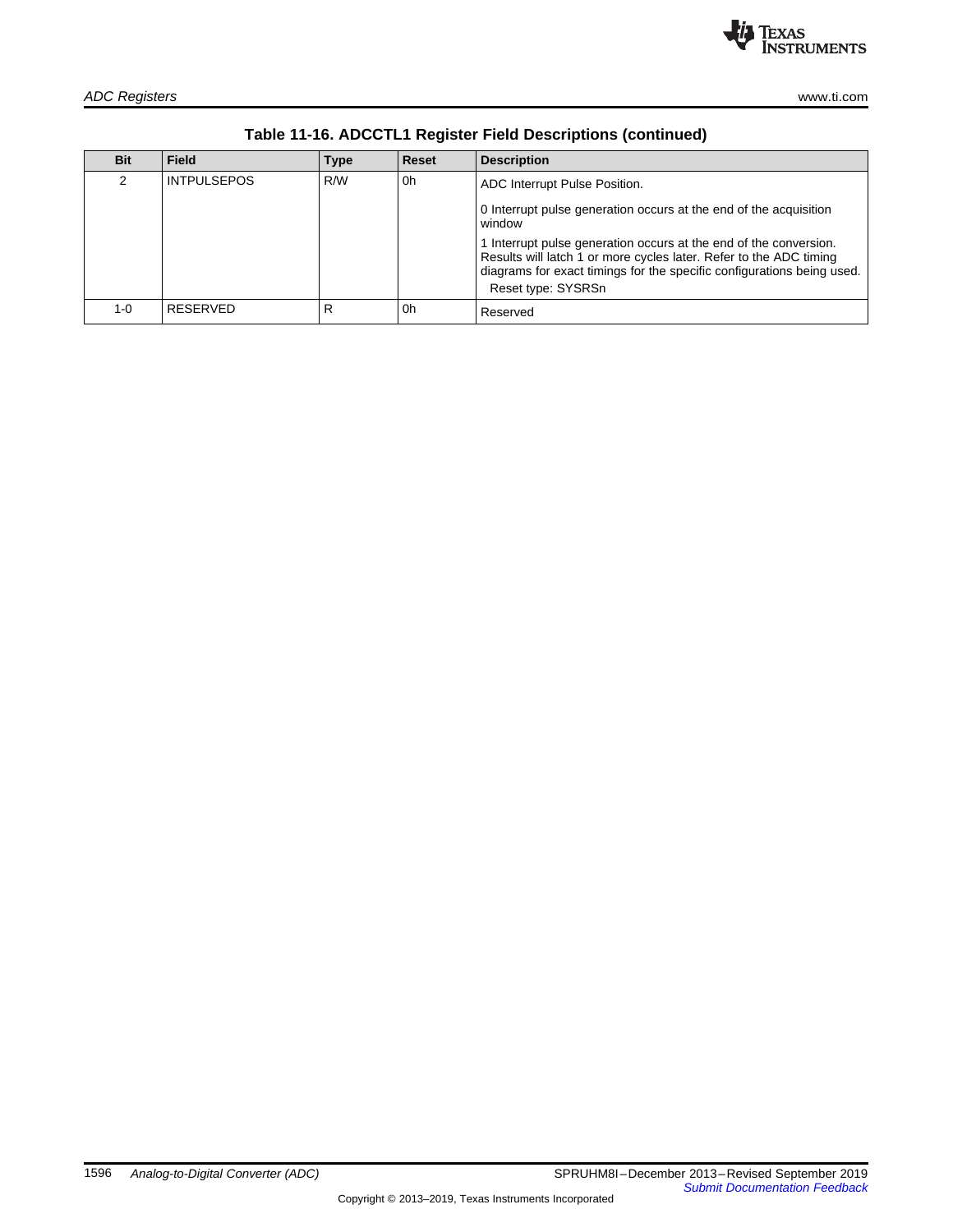| www.ti.com |  |
|------------|--|
|            |  |

| <b>Bit</b> | <b>Field</b>       | <b>Type</b> | Reset | <b>Description</b>                                                                                                                                                                                                                      |
|------------|--------------------|-------------|-------|-----------------------------------------------------------------------------------------------------------------------------------------------------------------------------------------------------------------------------------------|
| 2          | <b>INTPULSEPOS</b> | R/W         | 0h    | ADC Interrupt Pulse Position.                                                                                                                                                                                                           |
|            |                    |             |       | 0 Interrupt pulse generation occurs at the end of the acquisition<br>window                                                                                                                                                             |
|            |                    |             |       | 1 Interrupt pulse generation occurs at the end of the conversion.<br>Results will latch 1 or more cycles later. Refer to the ADC timing<br>diagrams for exact timings for the specific configurations being used.<br>Reset type: SYSRSn |
|            |                    |             |       |                                                                                                                                                                                                                                         |
| 1-0        | RESERVED           | R           | 0h    | Reserved                                                                                                                                                                                                                                |

**Table 11-16. ADCCTL1 Register Field Descriptions (continued)**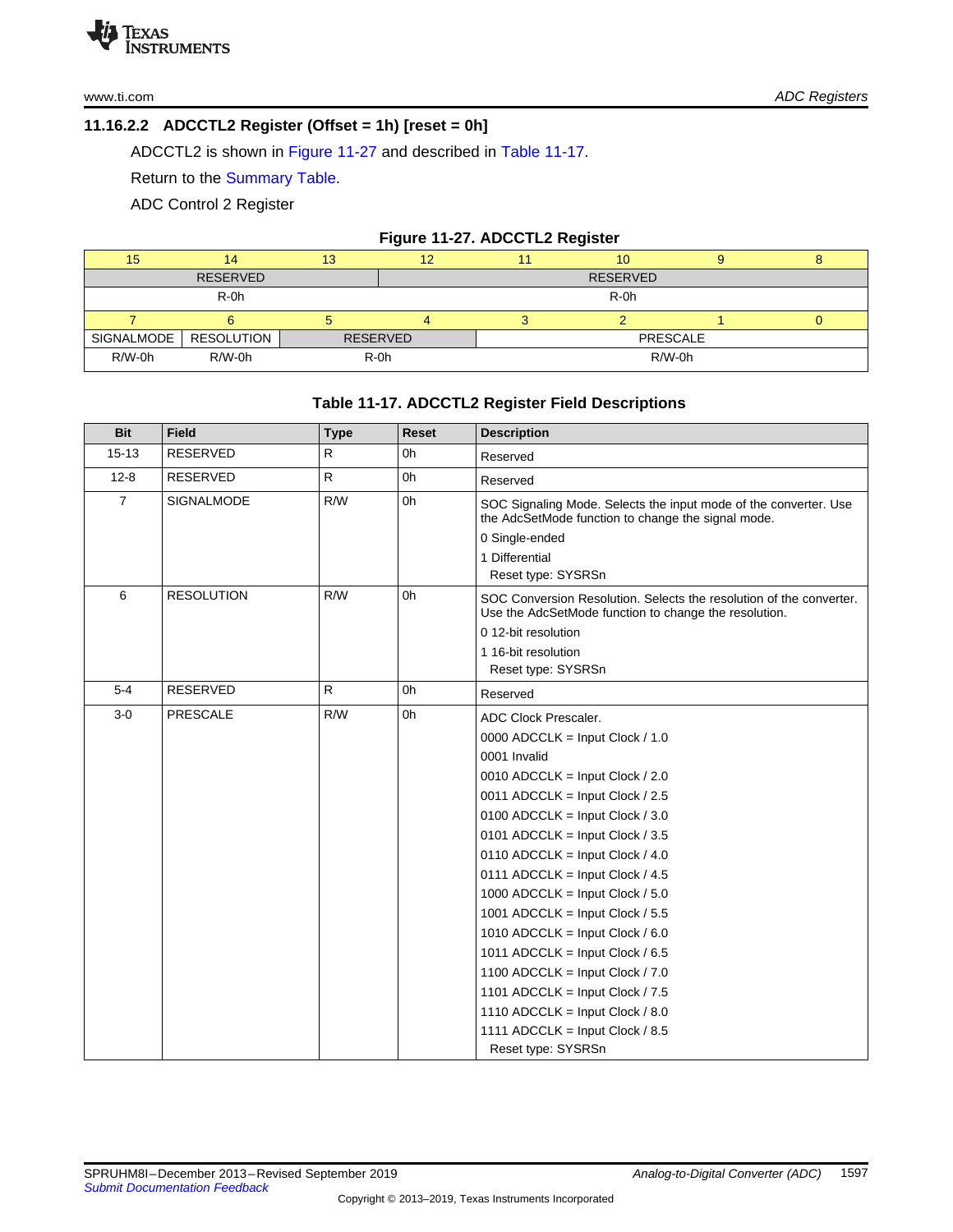# <span id="page-21-0"></span>**11.16.2.2 ADCCTL2 Register (Offset = 1h) [reset = 0h]**

ADCCTL2 is shown in [Figure](#page-21-1) 11-27 and described in Table [11-17.](#page-21-2)

Return to the [Summary](#page-17-0) Table.

ADC Control 2 Register

#### **Figure 11-27. ADCCTL2 Register**

<span id="page-21-1"></span>

| 15         | 14              | 13              | 12   |                 | 10              |  |  |
|------------|-----------------|-----------------|------|-----------------|-----------------|--|--|
|            | <b>RESERVED</b> |                 |      |                 | <b>RESERVED</b> |  |  |
|            | R-0h            |                 |      |                 | R-0h            |  |  |
|            |                 |                 |      |                 |                 |  |  |
| SIGNALMODE | RESOLUTION      | <b>RESERVED</b> |      | <b>PRESCALE</b> |                 |  |  |
| R/W-0h     | R/W-0h          |                 | R-0h | R/W-0h          |                 |  |  |

# **Table 11-17. ADCCTL2 Register Field Descriptions**

<span id="page-21-2"></span>

| <b>Bit</b>     | <b>Field</b>      | <b>Type</b>  | <b>Reset</b>   | <b>Description</b>                                                                                                                                         |
|----------------|-------------------|--------------|----------------|------------------------------------------------------------------------------------------------------------------------------------------------------------|
| $15 - 13$      | <b>RESERVED</b>   | R            | 0 <sub>h</sub> | Reserved                                                                                                                                                   |
| $12 - 8$       | <b>RESERVED</b>   | $\mathsf{R}$ | 0h             | Reserved                                                                                                                                                   |
| $\overline{7}$ | SIGNALMODE        | R/W          | 0h             | SOC Signaling Mode. Selects the input mode of the converter. Use<br>the AdcSetMode function to change the signal mode.<br>0 Single-ended<br>1 Differential |
|                |                   |              |                | Reset type: SYSRSn                                                                                                                                         |
| 6              | <b>RESOLUTION</b> | R/W          | 0h             | SOC Conversion Resolution. Selects the resolution of the converter.<br>Use the AdcSetMode function to change the resolution.                               |
|                |                   |              |                | 0 12-bit resolution                                                                                                                                        |
|                |                   |              |                | 1 16-bit resolution                                                                                                                                        |
|                |                   |              |                | Reset type: SYSRSn                                                                                                                                         |
| $5-4$          | RESERVED          | $\mathsf{R}$ | 0h             | Reserved                                                                                                                                                   |
| $3-0$          | <b>PRESCALE</b>   | R/W          | 0h             | <b>ADC Clock Prescaler.</b>                                                                                                                                |
|                |                   |              |                | 0000 ADCCLK = Input Clock / 1.0                                                                                                                            |
|                |                   |              |                | 0001 Invalid                                                                                                                                               |
|                |                   |              |                | 0010 ADCCLK = Input Clock / 2.0                                                                                                                            |
|                |                   |              |                | 0011 ADCCLK = Input Clock / 2.5                                                                                                                            |
|                |                   |              |                | 0100 ADCCLK = Input Clock / 3.0                                                                                                                            |
|                |                   |              |                | 0101 ADCCLK = Input Clock / 3.5                                                                                                                            |
|                |                   |              |                | 0110 ADCCLK = Input Clock / 4.0                                                                                                                            |
|                |                   |              |                | 0111 ADCCLK = Input Clock / 4.5                                                                                                                            |
|                |                   |              |                | 1000 ADCCLK = Input Clock / $5.0$                                                                                                                          |
|                |                   |              |                | 1001 ADCCLK = Input Clock / $5.5$                                                                                                                          |
|                |                   |              |                | 1010 ADCCLK = Input Clock / $6.0$                                                                                                                          |
|                |                   |              |                | 1011 ADCCLK = Input Clock / 6.5                                                                                                                            |
|                |                   |              |                | 1100 ADCCLK = Input Clock / 7.0                                                                                                                            |
|                |                   |              |                | 1101 ADCCLK = Input Clock / $7.5$                                                                                                                          |
|                |                   |              |                | 1110 ADCCLK = Input Clock / 8.0                                                                                                                            |
|                |                   |              |                | 1111 ADCCLK = Input Clock / 8.5                                                                                                                            |
|                |                   |              |                | Reset type: SYSRSn                                                                                                                                         |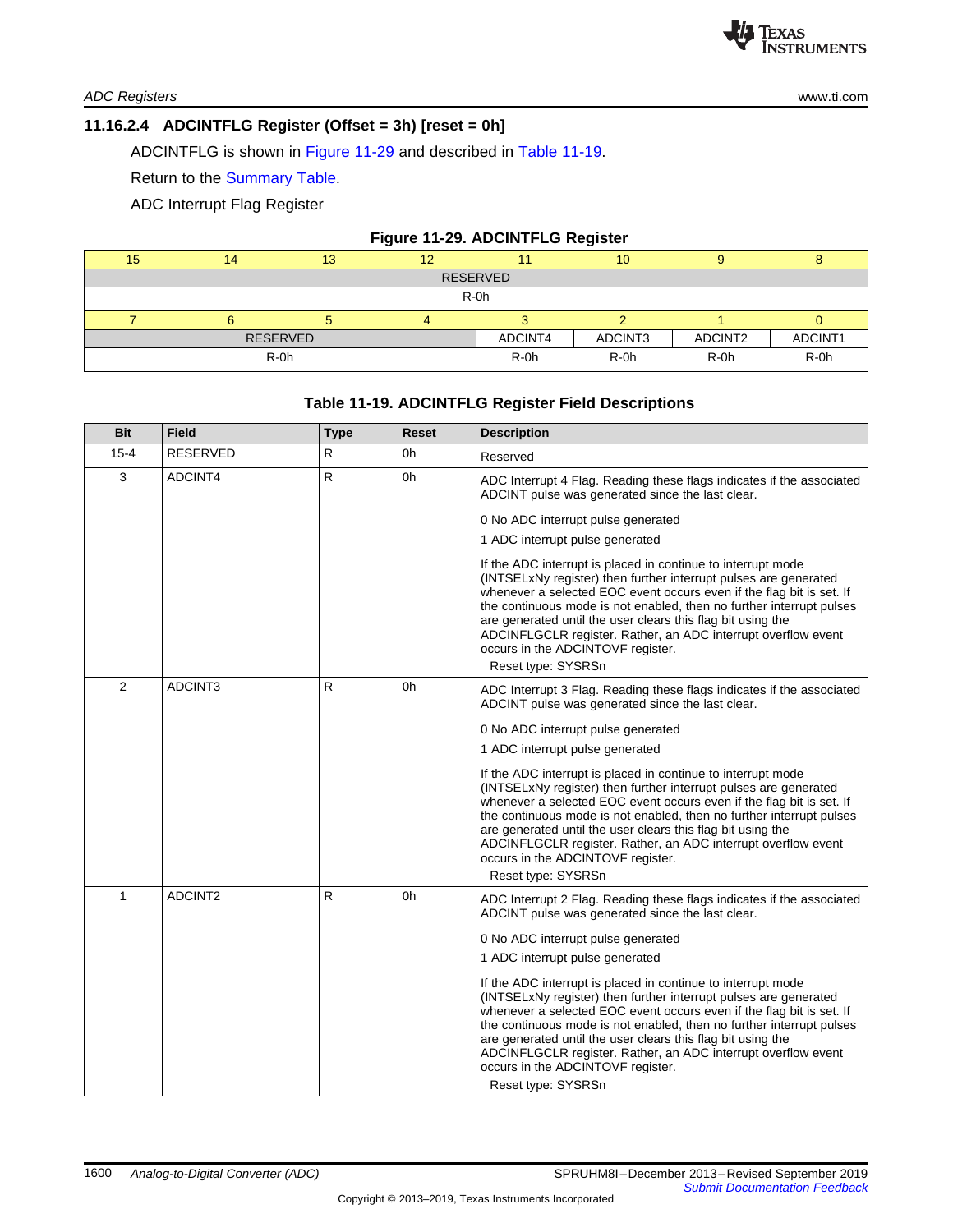# <span id="page-22-0"></span>**11.16.2.4 ADCINTFLG Register (Offset = 3h) [reset = 0h]**

ADCINTFLG is shown in [Figure](#page-22-1) 11-29 and described in Table [11-19.](#page-22-2)

Return to the [Summary](#page-17-0) Table.

ADC Interrupt Flag Register

<span id="page-22-1"></span>

| Figure 11-29. ADCINTFLG Register |                 |    |    |         |         |         |         |  |  |
|----------------------------------|-----------------|----|----|---------|---------|---------|---------|--|--|
| 15                               | 14              | 13 | 12 |         | 10      |         |         |  |  |
|                                  | <b>RESERVED</b> |    |    |         |         |         |         |  |  |
| R-0h                             |                 |    |    |         |         |         |         |  |  |
|                                  |                 |    |    |         |         |         |         |  |  |
| <b>RESERVED</b>                  |                 |    |    | ADCINT4 | ADCINT3 | ADCINT2 | ADCINT1 |  |  |
| R-0h                             |                 |    |    | $R$ -0h | $R-0h$  | $R-0h$  | $R-0h$  |  |  |

# **Table 11-19. ADCINTFLG Register Field Descriptions**

<span id="page-22-2"></span>

| <b>Bit</b>     | <b>Field</b>    | <b>Type</b> | <b>Reset</b> | <b>Description</b>                                                                                                                                                                                                                                                                                                                                                                                                                                                          |
|----------------|-----------------|-------------|--------------|-----------------------------------------------------------------------------------------------------------------------------------------------------------------------------------------------------------------------------------------------------------------------------------------------------------------------------------------------------------------------------------------------------------------------------------------------------------------------------|
| $15 - 4$       | <b>RESERVED</b> | R           | 0h           | Reserved                                                                                                                                                                                                                                                                                                                                                                                                                                                                    |
| 3              | ADCINT4         | R           | 0h           | ADC Interrupt 4 Flag. Reading these flags indicates if the associated<br>ADCINT pulse was generated since the last clear.                                                                                                                                                                                                                                                                                                                                                   |
|                |                 |             |              | 0 No ADC interrupt pulse generated<br>1 ADC interrupt pulse generated                                                                                                                                                                                                                                                                                                                                                                                                       |
|                |                 |             |              | If the ADC interrupt is placed in continue to interrupt mode<br>(INTSELxNy register) then further interrupt pulses are generated<br>whenever a selected EOC event occurs even if the flag bit is set. If<br>the continuous mode is not enabled, then no further interrupt pulses<br>are generated until the user clears this flag bit using the<br>ADCINFLGCLR register. Rather, an ADC interrupt overflow event<br>occurs in the ADCINTOVF register.<br>Reset type: SYSRSn |
| $\overline{2}$ | ADCINT3         | R           | 0h           | ADC Interrupt 3 Flag. Reading these flags indicates if the associated<br>ADCINT pulse was generated since the last clear.                                                                                                                                                                                                                                                                                                                                                   |
|                |                 |             |              | 0 No ADC interrupt pulse generated                                                                                                                                                                                                                                                                                                                                                                                                                                          |
|                |                 |             |              | 1 ADC interrupt pulse generated                                                                                                                                                                                                                                                                                                                                                                                                                                             |
|                |                 |             |              | If the ADC interrupt is placed in continue to interrupt mode<br>(INTSELxNy register) then further interrupt pulses are generated<br>whenever a selected EOC event occurs even if the flag bit is set. If<br>the continuous mode is not enabled, then no further interrupt pulses<br>are generated until the user clears this flag bit using the<br>ADCINFLGCLR register. Rather, an ADC interrupt overflow event<br>occurs in the ADCINTOVF register.<br>Reset type: SYSRSn |
| $\mathbf{1}$   | ADCINT2         | R           | 0h           | ADC Interrupt 2 Flag. Reading these flags indicates if the associated<br>ADCINT pulse was generated since the last clear.                                                                                                                                                                                                                                                                                                                                                   |
|                |                 |             |              | 0 No ADC interrupt pulse generated                                                                                                                                                                                                                                                                                                                                                                                                                                          |
|                |                 |             |              | 1 ADC interrupt pulse generated                                                                                                                                                                                                                                                                                                                                                                                                                                             |
|                |                 |             |              | If the ADC interrupt is placed in continue to interrupt mode<br>(INTSELxNy register) then further interrupt pulses are generated<br>whenever a selected EOC event occurs even if the flag bit is set. If<br>the continuous mode is not enabled, then no further interrupt pulses<br>are generated until the user clears this flag bit using the<br>ADCINFLGCLR register. Rather, an ADC interrupt overflow event<br>occurs in the ADCINTOVF register.<br>Reset type: SYSRSn |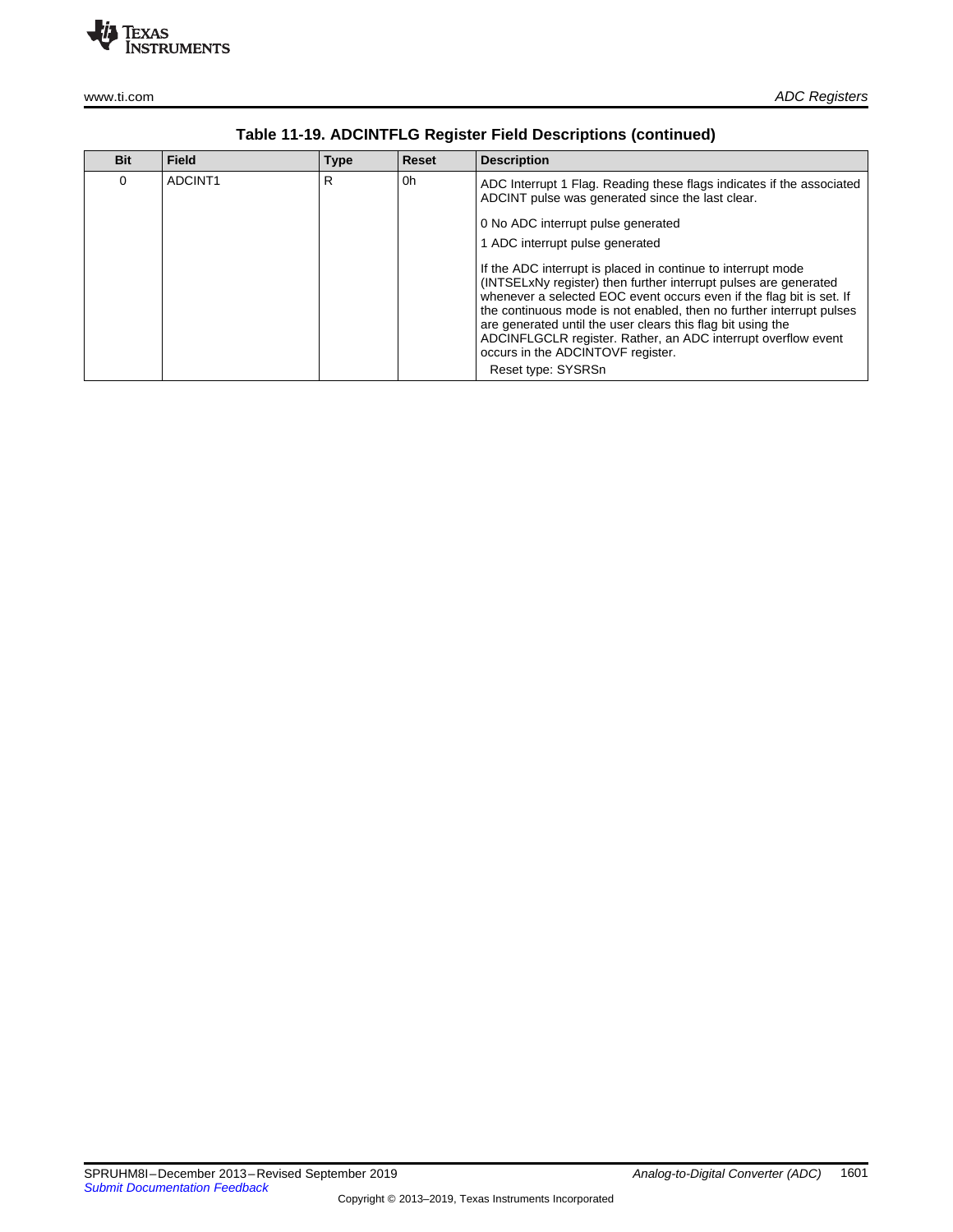

| <b>Bit</b> | <b>Field</b> | <b>Type</b> | <b>Reset</b> | <b>Description</b>                                                                                                                                                                                                                                                                                                                                                                                                                                    |
|------------|--------------|-------------|--------------|-------------------------------------------------------------------------------------------------------------------------------------------------------------------------------------------------------------------------------------------------------------------------------------------------------------------------------------------------------------------------------------------------------------------------------------------------------|
| 0          | ADCINT1      | R           | 0h           | ADC Interrupt 1 Flag. Reading these flags indicates if the associated<br>ADCINT pulse was generated since the last clear.<br>0 No ADC interrupt pulse generated                                                                                                                                                                                                                                                                                       |
|            |              |             |              | 1 ADC interrupt pulse generated                                                                                                                                                                                                                                                                                                                                                                                                                       |
|            |              |             |              | If the ADC interrupt is placed in continue to interrupt mode<br>(INTSELxNy register) then further interrupt pulses are generated<br>whenever a selected EOC event occurs even if the flag bit is set. If<br>the continuous mode is not enabled, then no further interrupt pulses<br>are generated until the user clears this flag bit using the<br>ADCINFLGCLR register. Rather, an ADC interrupt overflow event<br>occurs in the ADCINTOVF register. |
|            |              |             |              | Reset type: SYSRSn                                                                                                                                                                                                                                                                                                                                                                                                                                    |

| Table 11-19. ADCINTFLG Register Field Descriptions (continued) |  |  |  |
|----------------------------------------------------------------|--|--|--|
|----------------------------------------------------------------|--|--|--|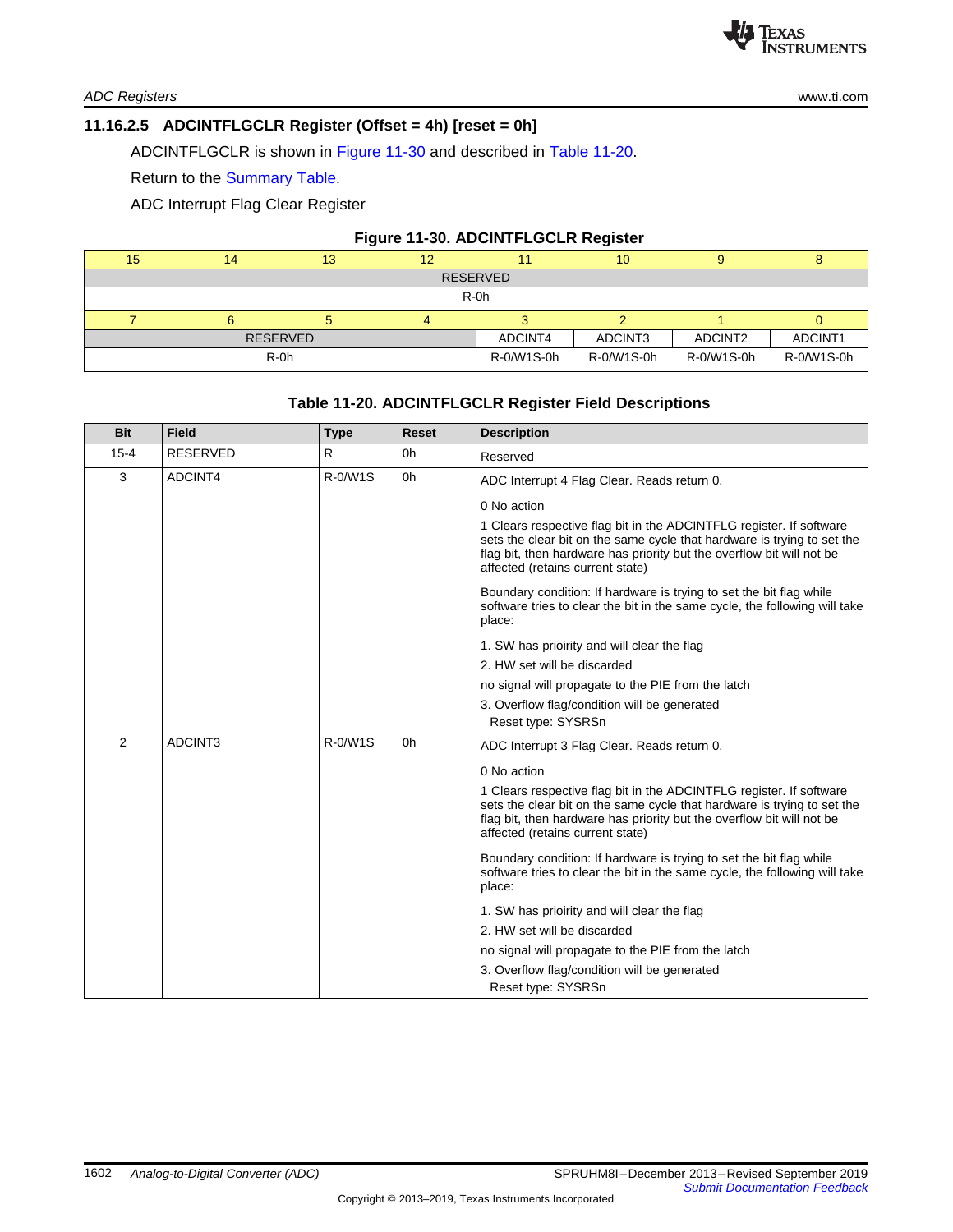#### <span id="page-24-0"></span>**11.16.2.5 ADCINTFLGCLR Register (Offset = 4h) [reset = 0h]**

ADCINTFLGCLR is shown in [Figure](#page-24-1) 11-30 and described in Table [11-20.](#page-24-2)

Return to the [Summary](#page-17-0) Table.

ADC Interrupt Flag Clear Register

# **Figure 11-30. ADCINTFLGCLR Register**

<span id="page-24-1"></span>

| 15              | 14     | 13 | 12 |            | 10         |            |            |  |  |
|-----------------|--------|----|----|------------|------------|------------|------------|--|--|
| <b>RESERVED</b> |        |    |    |            |            |            |            |  |  |
| R-0h            |        |    |    |            |            |            |            |  |  |
|                 |        |    |    |            |            |            |            |  |  |
| <b>RESERVED</b> |        |    |    | ADCINT4    | ADCINT3    | ADCINT2    | ADCINT1    |  |  |
|                 | $R-0h$ |    |    | R-0/W1S-0h | R-0/W1S-0h | R-0/W1S-0h | R-0/W1S-0h |  |  |

#### **Table 11-20. ADCINTFLGCLR Register Field Descriptions**

<span id="page-24-2"></span>

| <b>Bit</b> | <b>Field</b>    | <b>Type</b> | <b>Reset</b> | <b>Description</b>                                                                                                                                                                                                                                          |
|------------|-----------------|-------------|--------------|-------------------------------------------------------------------------------------------------------------------------------------------------------------------------------------------------------------------------------------------------------------|
| $15 - 4$   | <b>RESERVED</b> | R.          | 0h           | Reserved                                                                                                                                                                                                                                                    |
| 3          | ADCINT4         | R-0/W1S     | 0h           | ADC Interrupt 4 Flag Clear. Reads return 0.                                                                                                                                                                                                                 |
|            |                 |             |              | 0 No action                                                                                                                                                                                                                                                 |
|            |                 |             |              | 1 Clears respective flag bit in the ADCINTFLG register. If software<br>sets the clear bit on the same cycle that hardware is trying to set the<br>flag bit, then hardware has priority but the overflow bit will not be<br>affected (retains current state) |
|            |                 |             |              | Boundary condition: If hardware is trying to set the bit flag while<br>software tries to clear the bit in the same cycle, the following will take<br>place:                                                                                                 |
|            |                 |             |              | 1. SW has prioirity and will clear the flag                                                                                                                                                                                                                 |
|            |                 |             |              | 2. HW set will be discarded                                                                                                                                                                                                                                 |
|            |                 |             |              | no signal will propagate to the PIE from the latch                                                                                                                                                                                                          |
|            |                 |             |              | 3. Overflow flag/condition will be generated<br>Reset type: SYSRSn                                                                                                                                                                                          |
| 2          | ADCINT3         | R-0/W1S     | 0h           | ADC Interrupt 3 Flag Clear. Reads return 0.                                                                                                                                                                                                                 |
|            |                 |             |              | 0 No action                                                                                                                                                                                                                                                 |
|            |                 |             |              | 1 Clears respective flag bit in the ADCINTFLG register. If software<br>sets the clear bit on the same cycle that hardware is trying to set the<br>flag bit, then hardware has priority but the overflow bit will not be<br>affected (retains current state) |
|            |                 |             |              | Boundary condition: If hardware is trying to set the bit flag while<br>software tries to clear the bit in the same cycle, the following will take<br>place:                                                                                                 |
|            |                 |             |              | 1. SW has prioirity and will clear the flag                                                                                                                                                                                                                 |
|            |                 |             |              | 2. HW set will be discarded                                                                                                                                                                                                                                 |
|            |                 |             |              | no signal will propagate to the PIE from the latch                                                                                                                                                                                                          |
|            |                 |             |              | 3. Overflow flag/condition will be generated<br>Reset type: SYSRSn                                                                                                                                                                                          |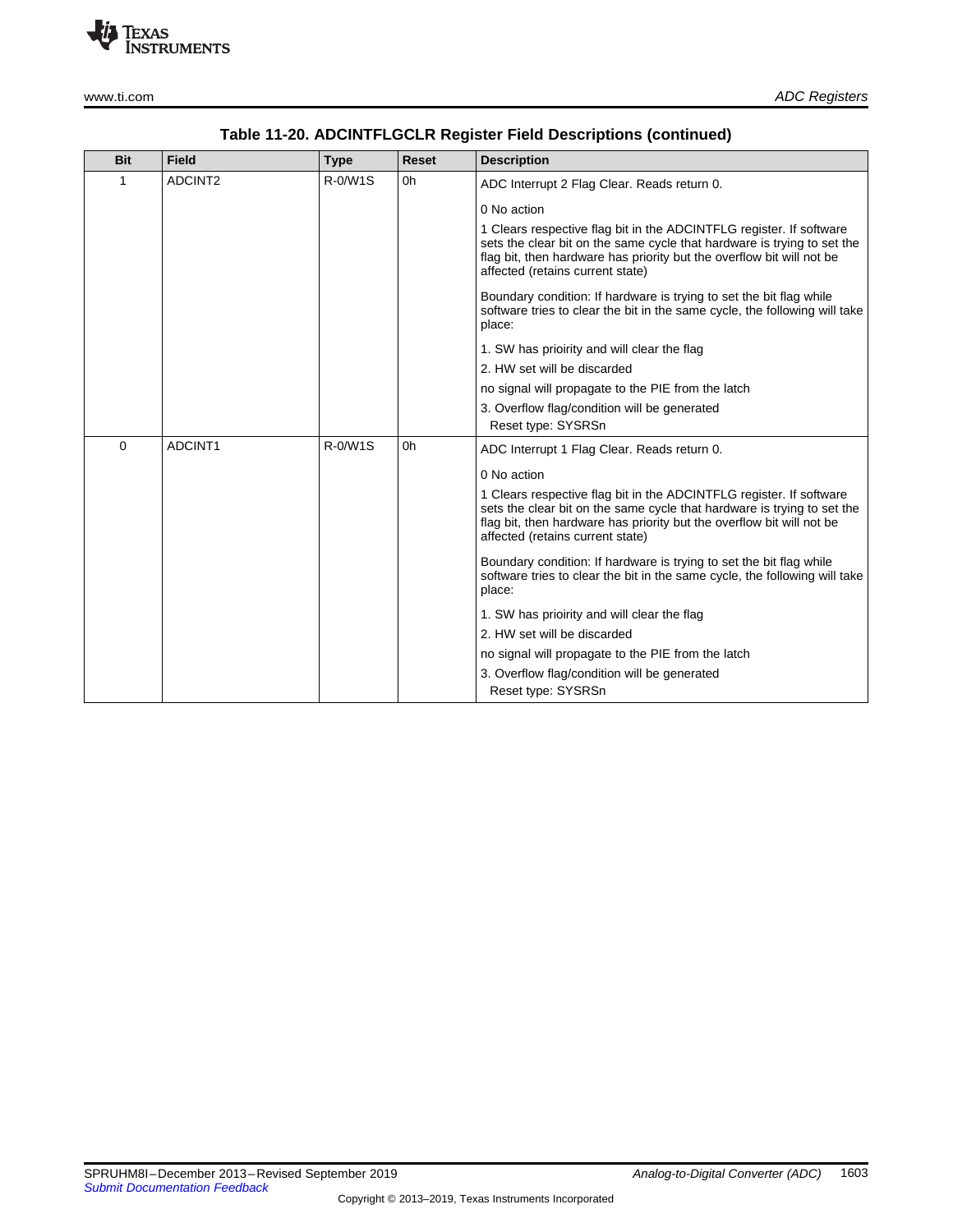

| <b>Bit</b> | <b>Field</b> | <b>Type</b> | <b>Reset</b> | <b>Description</b>                                                                                                                                                                                                                                          |
|------------|--------------|-------------|--------------|-------------------------------------------------------------------------------------------------------------------------------------------------------------------------------------------------------------------------------------------------------------|
| 1          | ADCINT2      | R-0/W1S     | 0h           | ADC Interrupt 2 Flag Clear. Reads return 0.                                                                                                                                                                                                                 |
|            |              |             |              | 0 No action                                                                                                                                                                                                                                                 |
|            |              |             |              | 1 Clears respective flag bit in the ADCINTFLG register. If software<br>sets the clear bit on the same cycle that hardware is trying to set the<br>flag bit, then hardware has priority but the overflow bit will not be<br>affected (retains current state) |
|            |              |             |              | Boundary condition: If hardware is trying to set the bit flag while<br>software tries to clear the bit in the same cycle, the following will take<br>place:                                                                                                 |
|            |              |             |              | 1. SW has prioirity and will clear the flag                                                                                                                                                                                                                 |
|            |              |             |              | 2. HW set will be discarded                                                                                                                                                                                                                                 |
|            |              |             |              | no signal will propagate to the PIE from the latch                                                                                                                                                                                                          |
|            |              |             |              | 3. Overflow flag/condition will be generated<br>Reset type: SYSRSn                                                                                                                                                                                          |
| 0          | ADCINT1      | R-0/W1S     | 0h           | ADC Interrupt 1 Flag Clear. Reads return 0.                                                                                                                                                                                                                 |
|            |              |             |              | 0 No action                                                                                                                                                                                                                                                 |
|            |              |             |              | 1 Clears respective flag bit in the ADCINTFLG register. If software<br>sets the clear bit on the same cycle that hardware is trying to set the<br>flag bit, then hardware has priority but the overflow bit will not be<br>affected (retains current state) |
|            |              |             |              | Boundary condition: If hardware is trying to set the bit flag while<br>software tries to clear the bit in the same cycle, the following will take<br>place:                                                                                                 |
|            |              |             |              | 1. SW has prioirity and will clear the flag                                                                                                                                                                                                                 |
|            |              |             |              | 2. HW set will be discarded                                                                                                                                                                                                                                 |
|            |              |             |              | no signal will propagate to the PIE from the latch                                                                                                                                                                                                          |
|            |              |             |              | 3. Overflow flag/condition will be generated                                                                                                                                                                                                                |

Reset type: SYSRSn

# **Table 11-20. ADCINTFLGCLR Register Field Descriptions (continued)**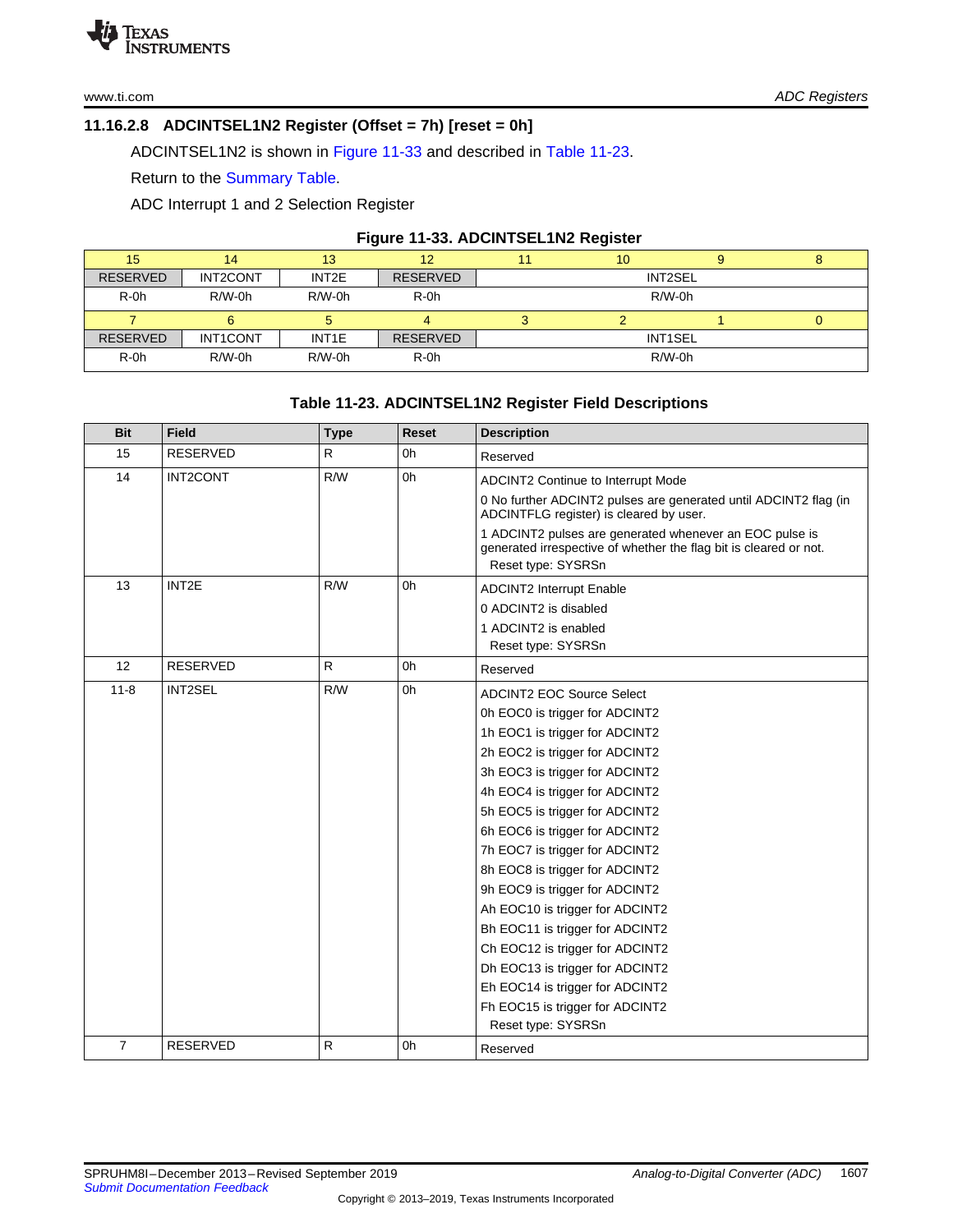# <span id="page-26-0"></span>**11.16.2.8 ADCINTSEL1N2 Register (Offset = 7h) [reset = 0h]**

ADCINTSEL1N2 is shown in [Figure](#page-26-1) 11-33 and described in Table [11-23.](#page-26-2)

Return to the [Summary](#page-17-0) Table.

ADC Interrupt 1 and 2 Selection Register

#### **Figure 11-33. ADCINTSEL1N2 Register**

<span id="page-26-1"></span>

| 15              | 14       | 13                 | 12              |          | 10             |  | ۰ |  |
|-----------------|----------|--------------------|-----------------|----------|----------------|--|---|--|
| <b>RESERVED</b> | INT2CONT | INT2E              | <b>RESERVED</b> |          | INT2SEL        |  |   |  |
| $R-0h$          | $R/W-0h$ | $R/W-0h$           | $R-0h$          | $R/W-0h$ |                |  |   |  |
|                 |          |                    |                 |          |                |  | U |  |
| <b>RESERVED</b> | INT1CONT | INT <sub>1</sub> E | <b>RESERVED</b> |          | <b>INT1SEL</b> |  |   |  |
| $R-0h$          | $R/W-0h$ | $R/W-0h$           | $R-0h$          | $R/W-0h$ |                |  |   |  |

# **Table 11-23. ADCINTSEL1N2 Register Field Descriptions**

<span id="page-26-2"></span>

| <b>Bit</b>     | <b>Field</b>    | <b>Type</b>  | Reset | <b>Description</b>                                                                                                           |
|----------------|-----------------|--------------|-------|------------------------------------------------------------------------------------------------------------------------------|
| 15             | <b>RESERVED</b> | R            | 0h    | Reserved                                                                                                                     |
| 14             | INT2CONT        | R/W          | 0h    | ADCINT2 Continue to Interrupt Mode                                                                                           |
|                |                 |              |       | 0 No further ADCINT2 pulses are generated until ADCINT2 flag (in<br>ADCINTFLG register) is cleared by user.                  |
|                |                 |              |       | 1 ADCINT2 pulses are generated whenever an EOC pulse is<br>generated irrespective of whether the flag bit is cleared or not. |
|                |                 |              |       | Reset type: SYSRSn                                                                                                           |
| 13             | INT2E           | R/W          | 0h    | <b>ADCINT2 Interrupt Enable</b>                                                                                              |
|                |                 |              |       | 0 ADCINT2 is disabled                                                                                                        |
|                |                 |              |       | 1 ADCINT2 is enabled                                                                                                         |
|                |                 |              |       | Reset type: SYSRSn                                                                                                           |
| 12             | RESERVED        | $\mathsf{R}$ | 0h    | Reserved                                                                                                                     |
| $11 - 8$       | <b>INT2SEL</b>  | R/W          | 0h    | <b>ADCINT2 EOC Source Select</b>                                                                                             |
|                |                 |              |       | 0h EOC0 is trigger for ADCINT2                                                                                               |
|                |                 |              |       | 1h EOC1 is trigger for ADCINT2                                                                                               |
|                |                 |              |       | 2h EOC2 is trigger for ADCINT2                                                                                               |
|                |                 |              |       | 3h EOC3 is trigger for ADCINT2                                                                                               |
|                |                 |              |       | 4h EOC4 is trigger for ADCINT2                                                                                               |
|                |                 |              |       | 5h EOC5 is trigger for ADCINT2                                                                                               |
|                |                 |              |       | 6h EOC6 is trigger for ADCINT2                                                                                               |
|                |                 |              |       | 7h EOC7 is trigger for ADCINT2                                                                                               |
|                |                 |              |       | 8h EOC8 is trigger for ADCINT2                                                                                               |
|                |                 |              |       | 9h EOC9 is trigger for ADCINT2                                                                                               |
|                |                 |              |       | Ah EOC10 is trigger for ADCINT2                                                                                              |
|                |                 |              |       | Bh EOC11 is trigger for ADCINT2                                                                                              |
|                |                 |              |       | Ch EOC12 is trigger for ADCINT2                                                                                              |
|                |                 |              |       | Dh EOC13 is trigger for ADCINT2                                                                                              |
|                |                 |              |       | Eh EOC14 is trigger for ADCINT2                                                                                              |
|                |                 |              |       | Fh EOC15 is trigger for ADCINT2                                                                                              |
|                |                 |              |       | Reset type: SYSRSn                                                                                                           |
| $\overline{7}$ | <b>RESERVED</b> | R            | 0h    | Reserved                                                                                                                     |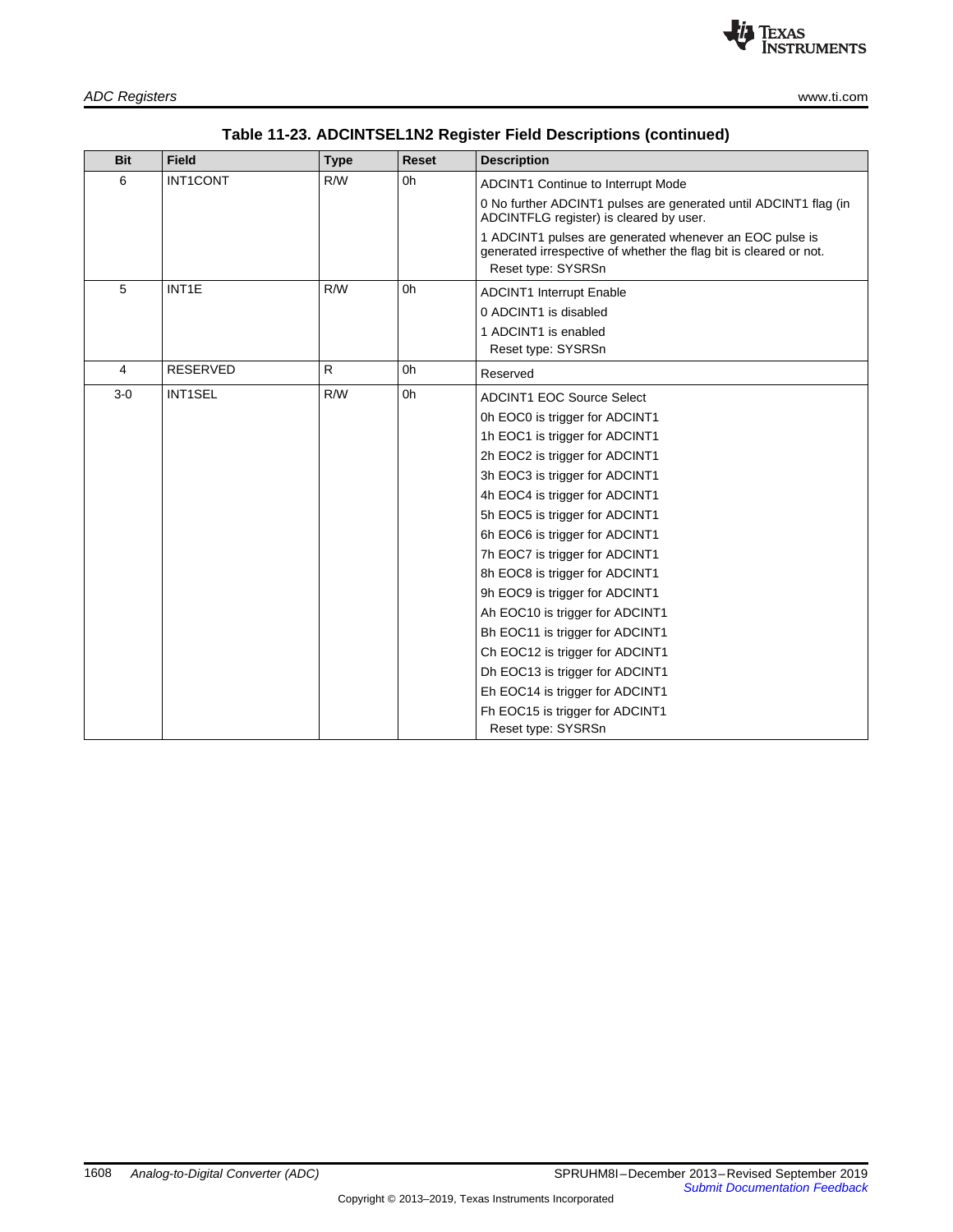

|  | Table 11-23. ADCINTSEL1N2 Register Field Descriptions (continued) |  |
|--|-------------------------------------------------------------------|--|
|--|-------------------------------------------------------------------|--|

| <b>Bit</b> | <b>Field</b>       | <b>Type</b>  | <b>Reset</b> | <b>Description</b>                                                                                                                                 |
|------------|--------------------|--------------|--------------|----------------------------------------------------------------------------------------------------------------------------------------------------|
| 6          | <b>INT1CONT</b>    | R/W          | 0h           | <b>ADCINT1 Continue to Interrupt Mode</b>                                                                                                          |
|            |                    |              |              | 0 No further ADCINT1 pulses are generated until ADCINT1 flag (in<br>ADCINTFLG register) is cleared by user.                                        |
|            |                    |              |              | 1 ADCINT1 pulses are generated whenever an EOC pulse is<br>generated irrespective of whether the flag bit is cleared or not.<br>Reset type: SYSRSn |
| 5          | INT <sub>1</sub> E | R/W          | 0h           | <b>ADCINT1 Interrupt Enable</b>                                                                                                                    |
|            |                    |              |              | 0 ADCINT1 is disabled                                                                                                                              |
|            |                    |              |              | 1 ADCINT1 is enabled                                                                                                                               |
|            |                    |              |              | Reset type: SYSRSn                                                                                                                                 |
| 4          | <b>RESERVED</b>    | $\mathsf{R}$ | 0h           | Reserved                                                                                                                                           |
| $3-0$      | <b>INT1SEL</b>     | R/W          | 0h           | <b>ADCINT1 EOC Source Select</b>                                                                                                                   |
|            |                    |              |              | 0h EOC0 is trigger for ADCINT1                                                                                                                     |
|            |                    |              |              | 1h EOC1 is trigger for ADCINT1                                                                                                                     |
|            |                    |              |              | 2h EOC2 is trigger for ADCINT1                                                                                                                     |
|            |                    |              |              | 3h EOC3 is trigger for ADCINT1                                                                                                                     |
|            |                    |              |              | 4h EOC4 is trigger for ADCINT1                                                                                                                     |
|            |                    |              |              | 5h EOC5 is trigger for ADCINT1                                                                                                                     |
|            |                    |              |              | 6h EOC6 is trigger for ADCINT1                                                                                                                     |
|            |                    |              |              | 7h EOC7 is trigger for ADCINT1                                                                                                                     |
|            |                    |              |              | 8h EOC8 is trigger for ADCINT1                                                                                                                     |
|            |                    |              |              | 9h EOC9 is trigger for ADCINT1                                                                                                                     |
|            |                    |              |              | Ah EOC10 is trigger for ADCINT1                                                                                                                    |
|            |                    |              |              | Bh EOC11 is trigger for ADCINT1                                                                                                                    |
|            |                    |              |              | Ch EOC12 is trigger for ADCINT1                                                                                                                    |
|            |                    |              |              | Dh EOC13 is trigger for ADCINT1                                                                                                                    |
|            |                    |              |              | Eh EOC14 is trigger for ADCINT1                                                                                                                    |
|            |                    |              |              | Fh EOC15 is trigger for ADCINT1                                                                                                                    |
|            |                    |              |              | Reset type: SYSRSn                                                                                                                                 |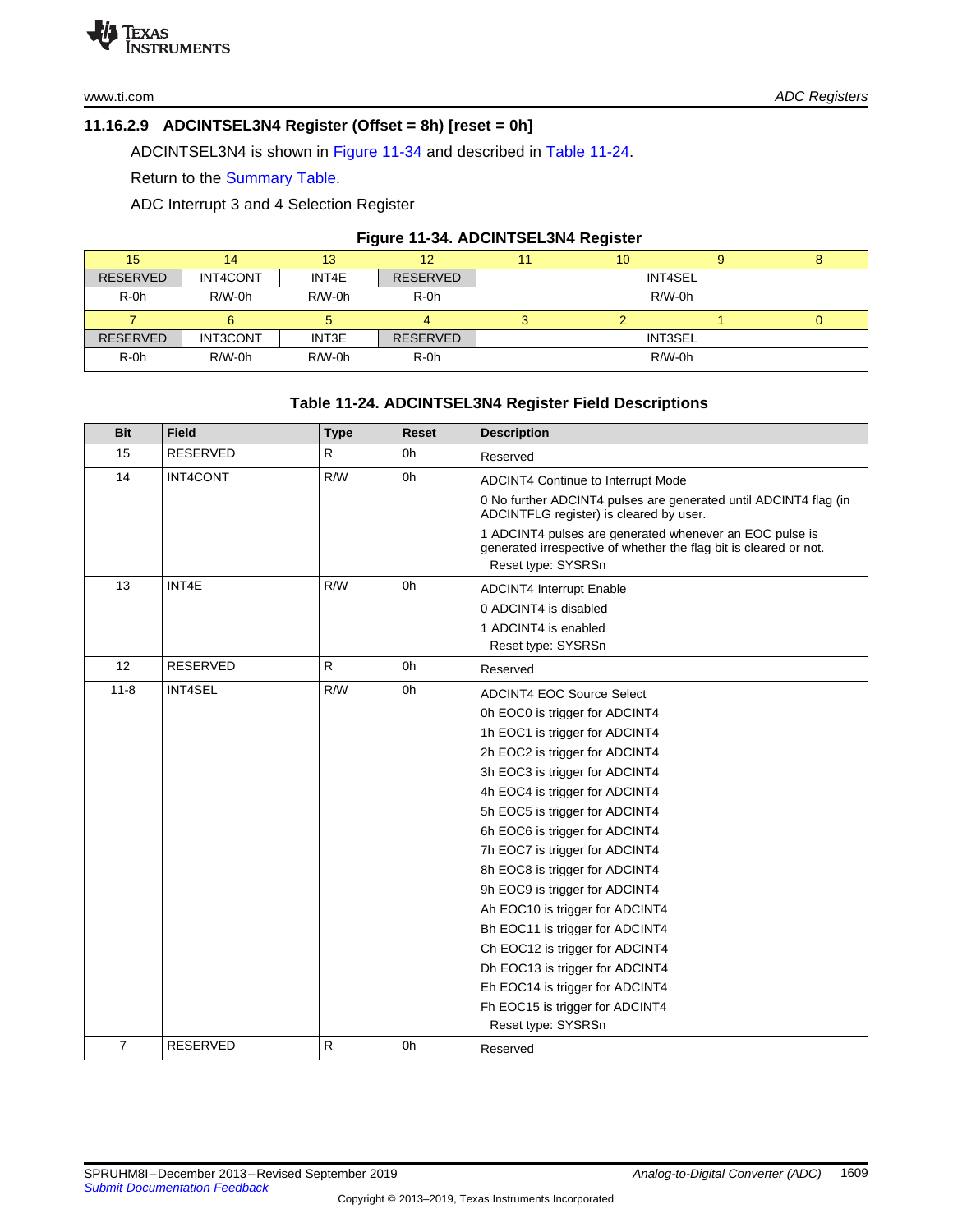# <span id="page-28-0"></span>**11.16.2.9 ADCINTSEL3N4 Register (Offset = 8h) [reset = 0h]**

ADCINTSEL3N4 is shown in [Figure](#page-28-1) 11-34 and described in Table [11-24.](#page-28-2)

Return to the [Summary](#page-17-0) Table.

ADC Interrupt 3 and 4 Selection Register

#### **Figure 11-34. ADCINTSEL3N4 Register**

<span id="page-28-1"></span>

| 15              | 14       | 13       | 12              |          | 10             |  | ۰ |  |
|-----------------|----------|----------|-----------------|----------|----------------|--|---|--|
| <b>RESERVED</b> | INT4CONT | INT4E    | <b>RESERVED</b> |          | INT4SEL        |  |   |  |
| $R-0h$          | $R/W-0h$ | $R/W-0h$ | $R-0h$          | $R/W-0h$ |                |  |   |  |
|                 |          |          |                 |          |                |  | U |  |
| <b>RESERVED</b> | INT3CONT | INT3E    | <b>RESERVED</b> |          | <b>INT3SEL</b> |  |   |  |
| $R-0h$          | $R/W-0h$ | $R/W-0h$ | $R-0h$          | $R/W-0h$ |                |  |   |  |

# **Table 11-24. ADCINTSEL3N4 Register Field Descriptions**

<span id="page-28-2"></span>

| <b>Bit</b>     | <b>Field</b>    | <b>Type</b>  | Reset | <b>Description</b>                                                                                                           |
|----------------|-----------------|--------------|-------|------------------------------------------------------------------------------------------------------------------------------|
| 15             | <b>RESERVED</b> | R            | 0h    | Reserved                                                                                                                     |
| 14             | INT4CONT        | R/W          | 0h    | ADCINT4 Continue to Interrupt Mode                                                                                           |
|                |                 |              |       | 0 No further ADCINT4 pulses are generated until ADCINT4 flag (in<br>ADCINTFLG register) is cleared by user.                  |
|                |                 |              |       | 1 ADCINT4 pulses are generated whenever an EOC pulse is<br>generated irrespective of whether the flag bit is cleared or not. |
|                |                 |              |       | Reset type: SYSRSn                                                                                                           |
| 13             | INT4E           | R/W          | 0h    | <b>ADCINT4 Interrupt Enable</b>                                                                                              |
|                |                 |              |       | 0 ADCINT4 is disabled                                                                                                        |
|                |                 |              |       | 1 ADCINT4 is enabled                                                                                                         |
|                |                 |              |       | Reset type: SYSRSn                                                                                                           |
| 12             | RESERVED        | $\mathsf{R}$ | 0h    | Reserved                                                                                                                     |
| $11 - 8$       | <b>INT4SEL</b>  | R/W          | 0h    | <b>ADCINT4 EOC Source Select</b>                                                                                             |
|                |                 |              |       | 0h EOC0 is trigger for ADCINT4                                                                                               |
|                |                 |              |       | 1h EOC1 is trigger for ADCINT4                                                                                               |
|                |                 |              |       | 2h EOC2 is trigger for ADCINT4                                                                                               |
|                |                 |              |       | 3h EOC3 is trigger for ADCINT4                                                                                               |
|                |                 |              |       | 4h EOC4 is trigger for ADCINT4                                                                                               |
|                |                 |              |       | 5h EOC5 is trigger for ADCINT4                                                                                               |
|                |                 |              |       | 6h EOC6 is trigger for ADCINT4                                                                                               |
|                |                 |              |       | 7h EOC7 is trigger for ADCINT4                                                                                               |
|                |                 |              |       | 8h EOC8 is trigger for ADCINT4                                                                                               |
|                |                 |              |       | 9h EOC9 is trigger for ADCINT4                                                                                               |
|                |                 |              |       | Ah EOC10 is trigger for ADCINT4                                                                                              |
|                |                 |              |       | Bh EOC11 is trigger for ADCINT4                                                                                              |
|                |                 |              |       | Ch EOC12 is trigger for ADCINT4                                                                                              |
|                |                 |              |       | Dh EOC13 is trigger for ADCINT4                                                                                              |
|                |                 |              |       | Eh EOC14 is trigger for ADCINT4                                                                                              |
|                |                 |              |       | Fh EOC15 is trigger for ADCINT4                                                                                              |
|                |                 |              |       | Reset type: SYSRSn                                                                                                           |
| $\overline{7}$ | <b>RESERVED</b> | $\mathsf{R}$ | 0h    | Reserved                                                                                                                     |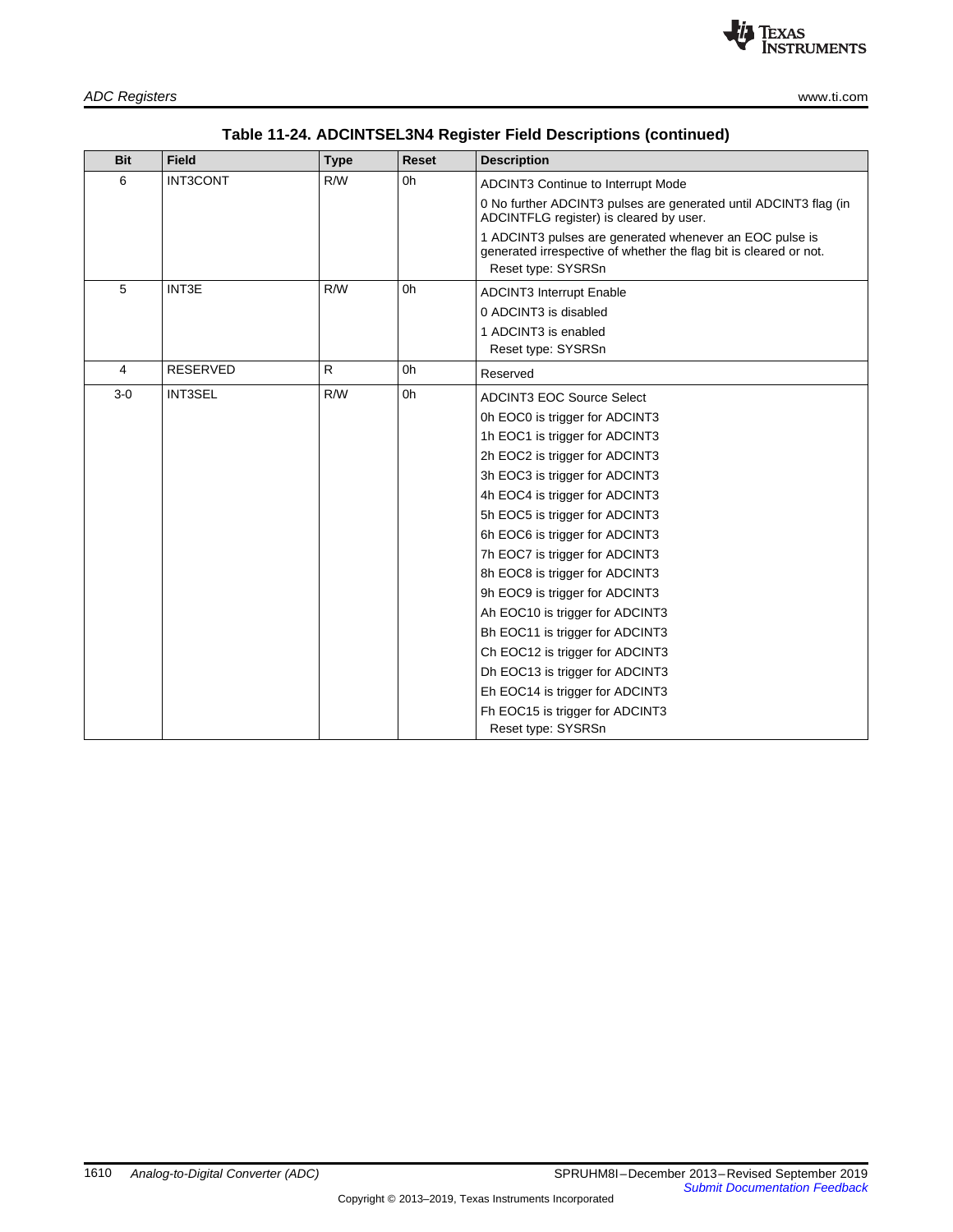| Table 11-24. ADCINTSEL3N4 Register Field Descriptions (continued) |  |
|-------------------------------------------------------------------|--|
|-------------------------------------------------------------------|--|

| <b>Bit</b> | <b>Field</b>    | <b>Type</b> | <b>Reset</b> | <b>Description</b>                                                                                                                                 |
|------------|-----------------|-------------|--------------|----------------------------------------------------------------------------------------------------------------------------------------------------|
| 6          | <b>INT3CONT</b> | R/W         | 0h           | ADCINT3 Continue to Interrupt Mode                                                                                                                 |
|            |                 |             |              | 0 No further ADCINT3 pulses are generated until ADCINT3 flag (in<br>ADCINTFLG register) is cleared by user.                                        |
|            |                 |             |              | 1 ADCINT3 pulses are generated whenever an EOC pulse is<br>generated irrespective of whether the flag bit is cleared or not.<br>Reset type: SYSRSn |
| 5          | INT3E           | R/W         | 0h           | <b>ADCINT3 Interrupt Enable</b>                                                                                                                    |
|            |                 |             |              | 0 ADCINT3 is disabled                                                                                                                              |
|            |                 |             |              | 1 ADCINT3 is enabled                                                                                                                               |
|            |                 |             |              | Reset type: SYSRSn                                                                                                                                 |
| 4          | <b>RESERVED</b> | R           | 0h           | Reserved                                                                                                                                           |
| $3-0$      | <b>INT3SEL</b>  | R/W         | 0h           | <b>ADCINT3 EOC Source Select</b>                                                                                                                   |
|            |                 |             |              | 0h EOC0 is trigger for ADCINT3                                                                                                                     |
|            |                 |             |              | 1h EOC1 is trigger for ADCINT3                                                                                                                     |
|            |                 |             |              | 2h EOC2 is trigger for ADCINT3                                                                                                                     |
|            |                 |             |              | 3h EOC3 is trigger for ADCINT3                                                                                                                     |
|            |                 |             |              | 4h EOC4 is trigger for ADCINT3                                                                                                                     |
|            |                 |             |              | 5h EOC5 is trigger for ADCINT3                                                                                                                     |
|            |                 |             |              | 6h EOC6 is trigger for ADCINT3                                                                                                                     |
|            |                 |             |              | 7h EOC7 is trigger for ADCINT3                                                                                                                     |
|            |                 |             |              | 8h EOC8 is trigger for ADCINT3                                                                                                                     |
|            |                 |             |              | 9h EOC9 is trigger for ADCINT3                                                                                                                     |
|            |                 |             |              | Ah EOC10 is trigger for ADCINT3                                                                                                                    |
|            |                 |             |              | Bh EOC11 is trigger for ADCINT3                                                                                                                    |
|            |                 |             |              | Ch EOC12 is trigger for ADCINT3                                                                                                                    |
|            |                 |             |              | Dh EOC13 is trigger for ADCINT3                                                                                                                    |
|            |                 |             |              | Eh EOC14 is trigger for ADCINT3                                                                                                                    |
|            |                 |             |              | Fh EOC15 is trigger for ADCINT3                                                                                                                    |
|            |                 |             |              | Reset type: SYSRSn                                                                                                                                 |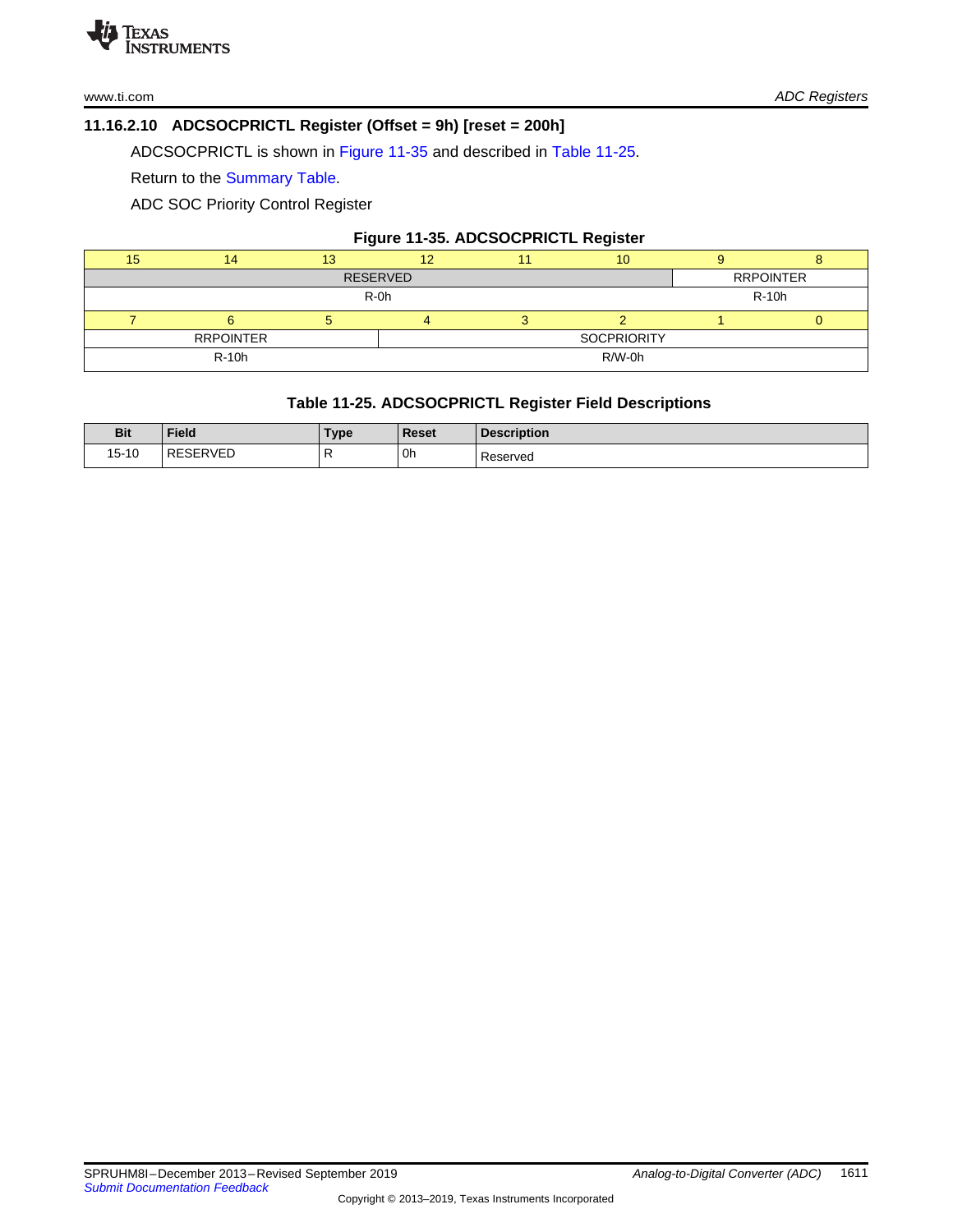# <span id="page-30-0"></span>**11.16.2.10 ADCSOCPRICTL Register (Offset = 9h) [reset = 200h]**

ADCSOCPRICTL is shown in [Figure](#page-30-1) 11-35 and described in Table [11-25](#page-30-2).

Return to the [Summary](#page-17-0) Table.

ADC SOC Priority Control Register

# **Figure 11-35. ADCSOCPRICTL Register**

<span id="page-30-1"></span>

| 15              |                  | 13     |  |                    | 10 |       |                  |  |
|-----------------|------------------|--------|--|--------------------|----|-------|------------------|--|
| <b>RESERVED</b> |                  |        |  |                    |    |       | <b>RRPOINTER</b> |  |
|                 |                  | $R-0h$ |  |                    |    | R-10h |                  |  |
|                 |                  |        |  |                    |    |       |                  |  |
|                 | <b>RRPOINTER</b> |        |  | <b>SOCPRIORITY</b> |    |       |                  |  |
|                 | <b>R-10h</b>     |        |  | R/W-0h             |    |       |                  |  |
|                 |                  |        |  |                    |    |       |                  |  |

# **Table 11-25. ADCSOCPRICTL Register Field Descriptions**

<span id="page-30-2"></span>

| <b>Bit</b> | Field    | Туре | Reset | <b>Description</b> |
|------------|----------|------|-------|--------------------|
| 15-10      | RESERVEL | .,   | 0h    | Reserved           |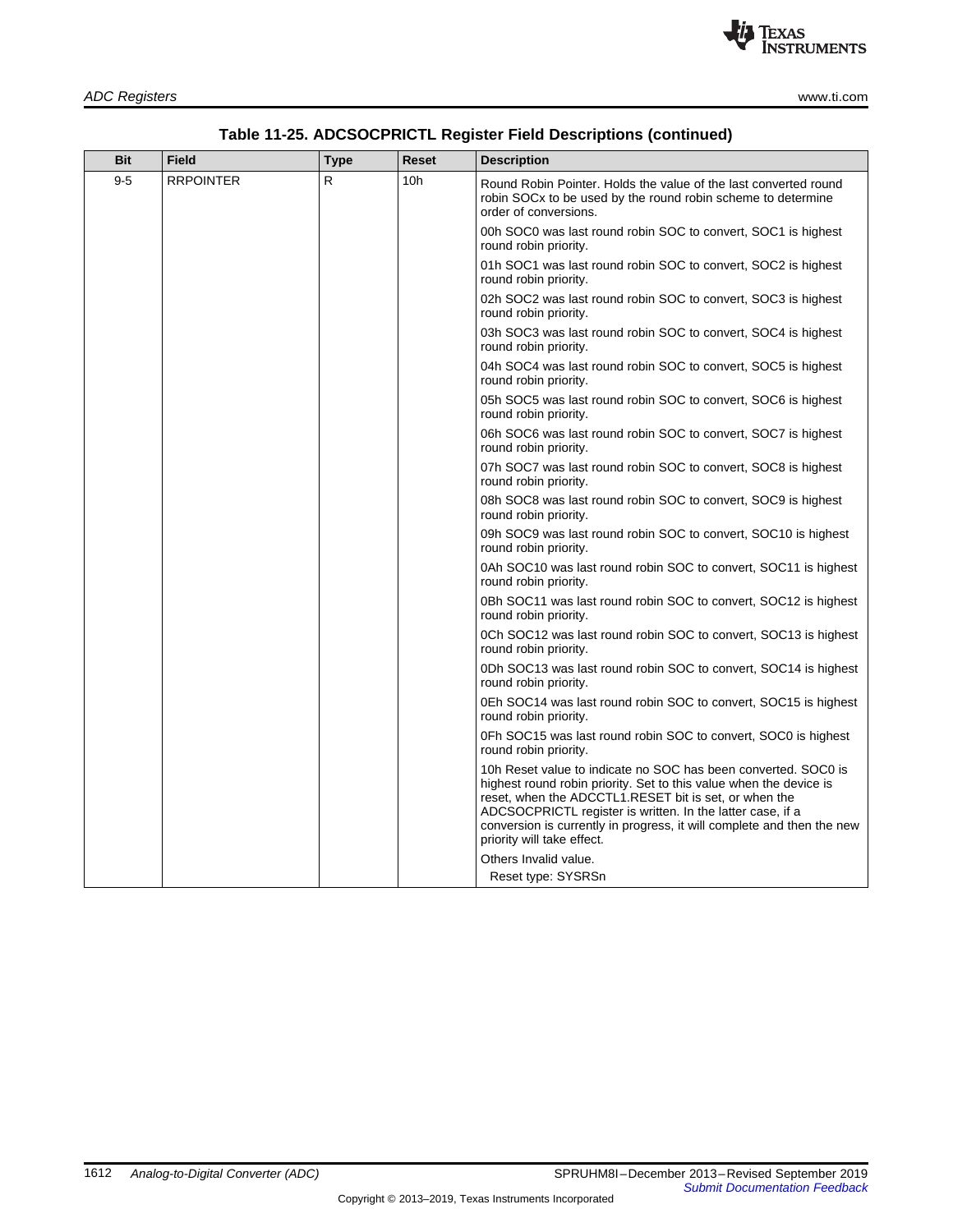

| <b>Bit</b> | <b>Field</b>     | Type | <b>Reset</b>    | <b>Description</b>                                                                                                                                                                                                                                                                                                                                                  |
|------------|------------------|------|-----------------|---------------------------------------------------------------------------------------------------------------------------------------------------------------------------------------------------------------------------------------------------------------------------------------------------------------------------------------------------------------------|
| $9 - 5$    | <b>RRPOINTER</b> | R    | 10 <sub>h</sub> | Round Robin Pointer. Holds the value of the last converted round<br>robin SOC <sub>x</sub> to be used by the round robin scheme to determine<br>order of conversions.                                                                                                                                                                                               |
|            |                  |      |                 | 00h SOC0 was last round robin SOC to convert, SOC1 is highest<br>round robin priority.                                                                                                                                                                                                                                                                              |
|            |                  |      |                 | 01h SOC1 was last round robin SOC to convert, SOC2 is highest<br>round robin priority.                                                                                                                                                                                                                                                                              |
|            |                  |      |                 | 02h SOC2 was last round robin SOC to convert, SOC3 is highest<br>round robin priority.                                                                                                                                                                                                                                                                              |
|            |                  |      |                 | 03h SOC3 was last round robin SOC to convert, SOC4 is highest<br>round robin priority.                                                                                                                                                                                                                                                                              |
|            |                  |      |                 | 04h SOC4 was last round robin SOC to convert, SOC5 is highest<br>round robin priority.                                                                                                                                                                                                                                                                              |
|            |                  |      |                 | 05h SOC5 was last round robin SOC to convert, SOC6 is highest<br>round robin priority.                                                                                                                                                                                                                                                                              |
|            |                  |      |                 | 06h SOC6 was last round robin SOC to convert, SOC7 is highest<br>round robin priority.                                                                                                                                                                                                                                                                              |
|            |                  |      |                 | 07h SOC7 was last round robin SOC to convert, SOC8 is highest<br>round robin priority.                                                                                                                                                                                                                                                                              |
|            |                  |      |                 | 08h SOC8 was last round robin SOC to convert, SOC9 is highest<br>round robin priority.                                                                                                                                                                                                                                                                              |
|            |                  |      |                 | 09h SOC9 was last round robin SOC to convert, SOC10 is highest<br>round robin priority.                                                                                                                                                                                                                                                                             |
|            |                  |      |                 | 0Ah SOC10 was last round robin SOC to convert, SOC11 is highest<br>round robin priority.                                                                                                                                                                                                                                                                            |
|            |                  |      |                 | 0Bh SOC11 was last round robin SOC to convert, SOC12 is highest<br>round robin priority.                                                                                                                                                                                                                                                                            |
|            |                  |      |                 | 0Ch SOC12 was last round robin SOC to convert, SOC13 is highest<br>round robin priority.                                                                                                                                                                                                                                                                            |
|            |                  |      |                 | 0Dh SOC13 was last round robin SOC to convert, SOC14 is highest<br>round robin priority.                                                                                                                                                                                                                                                                            |
|            |                  |      |                 | 0Eh SOC14 was last round robin SOC to convert, SOC15 is highest<br>round robin priority.                                                                                                                                                                                                                                                                            |
|            |                  |      |                 | 0Fh SOC15 was last round robin SOC to convert, SOC0 is highest<br>round robin priority.                                                                                                                                                                                                                                                                             |
|            |                  |      |                 | 10h Reset value to indicate no SOC has been converted. SOC0 is<br>highest round robin priority. Set to this value when the device is<br>reset, when the ADCCTL1.RESET bit is set, or when the<br>ADCSOCPRICTL register is written. In the latter case, if a<br>conversion is currently in progress, it will complete and then the new<br>priority will take effect. |
|            |                  |      |                 | Others Invalid value                                                                                                                                                                                                                                                                                                                                                |

# **Table 11-25. ADCSOCPRICTL Register Field Descriptions (continued)**

Reset type: SYSRSn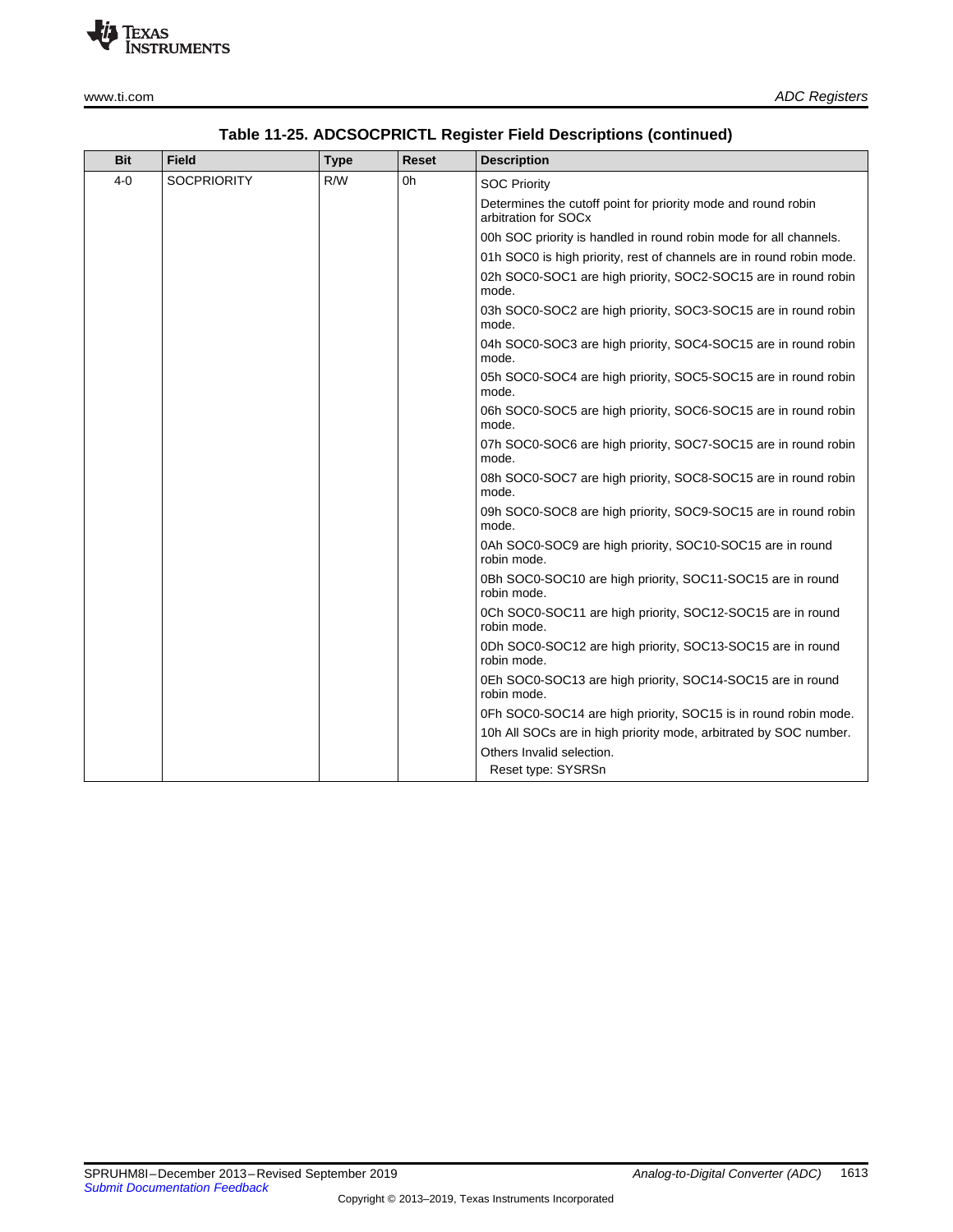

| <b>Bit</b> | Field              | <b>Type</b> | <b>Reset</b> | <b>Description</b>                                                                    |
|------------|--------------------|-------------|--------------|---------------------------------------------------------------------------------------|
| $4 - 0$    | <b>SOCPRIORITY</b> | R/W         | 0h           | <b>SOC Priority</b>                                                                   |
|            |                    |             |              | Determines the cutoff point for priority mode and round robin<br>arbitration for SOCx |
|            |                    |             |              | 00h SOC priority is handled in round robin mode for all channels.                     |
|            |                    |             |              | 01h SOC0 is high priority, rest of channels are in round robin mode.                  |
|            |                    |             |              | 02h SOC0-SOC1 are high priority, SOC2-SOC15 are in round robin<br>mode.               |
|            |                    |             |              | 03h SOC0-SOC2 are high priority, SOC3-SOC15 are in round robin<br>mode.               |
|            |                    |             |              | 04h SOC0-SOC3 are high priority, SOC4-SOC15 are in round robin<br>mode.               |
|            |                    |             |              | 05h SOC0-SOC4 are high priority, SOC5-SOC15 are in round robin<br>mode.               |
|            |                    |             |              | 06h SOC0-SOC5 are high priority, SOC6-SOC15 are in round robin<br>mode.               |
|            |                    |             |              | 07h SOC0-SOC6 are high priority, SOC7-SOC15 are in round robin<br>mode.               |
|            |                    |             |              | 08h SOC0-SOC7 are high priority, SOC8-SOC15 are in round robin<br>mode.               |
|            |                    |             |              | 09h SOC0-SOC8 are high priority, SOC9-SOC15 are in round robin<br>mode.               |
|            |                    |             |              | 0Ah SOC0-SOC9 are high priority, SOC10-SOC15 are in round<br>robin mode.              |
|            |                    |             |              | 0Bh SOC0-SOC10 are high priority, SOC11-SOC15 are in round<br>robin mode.             |
|            |                    |             |              | 0Ch SOC0-SOC11 are high priority, SOC12-SOC15 are in round<br>robin mode.             |
|            |                    |             |              | 0Dh SOC0-SOC12 are high priority, SOC13-SOC15 are in round<br>robin mode.             |
|            |                    |             |              | 0Eh SOC0-SOC13 are high priority, SOC14-SOC15 are in round<br>robin mode.             |
|            |                    |             |              | 0Fh SOC0-SOC14 are high priority, SOC15 is in round robin mode.                       |
|            |                    |             |              | 10h All SOCs are in high priority mode, arbitrated by SOC number.                     |
|            |                    |             |              | Others Invalid selection.                                                             |
|            |                    |             |              | Reset type: SYSRSn                                                                    |

# **Table 11-25. ADCSOCPRICTL Register Field Descriptions (continued)**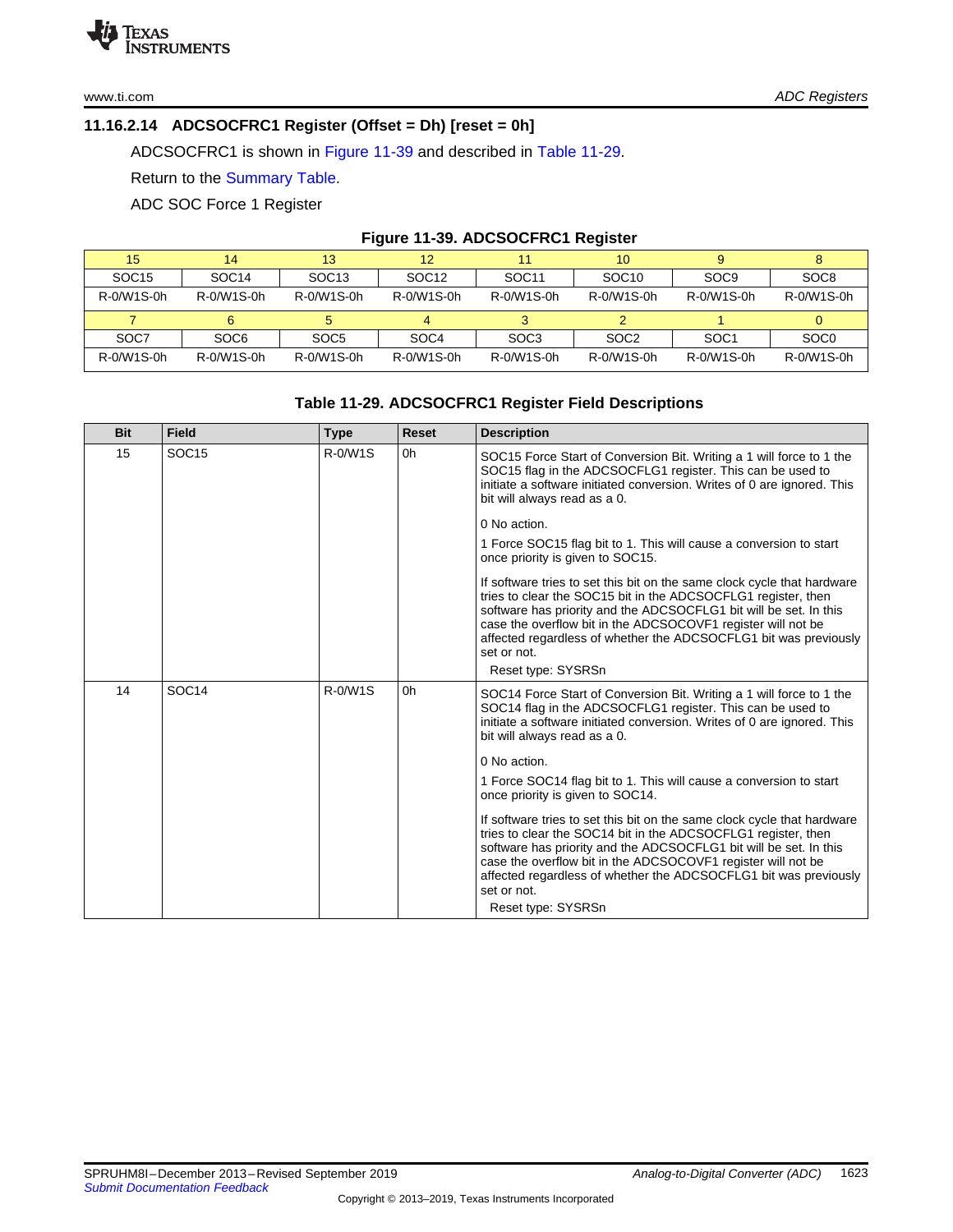# <span id="page-33-0"></span>**11.16.2.14 ADCSOCFRC1 Register (Offset = Dh) [reset = 0h]**

ADCSOCFRC1 is shown in [Figure](#page-33-1) 11-39 and described in Table [11-29.](#page-33-2)

Return to the [Summary](#page-17-0) Table.

ADC SOC Force 1 Register

# **Figure 11-39. ADCSOCFRC1 Register**

<span id="page-33-1"></span>

| 15                | 14                | 13                | 12                | 11                | 10                |                  | 8                |
|-------------------|-------------------|-------------------|-------------------|-------------------|-------------------|------------------|------------------|
| SOC <sub>15</sub> | SOC <sub>14</sub> | SOC <sub>13</sub> | SOC <sub>12</sub> | SOC <sub>11</sub> | SOC <sub>10</sub> | SOC <sub>9</sub> | SOC <sub>8</sub> |
| R-0/W1S-0h        | R-0/W1S-0h        | R-0/W1S-0h        | R-0/W1S-0h        | R-0/W1S-0h        | R-0/W1S-0h        | R-0/W1S-0h       | R-0/W1S-0h       |
|                   |                   |                   |                   |                   |                   |                  |                  |
| SOC7              | SOC <sub>6</sub>  | SOC <sub>5</sub>  | SOC <sub>4</sub>  | SOC <sub>3</sub>  | SOC <sub>2</sub>  | SOC <sub>1</sub> | SOC <sub>0</sub> |
| R-0/W1S-0h        | R-0/W1S-0h        | R-0/W1S-0h        | R-0/W1S-0h        | R-0/W1S-0h        | R-0/W1S-0h        | R-0/W1S-0h       | R-0/W1S-0h       |

# **Table 11-29. ADCSOCFRC1 Register Field Descriptions**

<span id="page-33-2"></span>

| <b>Bit</b> | <b>Field</b>      | <b>Type</b> | Reset | <b>Description</b>                                                                                                                                                                                                                                                                                                                                                                     |
|------------|-------------------|-------------|-------|----------------------------------------------------------------------------------------------------------------------------------------------------------------------------------------------------------------------------------------------------------------------------------------------------------------------------------------------------------------------------------------|
| 15         | SOC <sub>15</sub> | $R - 0/W1S$ | 0h    | SOC15 Force Start of Conversion Bit. Writing a 1 will force to 1 the<br>SOC15 flag in the ADCSOCFLG1 register. This can be used to<br>initiate a software initiated conversion. Writes of 0 are ignored. This<br>bit will always read as a 0.                                                                                                                                          |
|            |                   |             |       | 0 No action.                                                                                                                                                                                                                                                                                                                                                                           |
|            |                   |             |       | 1 Force SOC15 flag bit to 1. This will cause a conversion to start<br>once priority is given to SOC15.                                                                                                                                                                                                                                                                                 |
|            |                   |             |       | If software tries to set this bit on the same clock cycle that hardware<br>tries to clear the SOC15 bit in the ADCSOCFLG1 register, then<br>software has priority and the ADCSOCFLG1 bit will be set. In this<br>case the overflow bit in the ADCSOCOVF1 register will not be<br>affected regardless of whether the ADCSOCFLG1 bit was previously<br>set or not.<br>Reset type: SYSRSn |
| 14         | SOC <sub>14</sub> | $R - 0/W1S$ | 0h    | SOC14 Force Start of Conversion Bit. Writing a 1 will force to 1 the<br>SOC14 flag in the ADCSOCFLG1 register. This can be used to<br>initiate a software initiated conversion. Writes of 0 are ignored. This<br>bit will always read as a 0.                                                                                                                                          |
|            |                   |             |       | 0 No action.                                                                                                                                                                                                                                                                                                                                                                           |
|            |                   |             |       | 1 Force SOC14 flag bit to 1. This will cause a conversion to start<br>once priority is given to SOC14.                                                                                                                                                                                                                                                                                 |
|            |                   |             |       | If software tries to set this bit on the same clock cycle that hardware<br>tries to clear the SOC14 bit in the ADCSOCFLG1 register, then<br>software has priority and the ADCSOCFLG1 bit will be set. In this<br>case the overflow bit in the ADCSOCOVF1 register will not be<br>affected regardless of whether the ADCSOCFLG1 bit was previously<br>set or not.<br>Reset type: SYSRSn |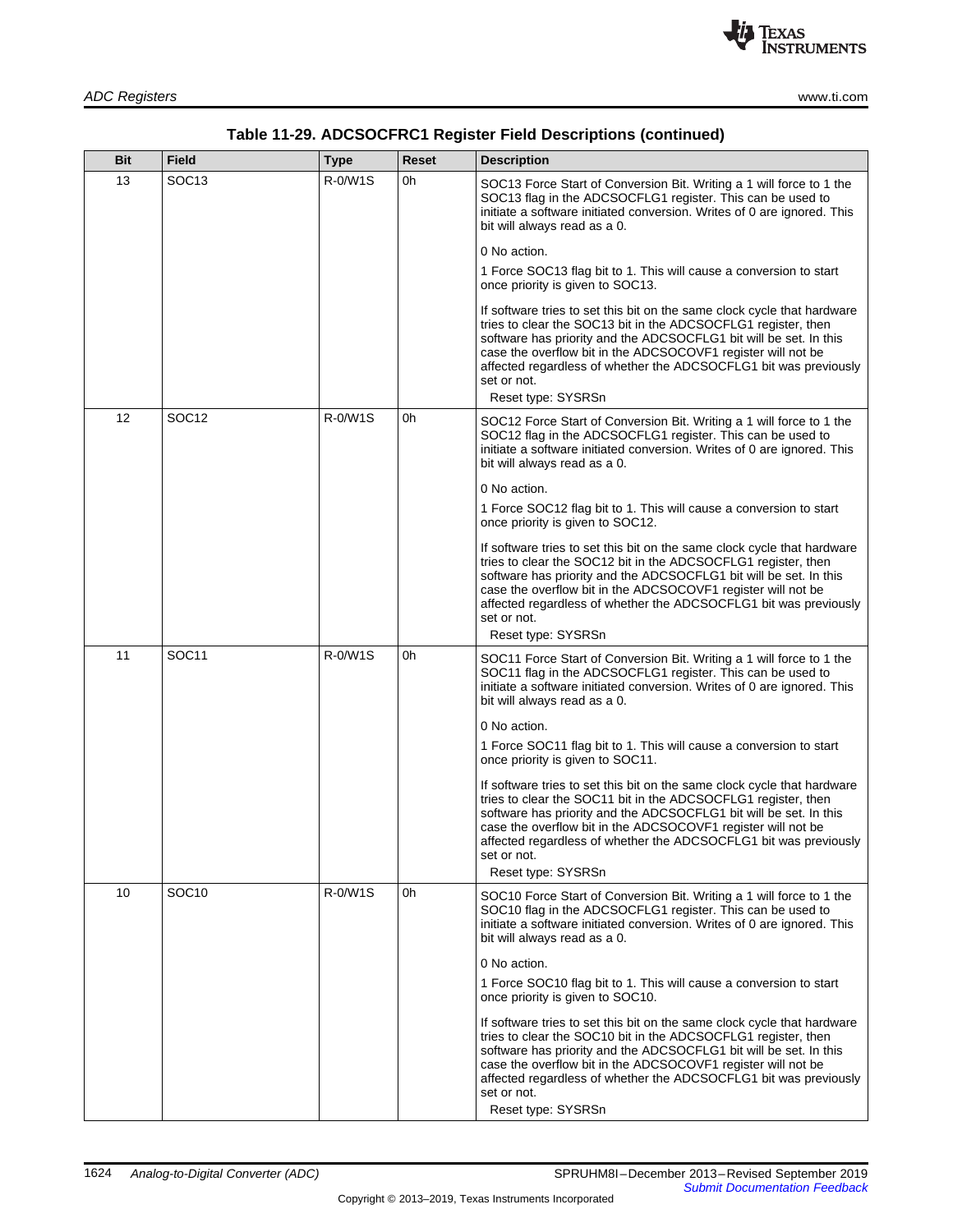

| Bit | <b>Field</b>      | <b>Type</b> | <b>Reset</b> | <b>Description</b>                                                                                                                                                                                                                                                                                                                                                                     |
|-----|-------------------|-------------|--------------|----------------------------------------------------------------------------------------------------------------------------------------------------------------------------------------------------------------------------------------------------------------------------------------------------------------------------------------------------------------------------------------|
| 13  | SOC <sub>13</sub> | R-0/W1S     | 0h           | SOC13 Force Start of Conversion Bit. Writing a 1 will force to 1 the<br>SOC13 flag in the ADCSOCFLG1 register. This can be used to<br>initiate a software initiated conversion. Writes of 0 are ignored. This<br>bit will always read as a 0.                                                                                                                                          |
|     |                   |             |              | 0 No action.                                                                                                                                                                                                                                                                                                                                                                           |
|     |                   |             |              | 1 Force SOC13 flag bit to 1. This will cause a conversion to start<br>once priority is given to SOC13.                                                                                                                                                                                                                                                                                 |
|     |                   |             |              | If software tries to set this bit on the same clock cycle that hardware<br>tries to clear the SOC13 bit in the ADCSOCFLG1 register, then<br>software has priority and the ADCSOCFLG1 bit will be set. In this<br>case the overflow bit in the ADCSOCOVF1 register will not be<br>affected regardless of whether the ADCSOCFLG1 bit was previously<br>set or not.<br>Reset type: SYSRSn |
| 12  | SOC <sub>12</sub> | R-0/W1S     | 0h           | SOC12 Force Start of Conversion Bit. Writing a 1 will force to 1 the<br>SOC12 flag in the ADCSOCFLG1 register. This can be used to<br>initiate a software initiated conversion. Writes of 0 are ignored. This<br>bit will always read as a 0.                                                                                                                                          |
|     |                   |             |              | 0 No action.                                                                                                                                                                                                                                                                                                                                                                           |
|     |                   |             |              | 1 Force SOC12 flag bit to 1. This will cause a conversion to start<br>once priority is given to SOC12.                                                                                                                                                                                                                                                                                 |
|     |                   |             |              | If software tries to set this bit on the same clock cycle that hardware<br>tries to clear the SOC12 bit in the ADCSOCFLG1 register, then<br>software has priority and the ADCSOCFLG1 bit will be set. In this<br>case the overflow bit in the ADCSOCOVF1 register will not be<br>affected regardless of whether the ADCSOCFLG1 bit was previously<br>set or not.<br>Reset type: SYSRSn |
| 11  | SOC <sub>11</sub> | R-0/W1S     | 0h           | SOC11 Force Start of Conversion Bit. Writing a 1 will force to 1 the<br>SOC11 flag in the ADCSOCFLG1 register. This can be used to<br>initiate a software initiated conversion. Writes of 0 are ignored. This<br>bit will always read as a 0.                                                                                                                                          |
|     |                   |             |              | 0 No action.                                                                                                                                                                                                                                                                                                                                                                           |
|     |                   |             |              | 1 Force SOC11 flag bit to 1. This will cause a conversion to start<br>once priority is given to SOC11.                                                                                                                                                                                                                                                                                 |
|     |                   |             |              | If software tries to set this bit on the same clock cycle that hardware<br>tries to clear the SOC11 bit in the ADCSOCFLG1 register, then<br>software has priority and the ADCSOCFLG1 bit will be set. In this<br>case the overflow bit in the ADCSOCOVF1 register will not be<br>affected regardless of whether the ADCSOCFLG1 bit was previously<br>set or not.                       |
|     |                   |             |              | Reset type: SYSRSn                                                                                                                                                                                                                                                                                                                                                                     |
| 10  | SOC <sub>10</sub> | R-0/W1S     | 0h           | SOC10 Force Start of Conversion Bit. Writing a 1 will force to 1 the<br>SOC10 flag in the ADCSOCFLG1 register. This can be used to<br>initiate a software initiated conversion. Writes of 0 are ignored. This<br>bit will always read as a 0.                                                                                                                                          |
|     |                   |             |              | 0 No action.                                                                                                                                                                                                                                                                                                                                                                           |
|     |                   |             |              | 1 Force SOC10 flag bit to 1. This will cause a conversion to start<br>once priority is given to SOC10.                                                                                                                                                                                                                                                                                 |
|     |                   |             |              | If software tries to set this bit on the same clock cycle that hardware<br>tries to clear the SOC10 bit in the ADCSOCFLG1 register, then<br>software has priority and the ADCSOCFLG1 bit will be set. In this<br>case the overflow bit in the ADCSOCOVF1 register will not be<br>affected regardless of whether the ADCSOCFLG1 bit was previously<br>set or not.<br>Reset type: SYSRSn |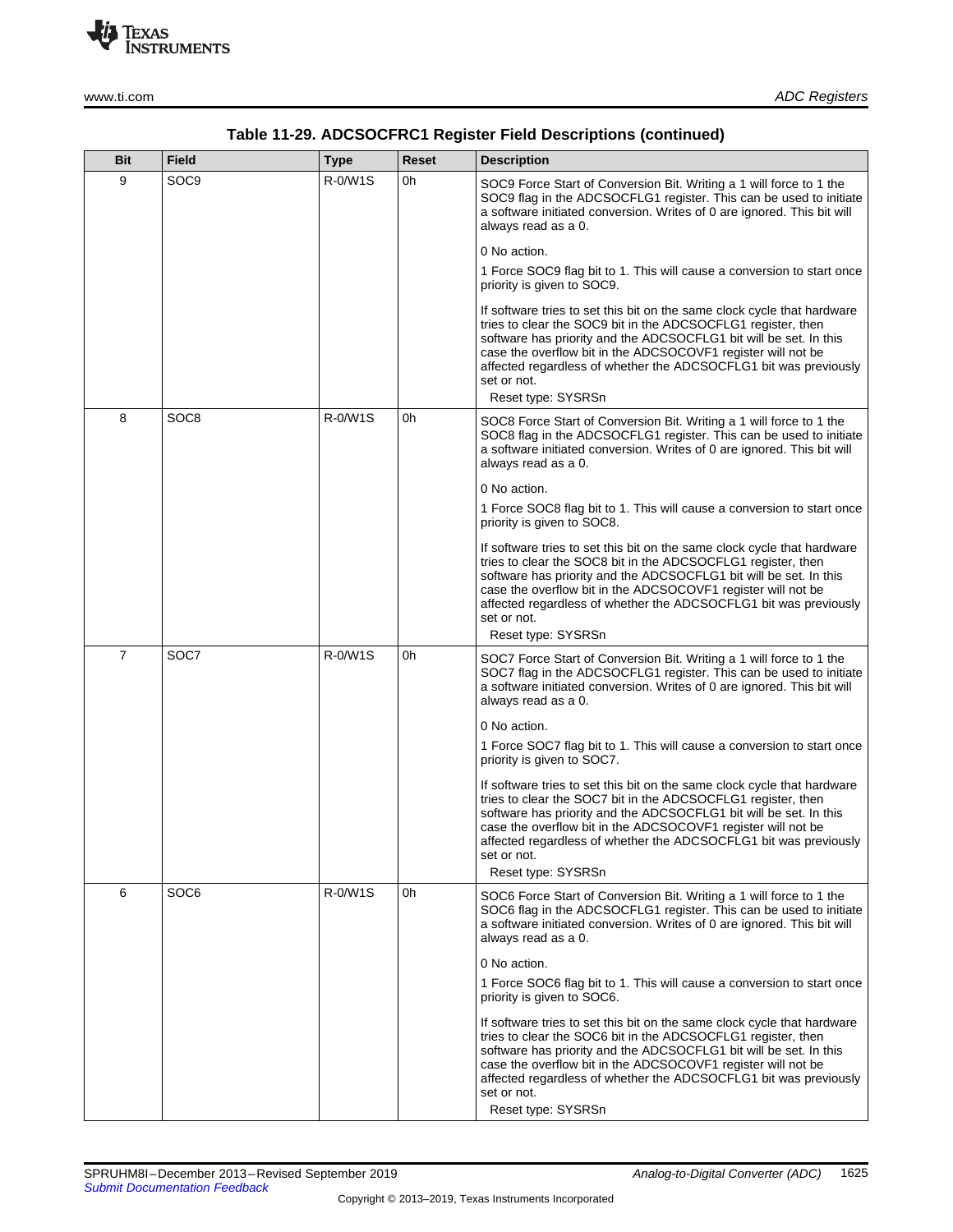

| <b>Bit</b>     | <b>Field</b>     | <b>Type</b> | Reset | <b>Description</b>                                                                                                                                                                                                                                                                                                                                                                    |
|----------------|------------------|-------------|-------|---------------------------------------------------------------------------------------------------------------------------------------------------------------------------------------------------------------------------------------------------------------------------------------------------------------------------------------------------------------------------------------|
| 9              | SOC <sub>9</sub> | R-0/W1S     | 0h    | SOC9 Force Start of Conversion Bit. Writing a 1 will force to 1 the<br>SOC9 flag in the ADCSOCFLG1 register. This can be used to initiate<br>a software initiated conversion. Writes of 0 are ignored. This bit will<br>always read as a 0.                                                                                                                                           |
|                |                  |             |       | 0 No action.                                                                                                                                                                                                                                                                                                                                                                          |
|                |                  |             |       | 1 Force SOC9 flag bit to 1. This will cause a conversion to start once<br>priority is given to SOC9.                                                                                                                                                                                                                                                                                  |
|                |                  |             |       | If software tries to set this bit on the same clock cycle that hardware<br>tries to clear the SOC9 bit in the ADCSOCFLG1 register, then<br>software has priority and the ADCSOCFLG1 bit will be set. In this<br>case the overflow bit in the ADCSOCOVF1 register will not be<br>affected regardless of whether the ADCSOCFLG1 bit was previously<br>set or not.                       |
|                |                  |             |       | Reset type: SYSRSn                                                                                                                                                                                                                                                                                                                                                                    |
| 8              | SOC8             | R-0/W1S     | 0h    | SOC8 Force Start of Conversion Bit. Writing a 1 will force to 1 the<br>SOC8 flag in the ADCSOCFLG1 register. This can be used to initiate<br>a software initiated conversion. Writes of 0 are ignored. This bit will<br>always read as a 0.                                                                                                                                           |
|                |                  |             |       | 0 No action.                                                                                                                                                                                                                                                                                                                                                                          |
|                |                  |             |       | 1 Force SOC8 flag bit to 1. This will cause a conversion to start once<br>priority is given to SOC8.                                                                                                                                                                                                                                                                                  |
|                |                  |             |       | If software tries to set this bit on the same clock cycle that hardware<br>tries to clear the SOC8 bit in the ADCSOCFLG1 register, then<br>software has priority and the ADCSOCFLG1 bit will be set. In this<br>case the overflow bit in the ADCSOCOVF1 register will not be<br>affected regardless of whether the ADCSOCFLG1 bit was previously<br>set or not.<br>Reset type: SYSRSn |
| $\overline{7}$ | SOC7             | R-0/W1S     | 0h    |                                                                                                                                                                                                                                                                                                                                                                                       |
|                |                  |             |       | SOC7 Force Start of Conversion Bit. Writing a 1 will force to 1 the<br>SOC7 flag in the ADCSOCFLG1 register. This can be used to initiate<br>a software initiated conversion. Writes of 0 are ignored. This bit will<br>always read as a 0.                                                                                                                                           |
|                |                  |             |       | 0 No action.                                                                                                                                                                                                                                                                                                                                                                          |
|                |                  |             |       | 1 Force SOC7 flag bit to 1. This will cause a conversion to start once<br>priority is given to SOC7.                                                                                                                                                                                                                                                                                  |
|                |                  |             |       | If software tries to set this bit on the same clock cycle that hardware<br>tries to clear the SOC7 bit in the ADCSOCFLG1 register, then<br>software has priority and the ADCSOCFLG1 bit will be set. In this<br>case the overflow bit in the ADCSOCOVF1 register will not be<br>affected regardless of whether the ADCSOCFLG1 bit was previously<br>set or not.                       |
|                |                  |             |       | Reset type: SYSRSn                                                                                                                                                                                                                                                                                                                                                                    |
| 6              | SOC <sub>6</sub> | R-0/W1S     | 0h    | SOC6 Force Start of Conversion Bit. Writing a 1 will force to 1 the<br>SOC6 flag in the ADCSOCFLG1 register. This can be used to initiate<br>a software initiated conversion. Writes of 0 are ignored. This bit will<br>always read as a 0.                                                                                                                                           |
|                |                  |             |       | 0 No action.                                                                                                                                                                                                                                                                                                                                                                          |
|                |                  |             |       | 1 Force SOC6 flag bit to 1. This will cause a conversion to start once<br>priority is given to SOC6.                                                                                                                                                                                                                                                                                  |
|                |                  |             |       | If software tries to set this bit on the same clock cycle that hardware<br>tries to clear the SOC6 bit in the ADCSOCFLG1 register, then<br>software has priority and the ADCSOCFLG1 bit will be set. In this<br>case the overflow bit in the ADCSOCOVF1 register will not be<br>affected regardless of whether the ADCSOCFLG1 bit was previously<br>set or not.                       |
|                |                  |             |       | Reset type: SYSRSn                                                                                                                                                                                                                                                                                                                                                                    |

# **Table 11-29. ADCSOCFRC1 Register Field Descriptions (continued)**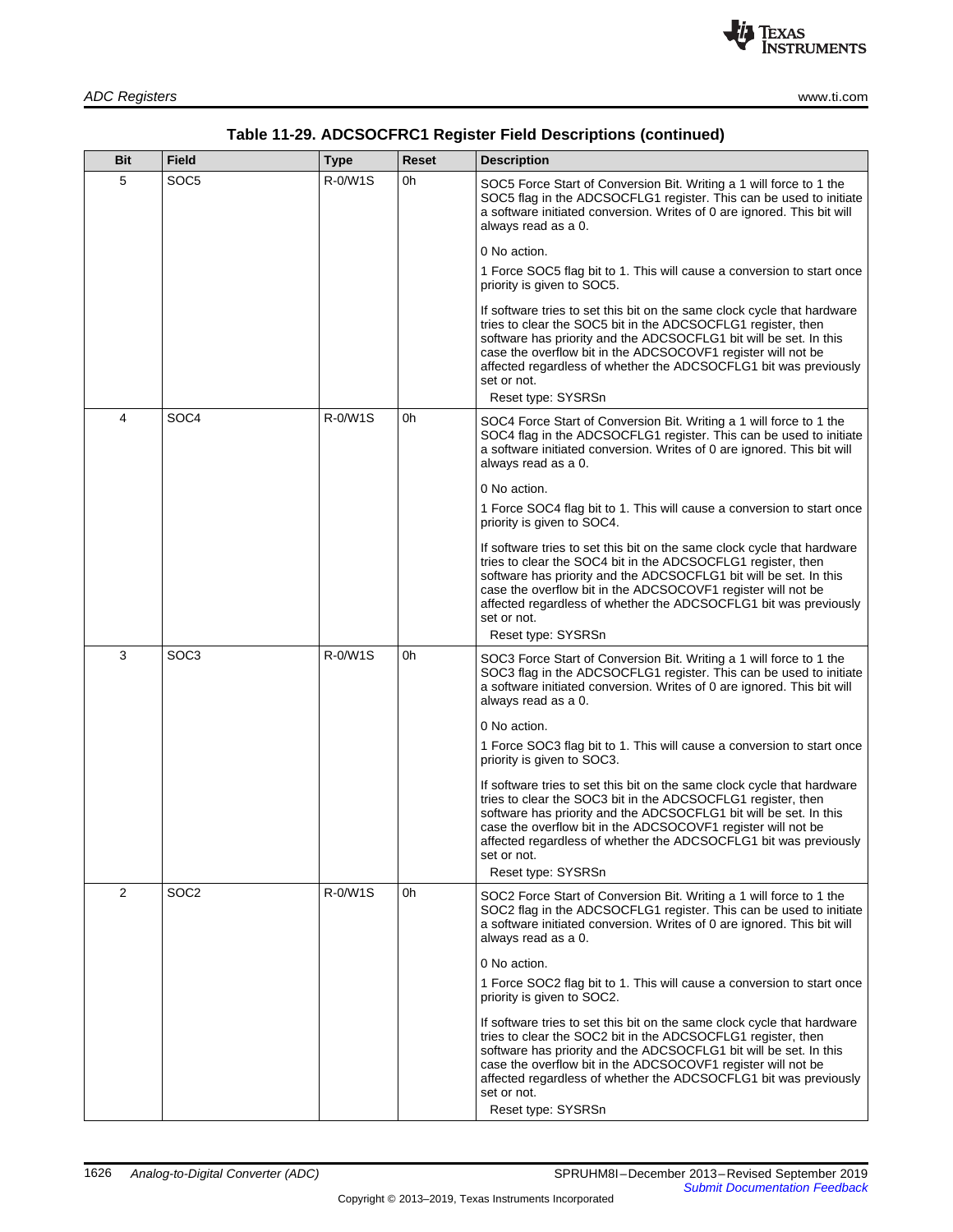

| Bit            | <b>Field</b>     | <b>Type</b> | Reset | <b>Description</b>                                                                                                                                                                                                                                                                                                                                                                    |
|----------------|------------------|-------------|-------|---------------------------------------------------------------------------------------------------------------------------------------------------------------------------------------------------------------------------------------------------------------------------------------------------------------------------------------------------------------------------------------|
| 5              | SOC5             | R-0/W1S     | 0h    | SOC5 Force Start of Conversion Bit. Writing a 1 will force to 1 the<br>SOC5 flag in the ADCSOCFLG1 register. This can be used to initiate<br>a software initiated conversion. Writes of 0 are ignored. This bit will<br>always read as a 0.                                                                                                                                           |
|                |                  |             |       | 0 No action.                                                                                                                                                                                                                                                                                                                                                                          |
|                |                  |             |       | 1 Force SOC5 flag bit to 1. This will cause a conversion to start once<br>priority is given to SOC5.                                                                                                                                                                                                                                                                                  |
|                |                  |             |       | If software tries to set this bit on the same clock cycle that hardware<br>tries to clear the SOC5 bit in the ADCSOCFLG1 register, then<br>software has priority and the ADCSOCFLG1 bit will be set. In this<br>case the overflow bit in the ADCSOCOVF1 register will not be<br>affected regardless of whether the ADCSOCFLG1 bit was previously<br>set or not.                       |
|                |                  |             |       | Reset type: SYSRSn                                                                                                                                                                                                                                                                                                                                                                    |
| 4              | SOC <sub>4</sub> | R-0/W1S     | 0h    | SOC4 Force Start of Conversion Bit. Writing a 1 will force to 1 the<br>SOC4 flag in the ADCSOCFLG1 register. This can be used to initiate<br>a software initiated conversion. Writes of 0 are ignored. This bit will<br>always read as a 0.                                                                                                                                           |
|                |                  |             |       | 0 No action.                                                                                                                                                                                                                                                                                                                                                                          |
|                |                  |             |       | 1 Force SOC4 flag bit to 1. This will cause a conversion to start once<br>priority is given to SOC4.                                                                                                                                                                                                                                                                                  |
|                |                  |             |       | If software tries to set this bit on the same clock cycle that hardware<br>tries to clear the SOC4 bit in the ADCSOCFLG1 register, then<br>software has priority and the ADCSOCFLG1 bit will be set. In this<br>case the overflow bit in the ADCSOCOVF1 register will not be<br>affected regardless of whether the ADCSOCFLG1 bit was previously<br>set or not.<br>Reset type: SYSRSn |
| 3              | SOC3             | R-0/W1S     | 0h    | SOC3 Force Start of Conversion Bit. Writing a 1 will force to 1 the<br>SOC3 flag in the ADCSOCFLG1 register. This can be used to initiate<br>a software initiated conversion. Writes of 0 are ignored. This bit will<br>always read as a 0.                                                                                                                                           |
|                |                  |             |       | 0 No action.                                                                                                                                                                                                                                                                                                                                                                          |
|                |                  |             |       | 1 Force SOC3 flag bit to 1. This will cause a conversion to start once<br>priority is given to SOC3.                                                                                                                                                                                                                                                                                  |
|                |                  |             |       | If software tries to set this bit on the same clock cycle that hardware<br>tries to clear the SOC3 bit in the ADCSOCFLG1 register, then<br>software has priority and the ADCSOCFLG1 bit will be set. In this<br>case the overflow bit in the ADCSOCOVF1 register will not be<br>affected regardless of whether the ADCSOCFLG1 bit was previously<br>set or not.<br>Reset type: SYSRSn |
| $\overline{2}$ | SOC <sub>2</sub> | R-0/W1S     | 0h    | SOC2 Force Start of Conversion Bit. Writing a 1 will force to 1 the                                                                                                                                                                                                                                                                                                                   |
|                |                  |             |       | SOC2 flag in the ADCSOCFLG1 register. This can be used to initiate<br>a software initiated conversion. Writes of 0 are ignored. This bit will<br>always read as a 0.                                                                                                                                                                                                                  |
|                |                  |             |       | 0 No action.                                                                                                                                                                                                                                                                                                                                                                          |
|                |                  |             |       | 1 Force SOC2 flag bit to 1. This will cause a conversion to start once<br>priority is given to SOC2.                                                                                                                                                                                                                                                                                  |
|                |                  |             |       | If software tries to set this bit on the same clock cycle that hardware<br>tries to clear the SOC2 bit in the ADCSOCFLG1 register, then<br>software has priority and the ADCSOCFLG1 bit will be set. In this<br>case the overflow bit in the ADCSOCOVF1 register will not be<br>affected regardless of whether the ADCSOCFLG1 bit was previously<br>set or not.<br>Reset type: SYSRSn |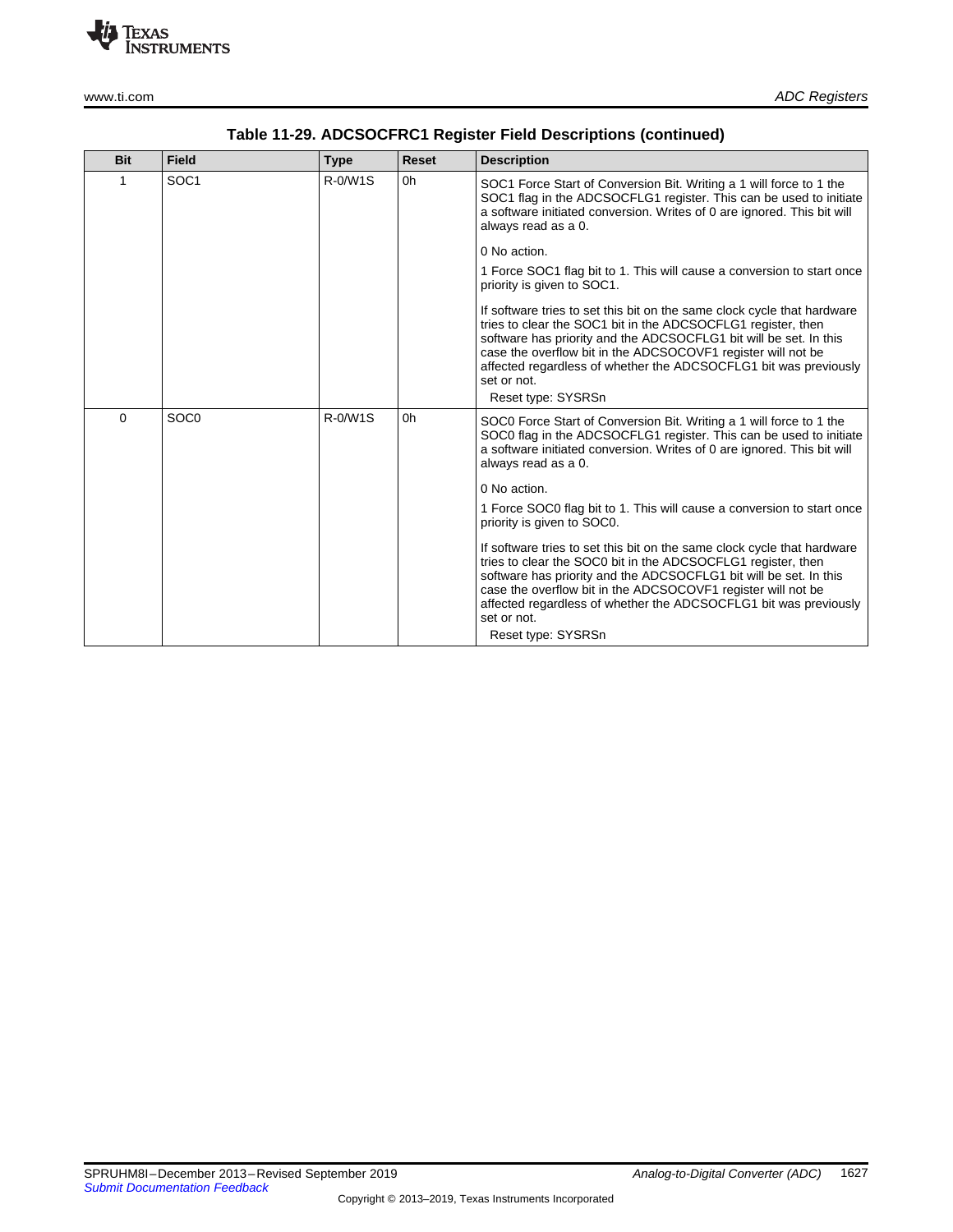

| <b>Bit</b> | <b>Field</b>     | <b>Type</b> | <b>Reset</b> | <b>Description</b>                                                                                                                                                                                                                                                                                                                                              |
|------------|------------------|-------------|--------------|-----------------------------------------------------------------------------------------------------------------------------------------------------------------------------------------------------------------------------------------------------------------------------------------------------------------------------------------------------------------|
| 1          | SOC <sub>1</sub> | R-0/W1S     | 0h           | SOC1 Force Start of Conversion Bit. Writing a 1 will force to 1 the<br>SOC1 flag in the ADCSOCFLG1 register. This can be used to initiate<br>a software initiated conversion. Writes of 0 are ignored. This bit will<br>always read as a 0.                                                                                                                     |
|            |                  |             |              | 0 No action.                                                                                                                                                                                                                                                                                                                                                    |
|            |                  |             |              | 1 Force SOC1 flag bit to 1. This will cause a conversion to start once<br>priority is given to SOC1.                                                                                                                                                                                                                                                            |
|            |                  |             |              | If software tries to set this bit on the same clock cycle that hardware<br>tries to clear the SOC1 bit in the ADCSOCFLG1 register, then<br>software has priority and the ADCSOCFLG1 bit will be set. In this<br>case the overflow bit in the ADCSOCOVF1 register will not be<br>affected regardless of whether the ADCSOCFLG1 bit was previously<br>set or not. |
|            |                  |             |              | Reset type: SYSRSn                                                                                                                                                                                                                                                                                                                                              |
| $\Omega$   | SOC <sub>0</sub> | R-0/W1S     | 0h           | SOC0 Force Start of Conversion Bit. Writing a 1 will force to 1 the<br>SOC0 flag in the ADCSOCFLG1 register. This can be used to initiate<br>a software initiated conversion. Writes of 0 are ignored. This bit will<br>always read as a 0.                                                                                                                     |
|            |                  |             |              | 0 No action.                                                                                                                                                                                                                                                                                                                                                    |
|            |                  |             |              | 1 Force SOC0 flag bit to 1. This will cause a conversion to start once<br>priority is given to SOC0.                                                                                                                                                                                                                                                            |
|            |                  |             |              | If software tries to set this bit on the same clock cycle that hardware<br>tries to clear the SOC0 bit in the ADCSOCFLG1 register, then<br>software has priority and the ADCSOCFLG1 bit will be set. In this<br>case the overflow bit in the ADCSOCOVF1 register will not be<br>affected regardless of whether the ADCSOCFLG1 bit was previously<br>set or not. |
|            |                  |             |              | Reset type: SYSRSn                                                                                                                                                                                                                                                                                                                                              |

# **Table 11-29. ADCSOCFRC1 Register Field Descriptions (continued)**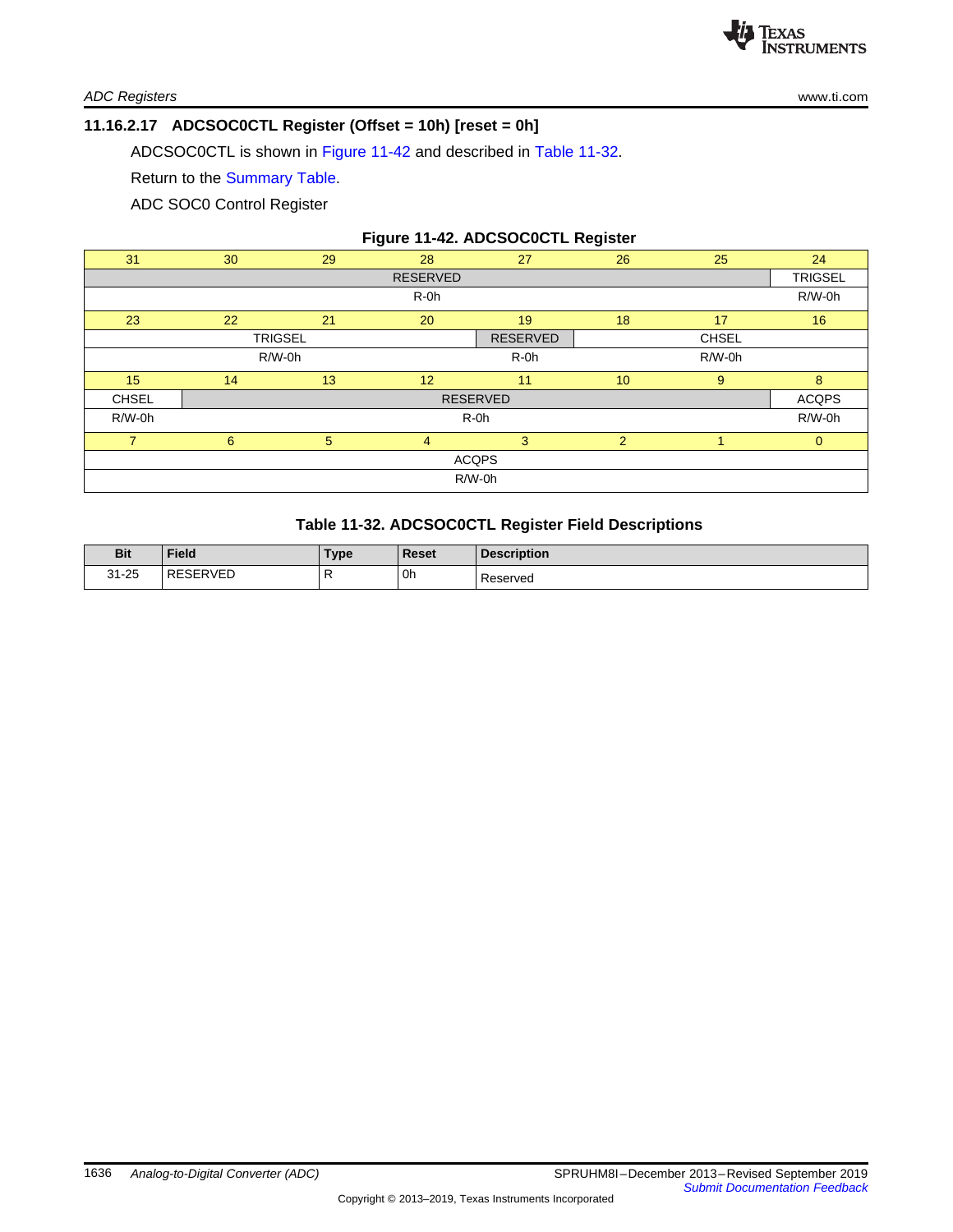

*ADC Registers* [www.ti.com](http://www.ti.com)

#### <span id="page-38-0"></span>**11.16.2.17 ADCSOC0CTL Register (Offset = 10h) [reset = 0h]**

ADCSOC0CTL is shown in [Figure](#page-38-1) 11-42 and described in Table [11-32](#page-38-2).

Return to the [Summary](#page-17-0) Table.

ADC SOC0 Control Register

# **Figure 11-42. ADCSOC0CTL Register**

<span id="page-38-1"></span>

| 31              | 30              | 29   | 28              | 27              | 26             | 25           | 24             |
|-----------------|-----------------|------|-----------------|-----------------|----------------|--------------|----------------|
|                 |                 |      | <b>RESERVED</b> |                 |                |              | <b>TRIGSEL</b> |
|                 |                 |      | R-0h            |                 |                |              | R/W-0h         |
| 23              | 22              | 21   | 20              | 19              | 18             | 17           | 16             |
|                 | <b>TRIGSEL</b>  |      |                 | <b>RESERVED</b> |                | <b>CHSEL</b> |                |
|                 | $R/W-0h$        |      |                 | R-0h            |                | $R/W-0h$     |                |
| 15 <sub>1</sub> | 14              | 13   | 12              | 11              | 10             | 9            | 8              |
| <b>CHSEL</b>    | <b>RESERVED</b> |      |                 |                 |                |              | <b>ACQPS</b>   |
| $R/W-0h$        |                 | R-0h |                 |                 |                |              | $R/W-0h$       |
| $\overline{ }$  | 6               | 5    | $\overline{4}$  | $\mathbf{3}$    | $\overline{2}$ |              | $\mathbf{0}$   |
|                 |                 |      |                 | <b>ACQPS</b>    |                |              |                |
|                 |                 |      |                 | $R/W-0h$        |                |              |                |

### **Table 11-32. ADCSOC0CTL Register Field Descriptions**

<span id="page-38-2"></span>

| <b>Bit</b>          | <b>Field</b>             | Туре | <b>Reset</b>         | <b>Description</b> |
|---------------------|--------------------------|------|----------------------|--------------------|
| $31 - 25$<br>$\sim$ | SERVED<br><b>RE</b><br>. |      | ∣0h<br>$\sim$ $\sim$ | Reserved           |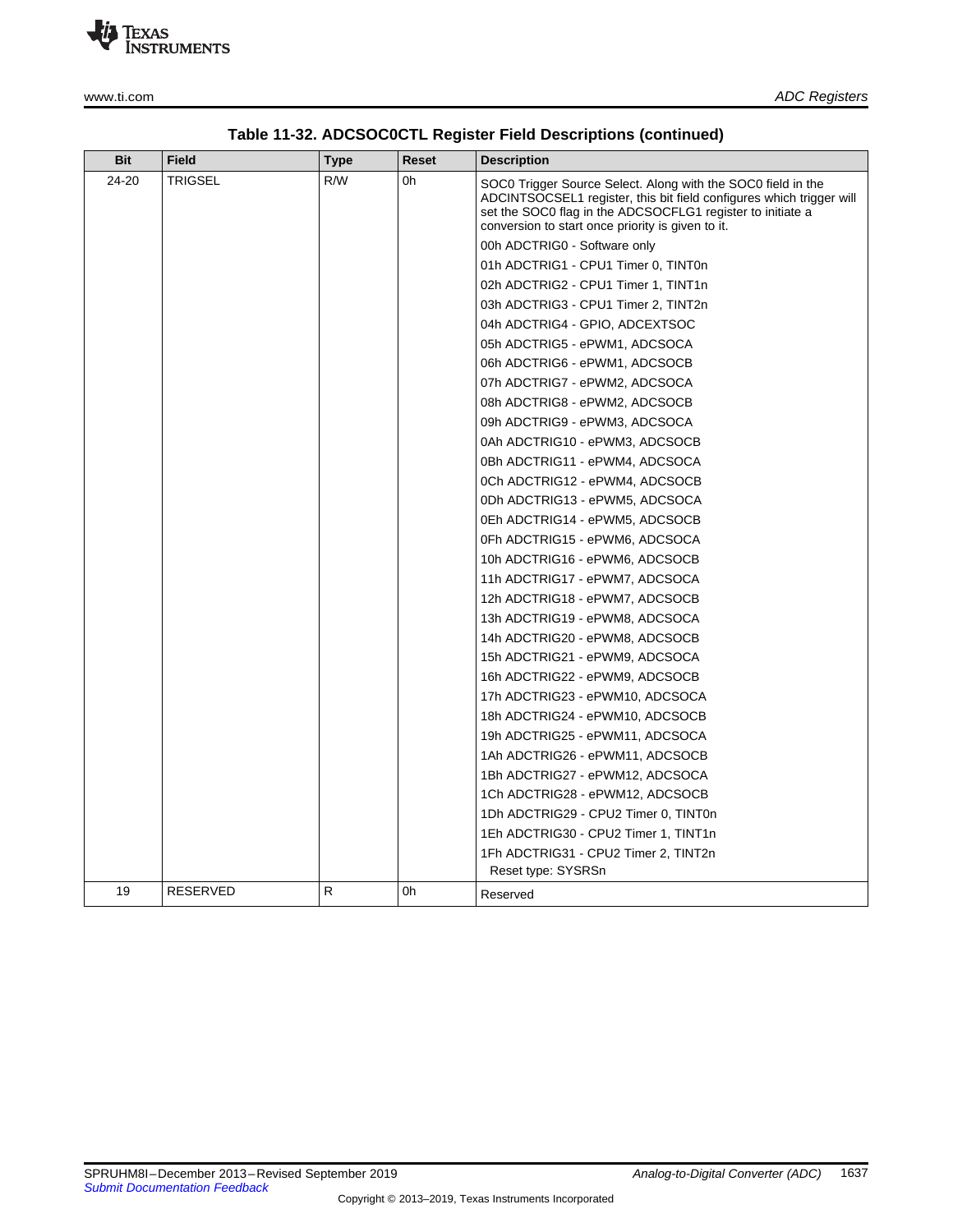

| Bit   | <b>Field</b>    | Type | Reset                               | <b>Description</b>                                                                                                                                                                                                                                      |
|-------|-----------------|------|-------------------------------------|---------------------------------------------------------------------------------------------------------------------------------------------------------------------------------------------------------------------------------------------------------|
| 24-20 | TRIGSEL         | R/W  | 0h                                  | SOC0 Trigger Source Select. Along with the SOC0 field in the<br>ADCINTSOCSEL1 register, this bit field configures which trigger will<br>set the SOC0 flag in the ADCSOCFLG1 register to initiate a<br>conversion to start once priority is given to it. |
|       |                 |      |                                     | 00h ADCTRIG0 - Software only                                                                                                                                                                                                                            |
|       |                 |      |                                     | 01h ADCTRIG1 - CPU1 Timer 0, TINT0n                                                                                                                                                                                                                     |
|       |                 |      | 02h ADCTRIG2 - CPU1 Timer 1, TINT1n |                                                                                                                                                                                                                                                         |
|       |                 |      |                                     | 03h ADCTRIG3 - CPU1 Timer 2, TINT2n                                                                                                                                                                                                                     |
|       |                 |      |                                     | 04h ADCTRIG4 - GPIO, ADCEXTSOC                                                                                                                                                                                                                          |
|       |                 |      |                                     | 05h ADCTRIG5 - ePWM1, ADCSOCA                                                                                                                                                                                                                           |
|       |                 |      |                                     | 06h ADCTRIG6 - ePWM1, ADCSOCB                                                                                                                                                                                                                           |
|       |                 |      |                                     | 07h ADCTRIG7 - ePWM2, ADCSOCA                                                                                                                                                                                                                           |
|       |                 |      |                                     | 08h ADCTRIG8 - ePWM2, ADCSOCB                                                                                                                                                                                                                           |
|       |                 |      |                                     | 09h ADCTRIG9 - ePWM3, ADCSOCA                                                                                                                                                                                                                           |
|       |                 |      |                                     | 0Ah ADCTRIG10 - ePWM3, ADCSOCB                                                                                                                                                                                                                          |
|       |                 |      |                                     | 0Bh ADCTRIG11 - ePWM4, ADCSOCA                                                                                                                                                                                                                          |
|       |                 |      |                                     | 0Ch ADCTRIG12 - ePWM4, ADCSOCB                                                                                                                                                                                                                          |
|       |                 |      |                                     | 0Dh ADCTRIG13 - ePWM5, ADCSOCA                                                                                                                                                                                                                          |
|       |                 |      |                                     | 0Eh ADCTRIG14 - ePWM5, ADCSOCB                                                                                                                                                                                                                          |
|       |                 |      |                                     | 0Fh ADCTRIG15 - ePWM6, ADCSOCA                                                                                                                                                                                                                          |
|       |                 |      |                                     | 10h ADCTRIG16 - ePWM6, ADCSOCB                                                                                                                                                                                                                          |
|       |                 |      |                                     | 11h ADCTRIG17 - ePWM7, ADCSOCA                                                                                                                                                                                                                          |
|       |                 |      |                                     | 12h ADCTRIG18 - ePWM7, ADCSOCB                                                                                                                                                                                                                          |
|       |                 |      |                                     | 13h ADCTRIG19 - ePWM8, ADCSOCA                                                                                                                                                                                                                          |
|       |                 |      |                                     | 14h ADCTRIG20 - ePWM8, ADCSOCB                                                                                                                                                                                                                          |
|       |                 |      |                                     | 15h ADCTRIG21 - ePWM9, ADCSOCA                                                                                                                                                                                                                          |
|       |                 |      |                                     | 16h ADCTRIG22 - ePWM9, ADCSOCB                                                                                                                                                                                                                          |
|       |                 |      |                                     | 17h ADCTRIG23 - ePWM10, ADCSOCA                                                                                                                                                                                                                         |
|       |                 |      |                                     | 18h ADCTRIG24 - ePWM10, ADCSOCB                                                                                                                                                                                                                         |
|       |                 |      |                                     | 19h ADCTRIG25 - ePWM11, ADCSOCA                                                                                                                                                                                                                         |
|       |                 |      |                                     | 1Ah ADCTRIG26 - ePWM11, ADCSOCB                                                                                                                                                                                                                         |
|       |                 |      |                                     | 1Bh ADCTRIG27 - ePWM12, ADCSOCA                                                                                                                                                                                                                         |
|       |                 |      |                                     | 1Ch ADCTRIG28 - ePWM12, ADCSOCB                                                                                                                                                                                                                         |
|       |                 |      |                                     | 1Dh ADCTRIG29 - CPU2 Timer 0, TINT0n                                                                                                                                                                                                                    |
|       |                 |      |                                     | 1Eh ADCTRIG30 - CPU2 Timer 1, TINT1n                                                                                                                                                                                                                    |
|       |                 |      |                                     | 1Fh ADCTRIG31 - CPU2 Timer 2, TINT2n                                                                                                                                                                                                                    |
|       |                 |      |                                     | Reset type: SYSRSn                                                                                                                                                                                                                                      |
| 19    | <b>RESERVED</b> | R    | 0h                                  | Reserved                                                                                                                                                                                                                                                |

# **Table 11-32. ADCSOC0CTL Register Field Descriptions (continued)**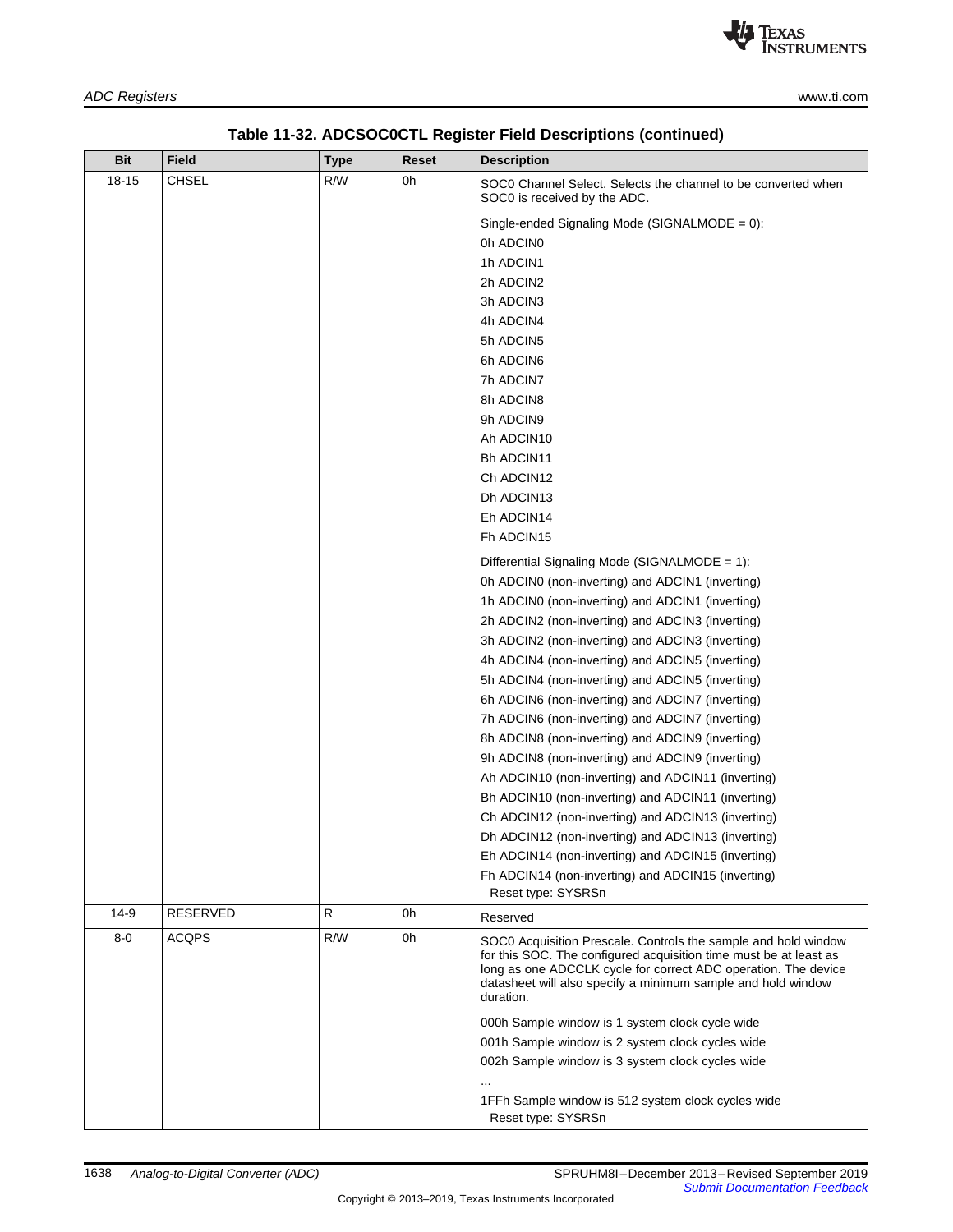| Bit       | <b>Field</b>    | <b>Type</b> | Reset | <b>Description</b>                                                                                                                                                                                                                                                                 |  |
|-----------|-----------------|-------------|-------|------------------------------------------------------------------------------------------------------------------------------------------------------------------------------------------------------------------------------------------------------------------------------------|--|
| $18 - 15$ | CHSEL           | R/W         | 0h    | SOC0 Channel Select. Selects the channel to be converted when<br>SOC0 is received by the ADC.                                                                                                                                                                                      |  |
|           |                 |             |       | Single-ended Signaling Mode (SIGNALMODE = 0):                                                                                                                                                                                                                                      |  |
|           |                 |             |       | 0h ADCIN0                                                                                                                                                                                                                                                                          |  |
|           |                 |             |       | 1h ADCIN1                                                                                                                                                                                                                                                                          |  |
|           |                 |             |       | 2h ADCIN2                                                                                                                                                                                                                                                                          |  |
|           |                 |             |       | 3h ADCIN3                                                                                                                                                                                                                                                                          |  |
|           |                 |             |       | 4h ADCIN4                                                                                                                                                                                                                                                                          |  |
|           |                 |             |       | 5h ADCIN5                                                                                                                                                                                                                                                                          |  |
|           |                 |             |       | 6h ADCIN6                                                                                                                                                                                                                                                                          |  |
|           |                 |             |       | 7h ADCIN7                                                                                                                                                                                                                                                                          |  |
|           |                 |             |       | 8h ADCIN8                                                                                                                                                                                                                                                                          |  |
|           |                 |             |       | 9h ADCIN9                                                                                                                                                                                                                                                                          |  |
|           |                 |             |       | Ah ADCIN10                                                                                                                                                                                                                                                                         |  |
|           |                 |             |       | Bh ADCIN11                                                                                                                                                                                                                                                                         |  |
|           |                 |             |       | Ch ADCIN12                                                                                                                                                                                                                                                                         |  |
|           |                 |             |       | Dh ADCIN13                                                                                                                                                                                                                                                                         |  |
|           |                 |             |       | Eh ADCIN14                                                                                                                                                                                                                                                                         |  |
|           |                 |             |       | Fh ADCIN15                                                                                                                                                                                                                                                                         |  |
|           |                 |             |       | Differential Signaling Mode (SIGNALMODE = 1):                                                                                                                                                                                                                                      |  |
|           |                 |             |       | 0h ADCIN0 (non-inverting) and ADCIN1 (inverting)                                                                                                                                                                                                                                   |  |
|           |                 |             |       | 1h ADCIN0 (non-inverting) and ADCIN1 (inverting)                                                                                                                                                                                                                                   |  |
|           |                 |             |       | 2h ADCIN2 (non-inverting) and ADCIN3 (inverting)                                                                                                                                                                                                                                   |  |
|           |                 |             |       | 3h ADCIN2 (non-inverting) and ADCIN3 (inverting)                                                                                                                                                                                                                                   |  |
|           |                 |             |       | 4h ADCIN4 (non-inverting) and ADCIN5 (inverting)                                                                                                                                                                                                                                   |  |
|           |                 |             |       | 5h ADCIN4 (non-inverting) and ADCIN5 (inverting)                                                                                                                                                                                                                                   |  |
|           |                 |             |       | 6h ADCIN6 (non-inverting) and ADCIN7 (inverting)                                                                                                                                                                                                                                   |  |
|           |                 |             |       | 7h ADCIN6 (non-inverting) and ADCIN7 (inverting)                                                                                                                                                                                                                                   |  |
|           |                 |             |       | 8h ADCIN8 (non-inverting) and ADCIN9 (inverting)                                                                                                                                                                                                                                   |  |
|           |                 |             |       | 9h ADCIN8 (non-inverting) and ADCIN9 (inverting)                                                                                                                                                                                                                                   |  |
|           |                 |             |       | Ah ADCIN10 (non-inverting) and ADCIN11 (inverting)                                                                                                                                                                                                                                 |  |
|           |                 |             |       | Bh ADCIN10 (non-inverting) and ADCIN11 (inverting)                                                                                                                                                                                                                                 |  |
|           |                 |             |       | Ch ADCIN12 (non-inverting) and ADCIN13 (inverting)                                                                                                                                                                                                                                 |  |
|           |                 |             |       | Dh ADCIN12 (non-inverting) and ADCIN13 (inverting)                                                                                                                                                                                                                                 |  |
|           |                 |             |       | Eh ADCIN14 (non-inverting) and ADCIN15 (inverting)                                                                                                                                                                                                                                 |  |
|           |                 |             |       | Fh ADCIN14 (non-inverting) and ADCIN15 (inverting)<br>Reset type: SYSRSn                                                                                                                                                                                                           |  |
| $14-9$    | <b>RESERVED</b> | R           | 0h    | Reserved                                                                                                                                                                                                                                                                           |  |
| $8-0$     | <b>ACQPS</b>    | R/W         | 0h    | SOC0 Acquisition Prescale. Controls the sample and hold window<br>for this SOC. The configured acquisition time must be at least as<br>long as one ADCCLK cycle for correct ADC operation. The device<br>datasheet will also specify a minimum sample and hold window<br>duration. |  |
|           |                 |             |       | 000h Sample window is 1 system clock cycle wide                                                                                                                                                                                                                                    |  |
|           |                 |             |       | 001h Sample window is 2 system clock cycles wide                                                                                                                                                                                                                                   |  |
|           |                 |             |       | 002h Sample window is 3 system clock cycles wide                                                                                                                                                                                                                                   |  |
|           |                 |             |       | 1FFh Sample window is 512 system clock cycles wide<br>Reset type: SYSRSn                                                                                                                                                                                                           |  |

# **Table 11-32. ADCSOC0CTL Register Field Descriptions (continued)**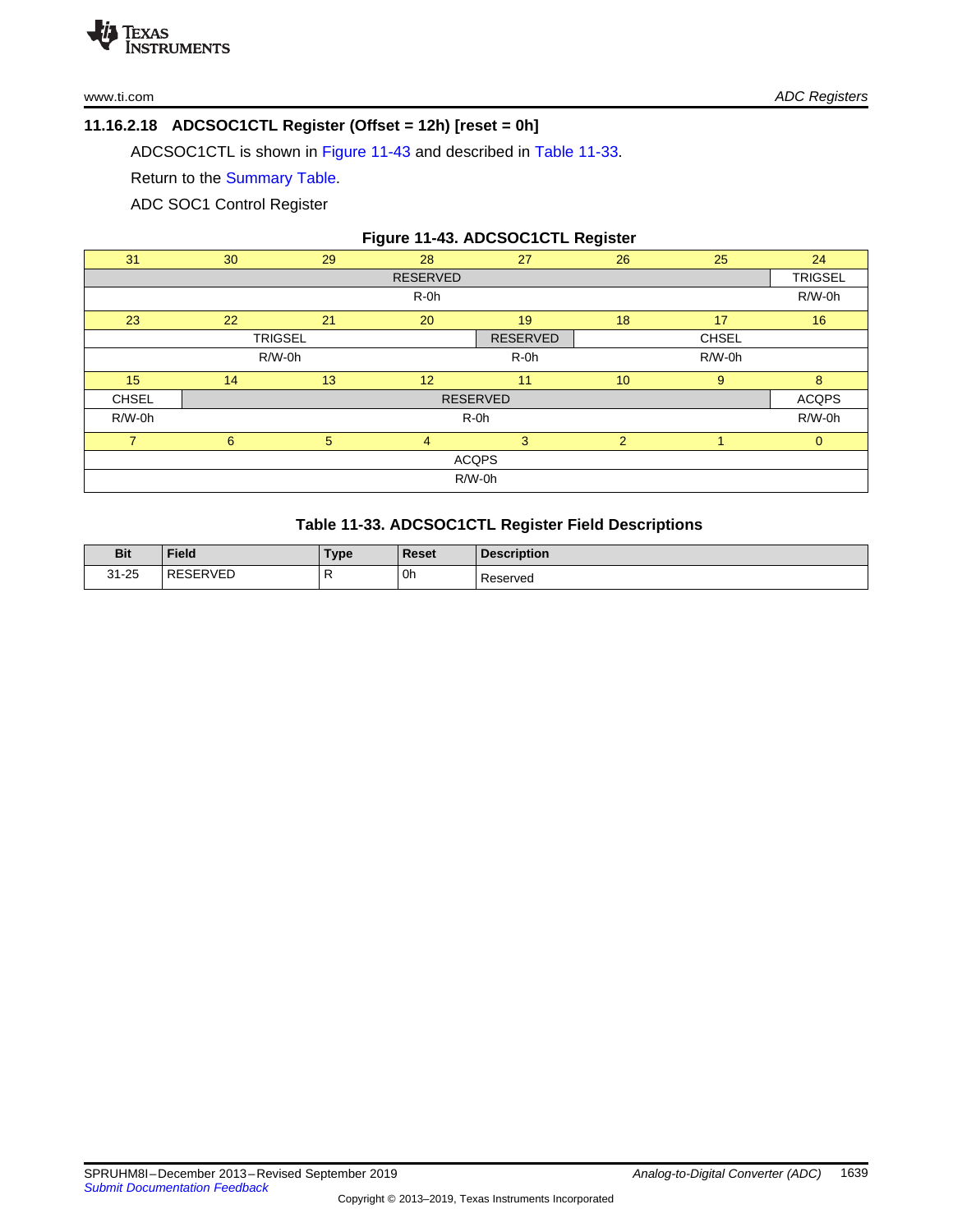# <span id="page-41-0"></span>**11.16.2.18 ADCSOC1CTL Register (Offset = 12h) [reset = 0h]**

ADCSOC1CTL is shown in [Figure](#page-41-1) 11-43 and described in Table [11-33](#page-41-2).

Return to the [Summary](#page-17-0) Table.

ADC SOC1 Control Register

| Figure 11-43. ADCSOC1CTL Register |
|-----------------------------------|
|-----------------------------------|

<span id="page-41-1"></span>

| 31             | 30              | 29 | 28              | 27              | 26 | 25           | 24             |
|----------------|-----------------|----|-----------------|-----------------|----|--------------|----------------|
|                |                 |    | <b>RESERVED</b> |                 |    |              | <b>TRIGSEL</b> |
|                | $R-0h$          |    |                 |                 |    |              | R/W-0h         |
| 23             | 22              | 21 | 20              | 19              | 18 | 17           | 16             |
|                | <b>TRIGSEL</b>  |    |                 | <b>RESERVED</b> |    | <b>CHSEL</b> |                |
|                | $R/W-0h$        |    |                 | $R-0h$          |    | $R/W-0h$     |                |
| 15             | 14              | 13 | 12              | 11              | 10 | 9            | 8              |
| <b>CHSEL</b>   | <b>RESERVED</b> |    |                 |                 |    |              | <b>ACQPS</b>   |
| $R/W-0h$       | R-0h            |    |                 |                 |    |              | $R/W-0h$       |
| $\overline{7}$ | 6               | 5  | $\overline{4}$  | 3               | 2  |              | $\mathbf{0}$   |
|                |                 |    |                 | <b>ACQPS</b>    |    |              |                |
|                |                 |    |                 | $R/W-0h$        |    |              |                |

# **Table 11-33. ADCSOC1CTL Register Field Descriptions**

<span id="page-41-2"></span>

| <b>Bit</b> | <b>Field</b>        | Туре | Reset          | <b>Description</b> |
|------------|---------------------|------|----------------|--------------------|
| $31 - 25$  | <b>SERVED</b><br>RE | . .  | ' Oh<br>$\sim$ | Reserved           |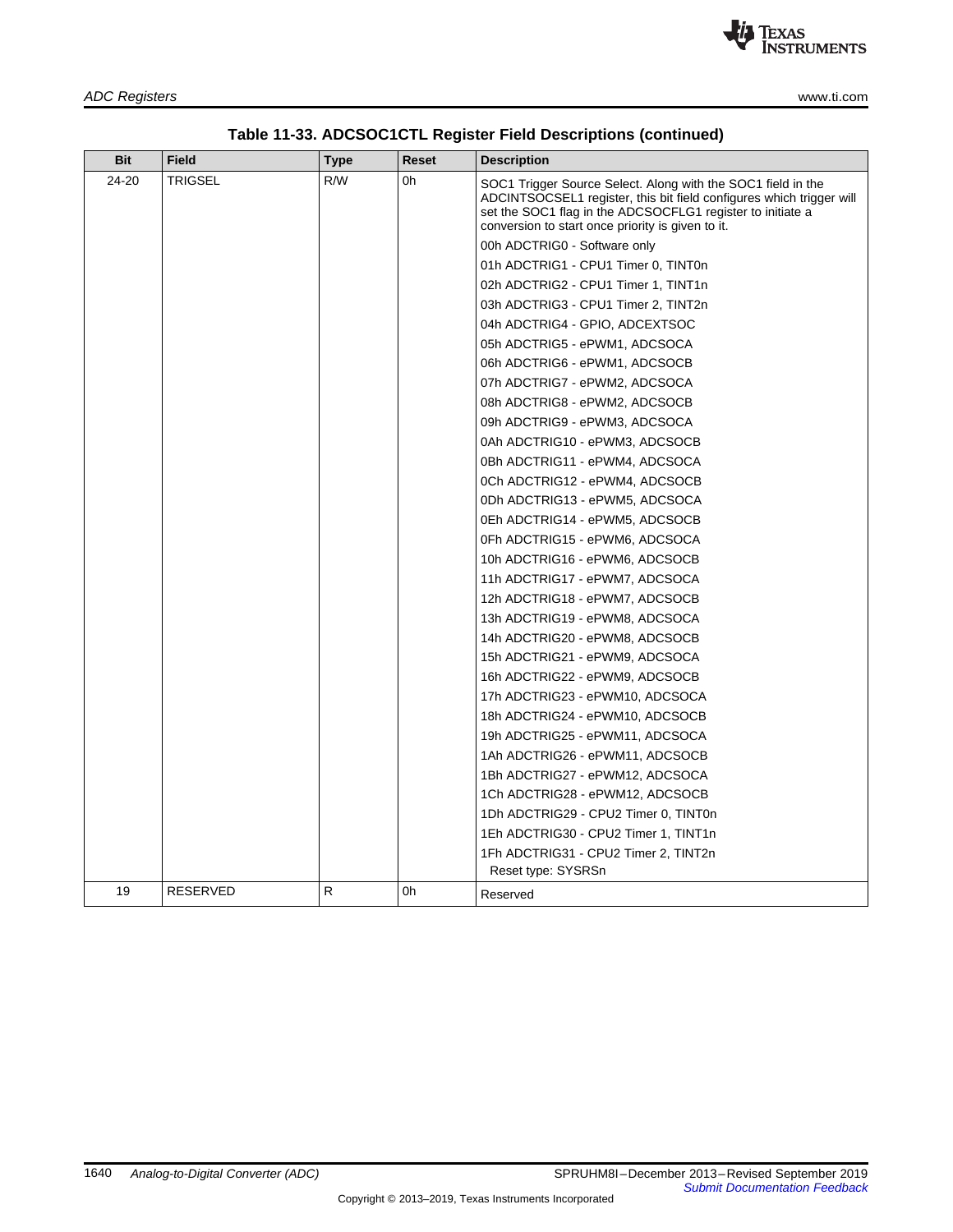| Bit   | Field    | Type | Reset | <b>Description</b>                                                                                                                                                                                                                                      |
|-------|----------|------|-------|---------------------------------------------------------------------------------------------------------------------------------------------------------------------------------------------------------------------------------------------------------|
| 24-20 | TRIGSEL  | R/W  | 0h    | SOC1 Trigger Source Select. Along with the SOC1 field in the<br>ADCINTSOCSEL1 register, this bit field configures which trigger will<br>set the SOC1 flag in the ADCSOCFLG1 register to initiate a<br>conversion to start once priority is given to it. |
|       |          |      |       | 00h ADCTRIG0 - Software only                                                                                                                                                                                                                            |
|       |          |      |       | 01h ADCTRIG1 - CPU1 Timer 0, TINT0n                                                                                                                                                                                                                     |
|       |          |      |       | 02h ADCTRIG2 - CPU1 Timer 1, TINT1n                                                                                                                                                                                                                     |
|       |          |      |       | 03h ADCTRIG3 - CPU1 Timer 2, TINT2n                                                                                                                                                                                                                     |
|       |          |      |       | 04h ADCTRIG4 - GPIO, ADCEXTSOC                                                                                                                                                                                                                          |
|       |          |      |       | 05h ADCTRIG5 - ePWM1, ADCSOCA                                                                                                                                                                                                                           |
|       |          |      |       | 06h ADCTRIG6 - ePWM1, ADCSOCB                                                                                                                                                                                                                           |
|       |          |      |       | 07h ADCTRIG7 - ePWM2, ADCSOCA                                                                                                                                                                                                                           |
|       |          |      |       | 08h ADCTRIG8 - ePWM2, ADCSOCB                                                                                                                                                                                                                           |
|       |          |      |       | 09h ADCTRIG9 - ePWM3, ADCSOCA                                                                                                                                                                                                                           |
|       |          |      |       | 0Ah ADCTRIG10 - ePWM3, ADCSOCB                                                                                                                                                                                                                          |
|       |          |      |       | 0Bh ADCTRIG11 - ePWM4, ADCSOCA                                                                                                                                                                                                                          |
|       |          |      |       | 0Ch ADCTRIG12 - ePWM4, ADCSOCB                                                                                                                                                                                                                          |
|       |          |      |       | 0Dh ADCTRIG13 - ePWM5, ADCSOCA                                                                                                                                                                                                                          |
|       |          |      |       | 0Eh ADCTRIG14 - ePWM5, ADCSOCB                                                                                                                                                                                                                          |
|       |          |      |       | 0Fh ADCTRIG15 - ePWM6, ADCSOCA                                                                                                                                                                                                                          |
|       |          |      |       | 10h ADCTRIG16 - ePWM6, ADCSOCB                                                                                                                                                                                                                          |
|       |          |      |       | 11h ADCTRIG17 - ePWM7, ADCSOCA                                                                                                                                                                                                                          |
|       |          |      |       | 12h ADCTRIG18 - ePWM7, ADCSOCB                                                                                                                                                                                                                          |
|       |          |      |       | 13h ADCTRIG19 - ePWM8, ADCSOCA                                                                                                                                                                                                                          |
|       |          |      |       | 14h ADCTRIG20 - ePWM8, ADCSOCB                                                                                                                                                                                                                          |
|       |          |      |       | 15h ADCTRIG21 - ePWM9, ADCSOCA                                                                                                                                                                                                                          |
|       |          |      |       | 16h ADCTRIG22 - ePWM9, ADCSOCB                                                                                                                                                                                                                          |
|       |          |      |       | 17h ADCTRIG23 - ePWM10, ADCSOCA                                                                                                                                                                                                                         |
|       |          |      |       | 18h ADCTRIG24 - ePWM10, ADCSOCB                                                                                                                                                                                                                         |
|       |          |      |       | 19h ADCTRIG25 - ePWM11, ADCSOCA                                                                                                                                                                                                                         |
|       |          |      |       | 1Ah ADCTRIG26 - ePWM11, ADCSOCB                                                                                                                                                                                                                         |
|       |          |      |       | 1Bh ADCTRIG27 - ePWM12, ADCSOCA                                                                                                                                                                                                                         |
|       |          |      |       | 1Ch ADCTRIG28 - ePWM12, ADCSOCB                                                                                                                                                                                                                         |
|       |          |      |       | 1Dh ADCTRIG29 - CPU2 Timer 0, TINT0n                                                                                                                                                                                                                    |
|       |          |      |       | 1Eh ADCTRIG30 - CPU2 Timer 1, TINT1n                                                                                                                                                                                                                    |
|       |          |      |       | 1Fh ADCTRIG31 - CPU2 Timer 2, TINT2n                                                                                                                                                                                                                    |
|       |          |      |       | Reset type: SYSRSn                                                                                                                                                                                                                                      |
| 19    | RESERVED | R    | 0h    | Reserved                                                                                                                                                                                                                                                |

# **Table 11-33. ADCSOC1CTL Register Field Descriptions (continued)**